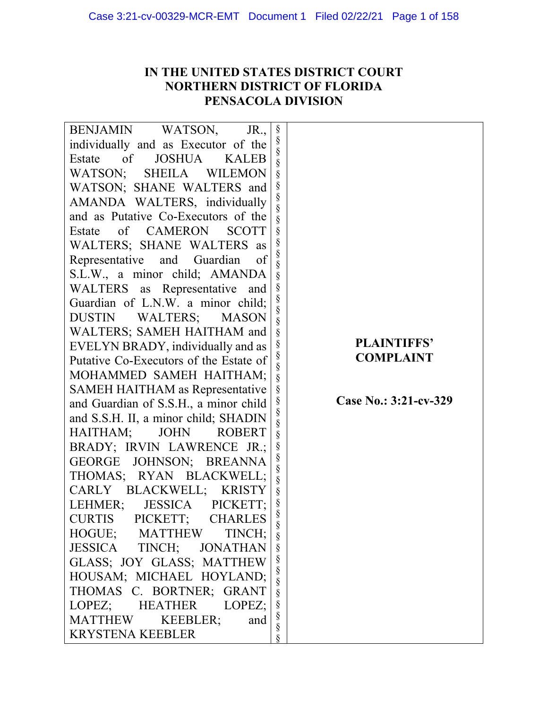# **IN THE UNITED STATES DISTRICT COURT NORTHERN DISTRICT OF FLORIDA PENSACOLA DIVISION**

| <b>BENJAMIN</b><br>WATSON,<br>JR.,            | §           |                       |
|-----------------------------------------------|-------------|-----------------------|
| individually and as Executor of the           | §           |                       |
| of<br><b>JOSHUA</b><br>Estate<br><b>KALEB</b> | §<br>§      |                       |
| WATSON;<br><b>SHEILA</b><br><b>WILEMON</b>    | $\S$        |                       |
| WATSON; SHANE WALTERS and                     | §<br>§<br>§ |                       |
| AMANDA WALTERS, individually                  |             |                       |
| and as Putative Co-Executors of the           | §           |                       |
| of CAMERON<br><b>SCOTT</b><br>Estate          | §           |                       |
| WALTERS; SHANE WALTERS as                     | §<br>§      |                       |
| Representative<br>and<br>Guardian<br>of       | §           |                       |
| S.L.W., a minor child; AMANDA                 | §           |                       |
| WALTERS as Representative<br>and              | ş           |                       |
| Guardian of L.N.W. a minor child;             | §<br>§      |                       |
| WALTERS;<br><b>MASON</b><br><b>DUSTIN</b>     | §           |                       |
| WALTERS; SAMEH HAITHAM and                    | §           |                       |
| EVELYN BRADY, individually and as             | §           | <b>PLAINTIFFS'</b>    |
| Putative Co-Executors of the Estate of        | §<br>§      | <b>COMPLAINT</b>      |
| MOHAMMED SAMEH HAITHAM;                       | $\S$        |                       |
| SAMEH HAITHAM as Representative               | §           |                       |
| and Guardian of S.S.H., a minor child         | §<br>§      | Case No.: 3:21-cv-329 |
| and S.S.H. II, a minor child; SHADIN          | §           |                       |
| HAITHAM;<br><b>ROBERT</b><br><b>JOHN</b>      | §           |                       |
| BRADY; IRVIN LAWRENCE JR.;                    | §           |                       |
| JOHNSON; BREANNA<br>GEORGE                    | $\S$<br>§   |                       |
| THOMAS; RYAN BLACKWELL;                       | $\S$        |                       |
| CARLY BLACKWELL;<br><b>KRISTY</b>             | $\S$        |                       |
| LEHMER;<br><b>JESSICA</b><br>PICKETT;         | §<br>§      |                       |
| <b>CURTIS</b><br>PICKETT;<br><b>CHARLES</b>   | §           |                       |
| HOGUE; MATTHEW TINCH;                         | $\S$        |                       |
| JESSICA TINCH; JONATHAN                       | $\S$        |                       |
| GLASS; JOY GLASS; MATTHEW                     |             |                       |
| HOUSAM; MICHAEL HOYLAND;                      | §<br>§<br>§ |                       |
| THOMAS C. BORTNER; GRANT                      | $\S$        |                       |
| LOPEZ; HEATHER<br>LOPEZ;                      |             |                       |
| <b>MATTHEW</b><br>KEEBLER;<br>and             | §<br>§<br>§ |                       |
| <b>KRYSTENA KEEBLER</b>                       | §           |                       |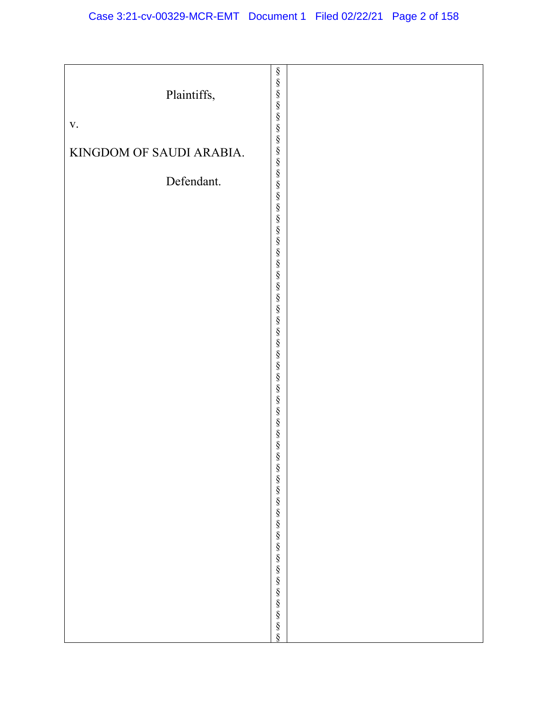|                          | §<br>§      |  |
|--------------------------|-------------|--|
|                          |             |  |
| Plaintiffs,              |             |  |
|                          |             |  |
|                          | §<br>§<br>§ |  |
|                          |             |  |
| $\mathbf{V}$ .           |             |  |
|                          |             |  |
|                          |             |  |
| KINGDOM OF SAUDI ARABIA. |             |  |
|                          |             |  |
|                          |             |  |
|                          |             |  |
| Defendant.               |             |  |
|                          |             |  |
|                          |             |  |
|                          |             |  |
|                          |             |  |
|                          |             |  |
|                          |             |  |
|                          |             |  |
|                          |             |  |
|                          |             |  |
|                          |             |  |
|                          |             |  |
|                          |             |  |
|                          |             |  |
|                          |             |  |
|                          |             |  |
|                          |             |  |
|                          |             |  |
|                          |             |  |
|                          |             |  |
|                          |             |  |
|                          |             |  |
|                          | §<br>§<br>§ |  |
|                          |             |  |
|                          |             |  |
|                          |             |  |
|                          |             |  |
|                          |             |  |
|                          |             |  |
|                          |             |  |
|                          |             |  |
|                          |             |  |
|                          |             |  |
|                          |             |  |
|                          |             |  |
|                          |             |  |
|                          |             |  |
|                          |             |  |
|                          |             |  |
|                          |             |  |
|                          |             |  |
|                          |             |  |
|                          |             |  |
|                          |             |  |
|                          |             |  |
|                          |             |  |
|                          |             |  |
|                          |             |  |
|                          |             |  |
|                          |             |  |
|                          |             |  |
|                          |             |  |
|                          |             |  |
|                          |             |  |
|                          |             |  |
|                          |             |  |
|                          |             |  |
|                          |             |  |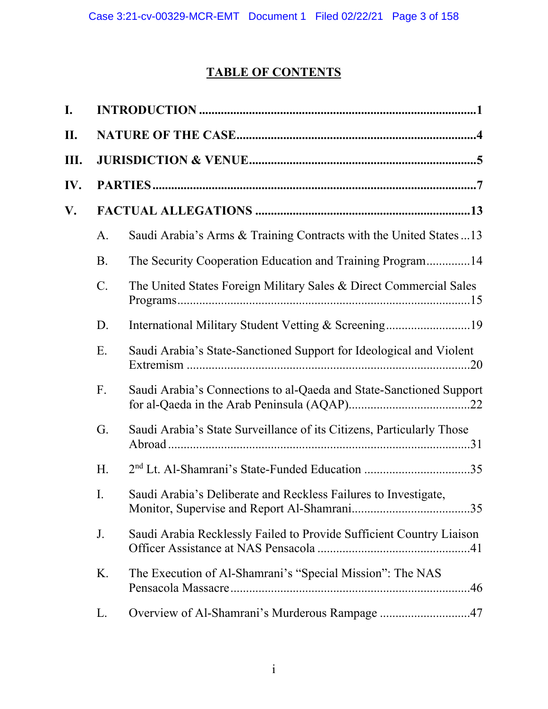# **TABLE OF CONTENTS**

| I.   |       |                                                                       |
|------|-------|-----------------------------------------------------------------------|
| II.  |       |                                                                       |
| III. |       |                                                                       |
| IV.  |       |                                                                       |
| V.   |       |                                                                       |
|      | A.    | Saudi Arabia's Arms & Training Contracts with the United States 13    |
|      | B.    | The Security Cooperation Education and Training Program14             |
|      | $C$ . | The United States Foreign Military Sales & Direct Commercial Sales    |
|      | D.    |                                                                       |
|      | Ε.    | Saudi Arabia's State-Sanctioned Support for Ideological and Violent   |
|      | F.    | Saudi Arabia's Connections to al-Qaeda and State-Sanctioned Support   |
|      | G.    | Saudi Arabia's State Surveillance of its Citizens, Particularly Those |
|      | H.    | 2 <sup>nd</sup> Lt. Al-Shamrani's State-Funded Education 35           |
|      | I.    | Saudi Arabia's Deliberate and Reckless Failures to Investigate,       |
|      | J.    | Saudi Arabia Recklessly Failed to Provide Sufficient Country Liaison  |
|      | Κ.    | The Execution of Al-Shamrani's "Special Mission": The NAS             |
|      | L.    | Overview of Al-Shamrani's Murderous Rampage 47                        |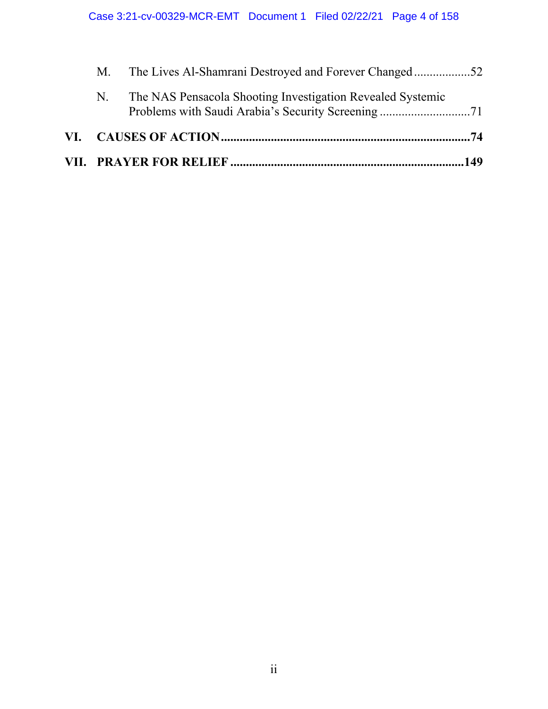| N. | The NAS Pensacola Shooting Investigation Revealed Systemic |  |  |
|----|------------------------------------------------------------|--|--|
|    | M. The Lives Al-Shamrani Destroyed and Forever Changed52   |  |  |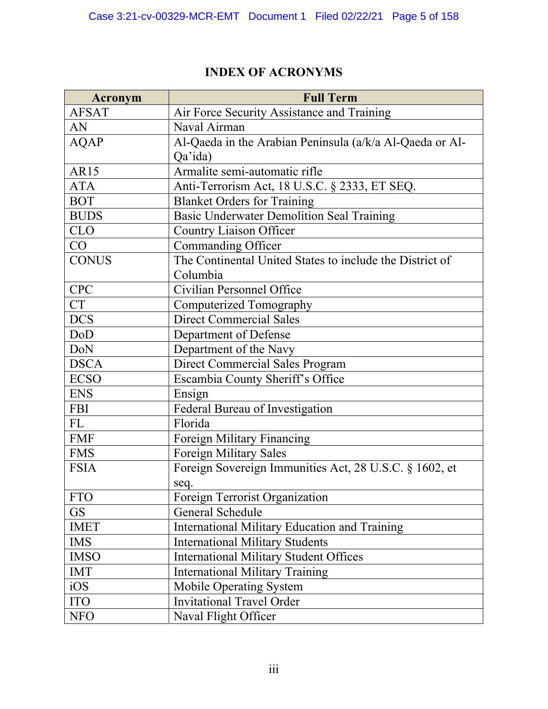# **INDEX OF ACRONYMS**

| <b>Acronym</b> | <b>Full Term</b>                                         |
|----------------|----------------------------------------------------------|
| <b>AFSAT</b>   | Air Force Security Assistance and Training               |
| AN             | Naval Airman                                             |
| <b>AQAP</b>    | Al-Qaeda in the Arabian Peninsula (a/k/a Al-Qaeda or Al- |
|                | Qa'ida)                                                  |
| AR15           | Armalite semi-automatic rifle                            |
| <b>ATA</b>     | Anti-Terrorism Act, 18 U.S.C. § 2333, ET SEQ.            |
| <b>BOT</b>     | <b>Blanket Orders for Training</b>                       |
| <b>BUDS</b>    | <b>Basic Underwater Demolition Seal Training</b>         |
| <b>CLO</b>     | <b>Country Liaison Officer</b>                           |
| CO             | Commanding Officer                                       |
| <b>CONUS</b>   | The Continental United States to include the District of |
|                | Columbia                                                 |
| <b>CPC</b>     | Civilian Personnel Office                                |
| <b>CT</b>      | Computerized Tomography                                  |
| <b>DCS</b>     | <b>Direct Commercial Sales</b>                           |
| DoD            | Department of Defense                                    |
| DoN            | Department of the Navy                                   |
| <b>DSCA</b>    | <b>Direct Commercial Sales Program</b>                   |
| <b>ECSO</b>    | Escambia County Sheriff's Office                         |
| <b>ENS</b>     | Ensign                                                   |
| <b>FBI</b>     | Federal Bureau of Investigation                          |
| FL             | Florida                                                  |
| <b>FMF</b>     | Foreign Military Financing                               |
| <b>FMS</b>     | <b>Foreign Military Sales</b>                            |
| <b>FSIA</b>    | Foreign Sovereign Immunities Act, 28 U.S.C. § 1602, et   |
|                | seq.                                                     |
| <b>FTO</b>     | Foreign Terrorist Organization                           |
| <b>GS</b>      | General Schedule                                         |
| <b>IMET</b>    | International Military Education and Training            |
| <b>IMS</b>     | <b>International Military Students</b>                   |
| <b>IMSO</b>    | <b>International Military Student Offices</b>            |
| <b>IMT</b>     | <b>International Military Training</b>                   |
| iOS            | Mobile Operating System                                  |
| <b>ITO</b>     | <b>Invitational Travel Order</b>                         |
| <b>NFO</b>     | Naval Flight Officer                                     |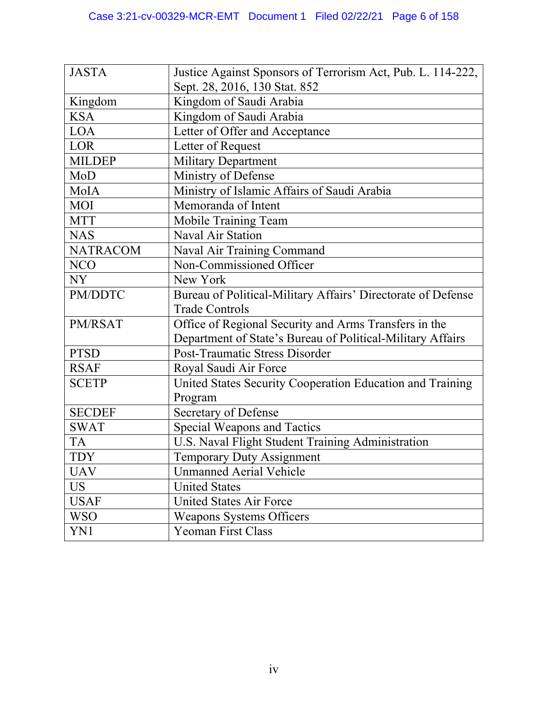| <b>JASTA</b>    | Justice Against Sponsors of Terrorism Act, Pub. L. 114-222,  |
|-----------------|--------------------------------------------------------------|
|                 | Sept. 28, 2016, 130 Stat. 852                                |
| Kingdom         | Kingdom of Saudi Arabia                                      |
| <b>KSA</b>      | Kingdom of Saudi Arabia                                      |
| <b>LOA</b>      | Letter of Offer and Acceptance                               |
| LOR             | Letter of Request                                            |
| <b>MILDEP</b>   | <b>Military Department</b>                                   |
| MoD             | Ministry of Defense                                          |
| MoIA            | Ministry of Islamic Affairs of Saudi Arabia                  |
| <b>MOI</b>      | Memoranda of Intent                                          |
| <b>MTT</b>      | Mobile Training Team                                         |
| <b>NAS</b>      | Naval Air Station                                            |
| <b>NATRACOM</b> | Naval Air Training Command                                   |
| <b>NCO</b>      | Non-Commissioned Officer                                     |
| NY              | New York                                                     |
| PM/DDTC         | Bureau of Political-Military Affairs' Directorate of Defense |
|                 | <b>Trade Controls</b>                                        |
| PM/RSAT         | Office of Regional Security and Arms Transfers in the        |
|                 | Department of State's Bureau of Political-Military Affairs   |
| <b>PTSD</b>     | Post-Traumatic Stress Disorder                               |
| <b>RSAF</b>     | Royal Saudi Air Force                                        |
| <b>SCETP</b>    | United States Security Cooperation Education and Training    |
|                 | Program                                                      |
| <b>SECDEF</b>   | Secretary of Defense                                         |
| <b>SWAT</b>     | <b>Special Weapons and Tactics</b>                           |
| <b>TA</b>       | U.S. Naval Flight Student Training Administration            |
| <b>TDY</b>      | <b>Temporary Duty Assignment</b>                             |
| <b>UAV</b>      | <b>Unmanned Aerial Vehicle</b>                               |
| <b>US</b>       | <b>United States</b>                                         |
| <b>USAF</b>     | <b>United States Air Force</b>                               |
| <b>WSO</b>      | <b>Weapons Systems Officers</b>                              |
| YN1             | <b>Yeoman First Class</b>                                    |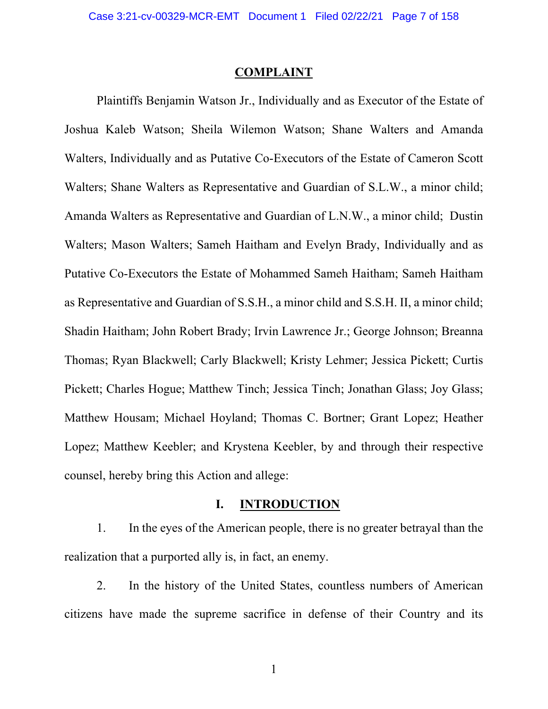### **COMPLAINT**

 Plaintiffs Benjamin Watson Jr., Individually and as Executor of the Estate of Joshua Kaleb Watson; Sheila Wilemon Watson; Shane Walters and Amanda Walters, Individually and as Putative Co-Executors of the Estate of Cameron Scott Walters; Shane Walters as Representative and Guardian of S.L.W., a minor child; Amanda Walters as Representative and Guardian of L.N.W., a minor child; Dustin Walters; Mason Walters; Sameh Haitham and Evelyn Brady, Individually and as Putative Co-Executors the Estate of Mohammed Sameh Haitham; Sameh Haitham as Representative and Guardian of S.S.H., a minor child and S.S.H. II, a minor child; Shadin Haitham; John Robert Brady; Irvin Lawrence Jr.; George Johnson; Breanna Thomas; Ryan Blackwell; Carly Blackwell; Kristy Lehmer; Jessica Pickett; Curtis Pickett; Charles Hogue; Matthew Tinch; Jessica Tinch; Jonathan Glass; Joy Glass; Matthew Housam; Michael Hoyland; Thomas C. Bortner; Grant Lopez; Heather Lopez; Matthew Keebler; and Krystena Keebler, by and through their respective counsel, hereby bring this Action and allege:

# **I. INTRODUCTION**

1. In the eyes of the American people, there is no greater betrayal than the realization that a purported ally is, in fact, an enemy.

2. In the history of the United States, countless numbers of American citizens have made the supreme sacrifice in defense of their Country and its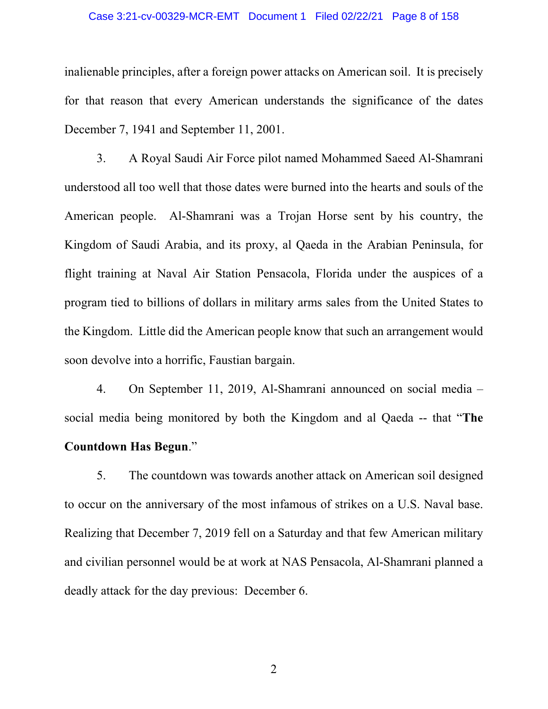### Case 3:21-cv-00329-MCR-EMT Document 1 Filed 02/22/21 Page 8 of 158

inalienable principles, after a foreign power attacks on American soil. It is precisely for that reason that every American understands the significance of the dates December 7, 1941 and September 11, 2001.

3. A Royal Saudi Air Force pilot named Mohammed Saeed Al-Shamrani understood all too well that those dates were burned into the hearts and souls of the American people. Al-Shamrani was a Trojan Horse sent by his country, the Kingdom of Saudi Arabia, and its proxy, al Qaeda in the Arabian Peninsula, for flight training at Naval Air Station Pensacola, Florida under the auspices of a program tied to billions of dollars in military arms sales from the United States to the Kingdom. Little did the American people know that such an arrangement would soon devolve into a horrific, Faustian bargain.

4. On September 11, 2019, Al-Shamrani announced on social media – social media being monitored by both the Kingdom and al Qaeda -- that "**The Countdown Has Begun**."

5. The countdown was towards another attack on American soil designed to occur on the anniversary of the most infamous of strikes on a U.S. Naval base. Realizing that December 7, 2019 fell on a Saturday and that few American military and civilian personnel would be at work at NAS Pensacola, Al-Shamrani planned a deadly attack for the day previous: December 6.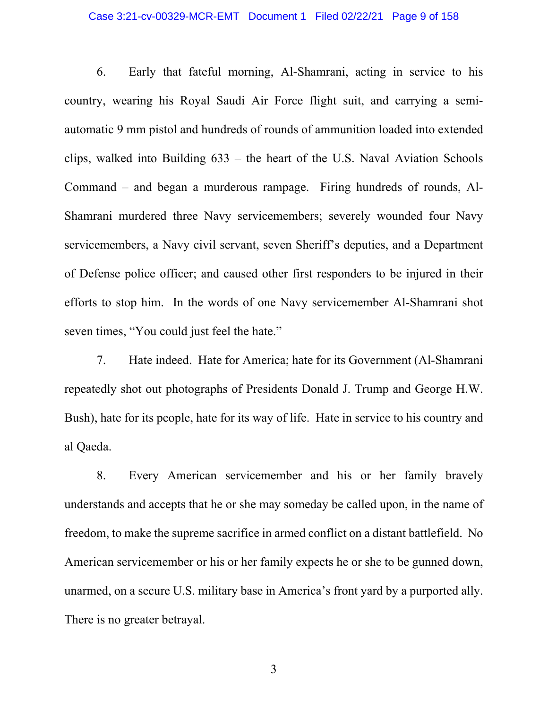### Case 3:21-cv-00329-MCR-EMT Document 1 Filed 02/22/21 Page 9 of 158

6. Early that fateful morning, Al-Shamrani, acting in service to his country, wearing his Royal Saudi Air Force flight suit, and carrying a semiautomatic 9 mm pistol and hundreds of rounds of ammunition loaded into extended clips, walked into Building 633 – the heart of the U.S. Naval Aviation Schools Command – and began a murderous rampage. Firing hundreds of rounds, Al-Shamrani murdered three Navy servicemembers; severely wounded four Navy servicemembers, a Navy civil servant, seven Sheriff's deputies, and a Department of Defense police officer; and caused other first responders to be injured in their efforts to stop him. In the words of one Navy servicemember Al-Shamrani shot seven times, "You could just feel the hate."

7. Hate indeed. Hate for America; hate for its Government (Al-Shamrani repeatedly shot out photographs of Presidents Donald J. Trump and George H.W. Bush), hate for its people, hate for its way of life. Hate in service to his country and al Qaeda.

8. Every American servicemember and his or her family bravely understands and accepts that he or she may someday be called upon, in the name of freedom, to make the supreme sacrifice in armed conflict on a distant battlefield. No American servicemember or his or her family expects he or she to be gunned down, unarmed, on a secure U.S. military base in America's front yard by a purported ally. There is no greater betrayal.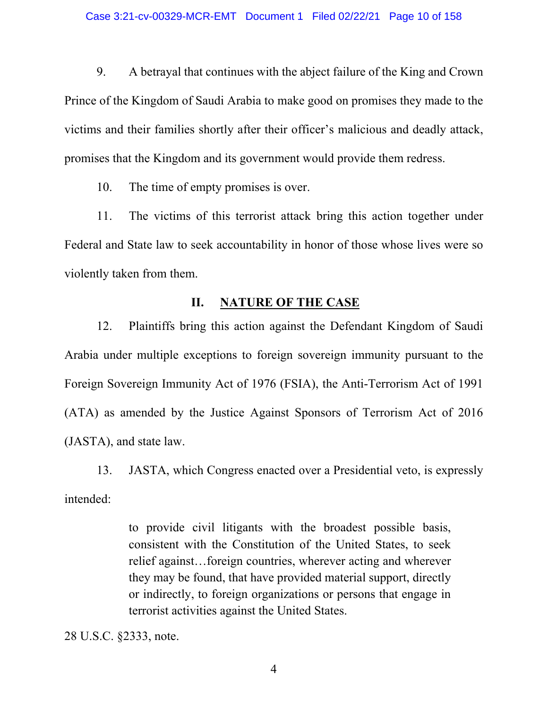9. A betrayal that continues with the abject failure of the King and Crown Prince of the Kingdom of Saudi Arabia to make good on promises they made to the victims and their families shortly after their officer's malicious and deadly attack, promises that the Kingdom and its government would provide them redress.

10. The time of empty promises is over.

11. The victims of this terrorist attack bring this action together under Federal and State law to seek accountability in honor of those whose lives were so violently taken from them.

# **II. NATURE OF THE CASE**

12. Plaintiffs bring this action against the Defendant Kingdom of Saudi Arabia under multiple exceptions to foreign sovereign immunity pursuant to the Foreign Sovereign Immunity Act of 1976 (FSIA), the Anti-Terrorism Act of 1991 (ATA) as amended by the Justice Against Sponsors of Terrorism Act of 2016 (JASTA), and state law.

13. JASTA, which Congress enacted over a Presidential veto, is expressly intended:

> to provide civil litigants with the broadest possible basis, consistent with the Constitution of the United States, to seek relief against…foreign countries, wherever acting and wherever they may be found, that have provided material support, directly or indirectly, to foreign organizations or persons that engage in terrorist activities against the United States.

28 U.S.C. §2333, note.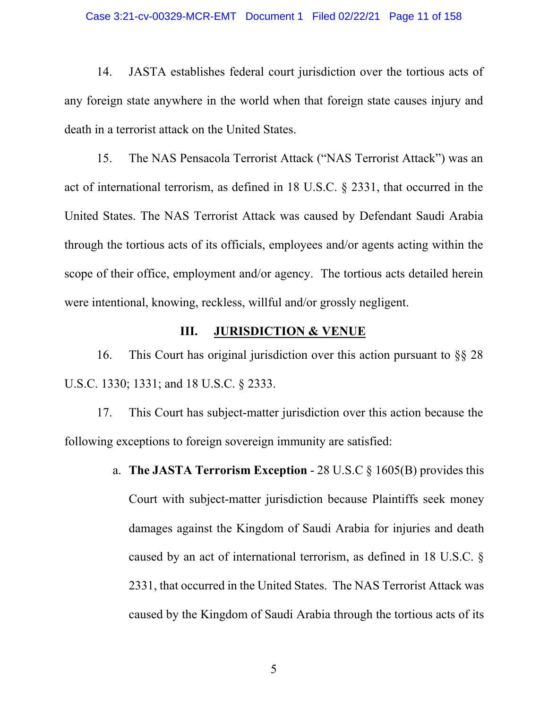### Case 3:21-cv-00329-MCR-EMT Document 1 Filed 02/22/21 Page 11 of 158

14. JASTA establishes federal court jurisdiction over the tortious acts of any foreign state anywhere in the world when that foreign state causes injury and death in a terrorist attack on the United States.

15. The NAS Pensacola Terrorist Attack ("NAS Terrorist Attack") was an act of international terrorism, as defined in 18 U.S.C. § 2331, that occurred in the United States. The NAS Terrorist Attack was caused by Defendant Saudi Arabia through the tortious acts of its officials, employees and/or agents acting within the scope of their office, employment and/or agency. The tortious acts detailed herein were intentional, knowing, reckless, willful and/or grossly negligent.

### **III.** JURISDICTION & VENUE

16. This Court has original jurisdiction over this action pursuant to §§ 28 U.S.C. 1330; 1331; and 18 U.S.C. § 2333.

17. This Court has subject-matter jurisdiction over this action because the following exceptions to foreign sovereign immunity are satisfied:

> a. **The JASTA Terrorism Exception** - 28 U.S.C § 1605(B) provides this Court with subject-matter jurisdiction because Plaintiffs seek money damages against the Kingdom of Saudi Arabia for injuries and death caused by an act of international terrorism, as defined in 18 U.S.C. § 2331, that occurred in the United States. The NAS Terrorist Attack was caused by the Kingdom of Saudi Arabia through the tortious acts of its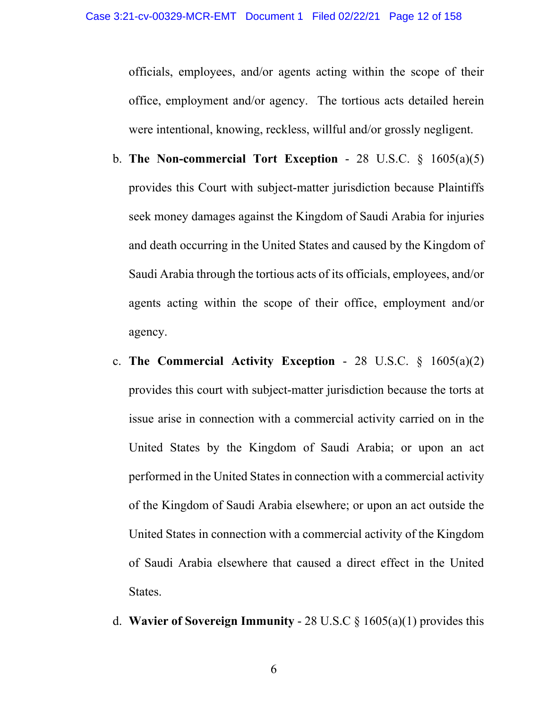officials, employees, and/or agents acting within the scope of their office, employment and/or agency. The tortious acts detailed herein were intentional, knowing, reckless, willful and/or grossly negligent.

- b. **The Non-commercial Tort Exception** 28 U.S.C. § 1605(a)(5) provides this Court with subject-matter jurisdiction because Plaintiffs seek money damages against the Kingdom of Saudi Arabia for injuries and death occurring in the United States and caused by the Kingdom of Saudi Arabia through the tortious acts of its officials, employees, and/or agents acting within the scope of their office, employment and/or agency.
- c. **The Commercial Activity Exception** 28 U.S.C. § 1605(a)(2) provides this court with subject-matter jurisdiction because the torts at issue arise in connection with a commercial activity carried on in the United States by the Kingdom of Saudi Arabia; or upon an act performed in the United States in connection with a commercial activity of the Kingdom of Saudi Arabia elsewhere; or upon an act outside the United States in connection with a commercial activity of the Kingdom of Saudi Arabia elsewhere that caused a direct effect in the United States.
- d. **Wavier of Sovereign Immunity** 28 U.S.C § 1605(a)(1) provides this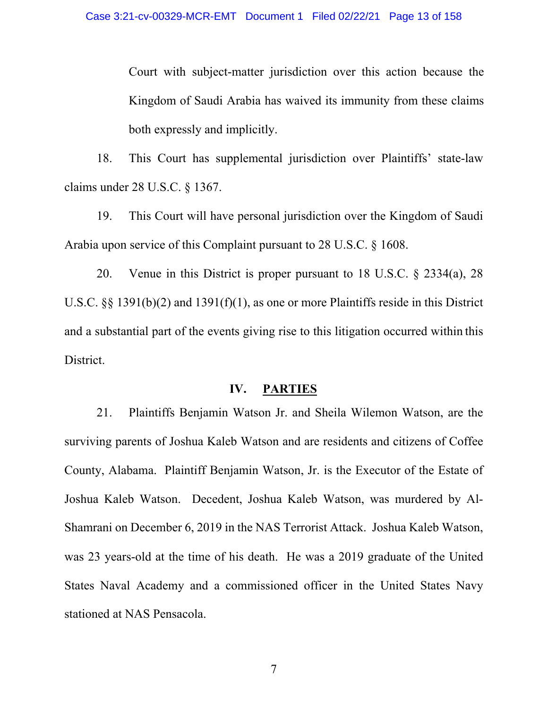Court with subject-matter jurisdiction over this action because the Kingdom of Saudi Arabia has waived its immunity from these claims both expressly and implicitly.

18. This Court has supplemental jurisdiction over Plaintiffs' state-law claims under 28 U.S.C. § 1367.

19. This Court will have personal jurisdiction over the Kingdom of Saudi Arabia upon service of this Complaint pursuant to 28 U.S.C. § 1608.

20. Venue in this District is proper pursuant to 18 U.S.C. § 2334(a), 28 U.S.C. §§ 1391(b)(2) and 1391(f)(1), as one or more Plaintiffs reside in this District and a substantial part of the events giving rise to this litigation occurred within this District.

### **IV. PARTIES**

21. Plaintiffs Benjamin Watson Jr. and Sheila Wilemon Watson, are the surviving parents of Joshua Kaleb Watson and are residents and citizens of Coffee County, Alabama. Plaintiff Benjamin Watson, Jr. is the Executor of the Estate of Joshua Kaleb Watson. Decedent, Joshua Kaleb Watson, was murdered by Al-Shamrani on December 6, 2019 in the NAS Terrorist Attack. Joshua Kaleb Watson, was 23 years-old at the time of his death. He was a 2019 graduate of the United States Naval Academy and a commissioned officer in the United States Navy stationed at NAS Pensacola.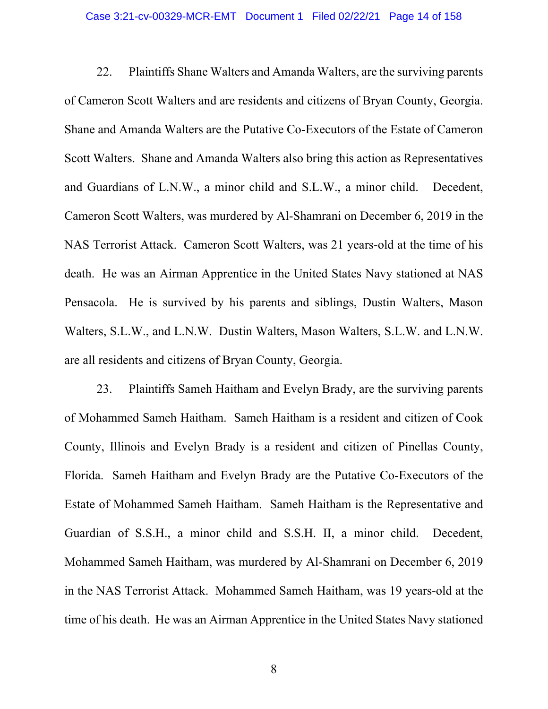### Case 3:21-cv-00329-MCR-EMT Document 1 Filed 02/22/21 Page 14 of 158

22. Plaintiffs Shane Walters and Amanda Walters, are the surviving parents of Cameron Scott Walters and are residents and citizens of Bryan County, Georgia. Shane and Amanda Walters are the Putative Co-Executors of the Estate of Cameron Scott Walters. Shane and Amanda Walters also bring this action as Representatives and Guardians of L.N.W., a minor child and S.L.W., a minor child. Decedent, Cameron Scott Walters, was murdered by Al-Shamrani on December 6, 2019 in the NAS Terrorist Attack. Cameron Scott Walters, was 21 years-old at the time of his death. He was an Airman Apprentice in the United States Navy stationed at NAS Pensacola. He is survived by his parents and siblings, Dustin Walters, Mason Walters, S.L.W., and L.N.W. Dustin Walters, Mason Walters, S.L.W. and L.N.W. are all residents and citizens of Bryan County, Georgia.

23. Plaintiffs Sameh Haitham and Evelyn Brady, are the surviving parents of Mohammed Sameh Haitham. Sameh Haitham is a resident and citizen of Cook County, Illinois and Evelyn Brady is a resident and citizen of Pinellas County, Florida. Sameh Haitham and Evelyn Brady are the Putative Co-Executors of the Estate of Mohammed Sameh Haitham. Sameh Haitham is the Representative and Guardian of S.S.H., a minor child and S.S.H. II, a minor child. Decedent, Mohammed Sameh Haitham, was murdered by Al-Shamrani on December 6, 2019 in the NAS Terrorist Attack. Mohammed Sameh Haitham, was 19 years-old at the time of his death. He was an Airman Apprentice in the United States Navy stationed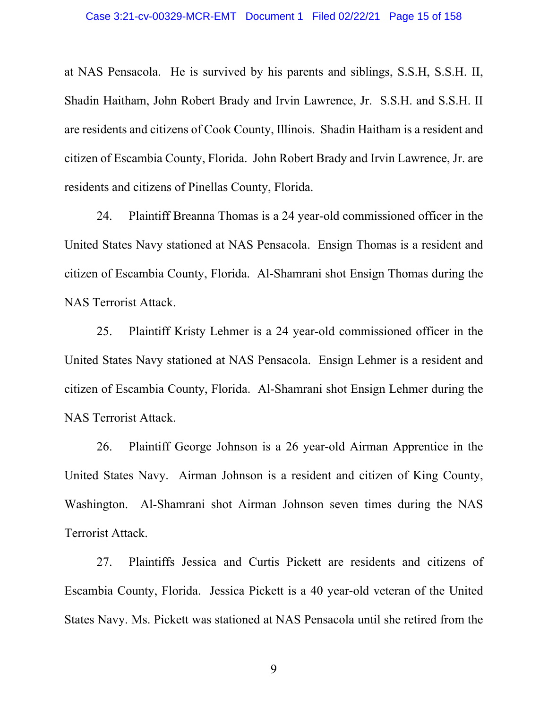at NAS Pensacola. He is survived by his parents and siblings, S.S.H, S.S.H. II, Shadin Haitham, John Robert Brady and Irvin Lawrence, Jr. S.S.H. and S.S.H. II are residents and citizens of Cook County, Illinois. Shadin Haitham is a resident and citizen of Escambia County, Florida. John Robert Brady and Irvin Lawrence, Jr. are residents and citizens of Pinellas County, Florida.

24. Plaintiff Breanna Thomas is a 24 year-old commissioned officer in the United States Navy stationed at NAS Pensacola. Ensign Thomas is a resident and citizen of Escambia County, Florida. Al-Shamrani shot Ensign Thomas during the NAS Terrorist Attack.

25. Plaintiff Kristy Lehmer is a 24 year-old commissioned officer in the United States Navy stationed at NAS Pensacola. Ensign Lehmer is a resident and citizen of Escambia County, Florida. Al-Shamrani shot Ensign Lehmer during the NAS Terrorist Attack.

26. Plaintiff George Johnson is a 26 year-old Airman Apprentice in the United States Navy. Airman Johnson is a resident and citizen of King County, Washington. Al-Shamrani shot Airman Johnson seven times during the NAS Terrorist Attack.

27. Plaintiffs Jessica and Curtis Pickett are residents and citizens of Escambia County, Florida. Jessica Pickett is a 40 year-old veteran of the United States Navy. Ms. Pickett was stationed at NAS Pensacola until she retired from the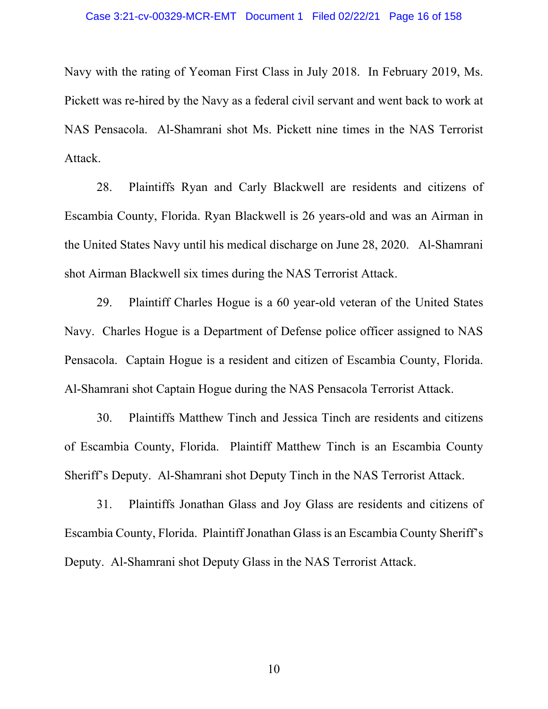Navy with the rating of Yeoman First Class in July 2018. In February 2019, Ms. Pickett was re-hired by the Navy as a federal civil servant and went back to work at NAS Pensacola. Al-Shamrani shot Ms. Pickett nine times in the NAS Terrorist Attack.

28. Plaintiffs Ryan and Carly Blackwell are residents and citizens of Escambia County, Florida. Ryan Blackwell is 26 years-old and was an Airman in the United States Navy until his medical discharge on June 28, 2020. Al-Shamrani shot Airman Blackwell six times during the NAS Terrorist Attack.

29. Plaintiff Charles Hogue is a 60 year-old veteran of the United States Navy. Charles Hogue is a Department of Defense police officer assigned to NAS Pensacola. Captain Hogue is a resident and citizen of Escambia County, Florida. Al-Shamrani shot Captain Hogue during the NAS Pensacola Terrorist Attack.

30. Plaintiffs Matthew Tinch and Jessica Tinch are residents and citizens of Escambia County, Florida. Plaintiff Matthew Tinch is an Escambia County Sheriff's Deputy. Al-Shamrani shot Deputy Tinch in the NAS Terrorist Attack.

31. Plaintiffs Jonathan Glass and Joy Glass are residents and citizens of Escambia County, Florida. Plaintiff Jonathan Glass is an Escambia County Sheriff's Deputy. Al-Shamrani shot Deputy Glass in the NAS Terrorist Attack.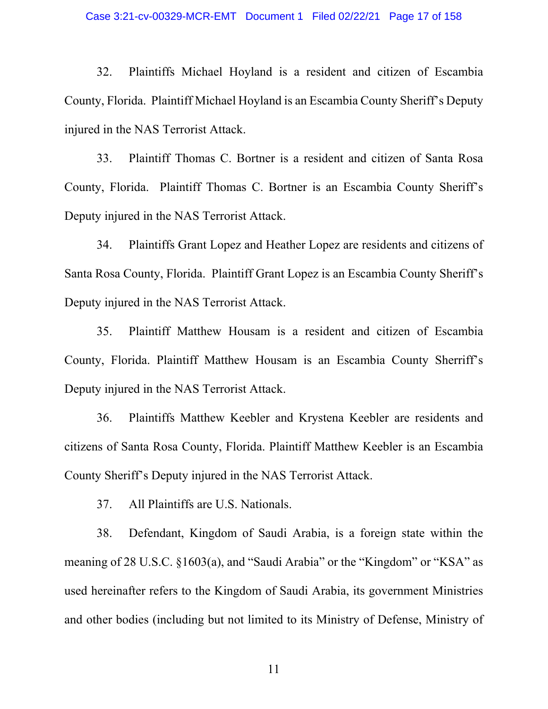#### Case 3:21-cv-00329-MCR-EMT Document 1 Filed 02/22/21 Page 17 of 158

32. Plaintiffs Michael Hoyland is a resident and citizen of Escambia County, Florida. Plaintiff Michael Hoyland is an Escambia County Sheriff's Deputy injured in the NAS Terrorist Attack.

33. Plaintiff Thomas C. Bortner is a resident and citizen of Santa Rosa County, Florida. Plaintiff Thomas C. Bortner is an Escambia County Sheriff's Deputy injured in the NAS Terrorist Attack.

34. Plaintiffs Grant Lopez and Heather Lopez are residents and citizens of Santa Rosa County, Florida. Plaintiff Grant Lopez is an Escambia County Sheriff's Deputy injured in the NAS Terrorist Attack.

35. Plaintiff Matthew Housam is a resident and citizen of Escambia County, Florida. Plaintiff Matthew Housam is an Escambia County Sherriff's Deputy injured in the NAS Terrorist Attack.

36. Plaintiffs Matthew Keebler and Krystena Keebler are residents and citizens of Santa Rosa County, Florida. Plaintiff Matthew Keebler is an Escambia County Sheriff's Deputy injured in the NAS Terrorist Attack.

37. All Plaintiffs are U.S. Nationals.

38. Defendant, Kingdom of Saudi Arabia, is a foreign state within the meaning of 28 U.S.C. §1603(a), and "Saudi Arabia" or the "Kingdom" or "KSA" as used hereinafter refers to the Kingdom of Saudi Arabia, its government Ministries and other bodies (including but not limited to its Ministry of Defense, Ministry of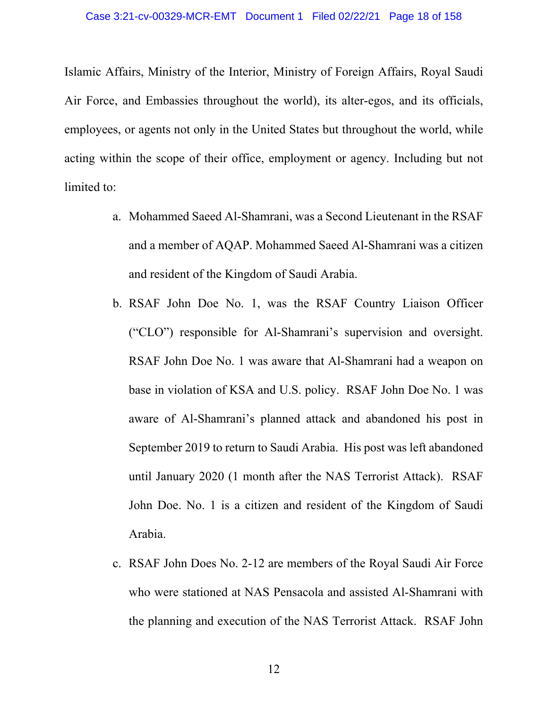Islamic Affairs, Ministry of the Interior, Ministry of Foreign Affairs, Royal Saudi Air Force, and Embassies throughout the world), its alter-egos, and its officials, employees, or agents not only in the United States but throughout the world, while acting within the scope of their office, employment or agency. Including but not limited to:

- a. Mohammed Saeed Al-Shamrani, was a Second Lieutenant in the RSAF and a member of AQAP. Mohammed Saeed Al-Shamrani was a citizen and resident of the Kingdom of Saudi Arabia.
- b. RSAF John Doe No. 1, was the RSAF Country Liaison Officer ("CLO") responsible for Al-Shamrani's supervision and oversight. RSAF John Doe No. 1 was aware that Al-Shamrani had a weapon on base in violation of KSA and U.S. policy. RSAF John Doe No. 1 was aware of Al-Shamrani's planned attack and abandoned his post in September 2019 to return to Saudi Arabia. His post was left abandoned until January 2020 (1 month after the NAS Terrorist Attack). RSAF John Doe. No. 1 is a citizen and resident of the Kingdom of Saudi Arabia.
- c. RSAF John Does No. 2-12 are members of the Royal Saudi Air Force who were stationed at NAS Pensacola and assisted Al-Shamrani with the planning and execution of the NAS Terrorist Attack. RSAF John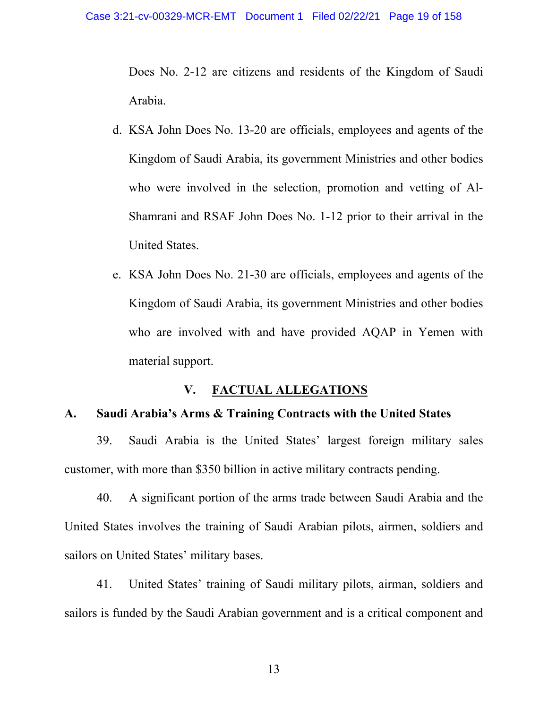Does No. 2-12 are citizens and residents of the Kingdom of Saudi Arabia.

- d. KSA John Does No. 13-20 are officials, employees and agents of the Kingdom of Saudi Arabia, its government Ministries and other bodies who were involved in the selection, promotion and vetting of Al-Shamrani and RSAF John Does No. 1-12 prior to their arrival in the United States.
- e. KSA John Does No. 21-30 are officials, employees and agents of the Kingdom of Saudi Arabia, its government Ministries and other bodies who are involved with and have provided AQAP in Yemen with material support.

# **V. FACTUAL ALLEGATIONS**

### **A. Saudi Arabia's Arms & Training Contracts with the United States**

39. Saudi Arabia is the United States' largest foreign military sales customer, with more than \$350 billion in active military contracts pending.

40. A significant portion of the arms trade between Saudi Arabia and the United States involves the training of Saudi Arabian pilots, airmen, soldiers and sailors on United States' military bases.

41. United States' training of Saudi military pilots, airman, soldiers and sailors is funded by the Saudi Arabian government and is a critical component and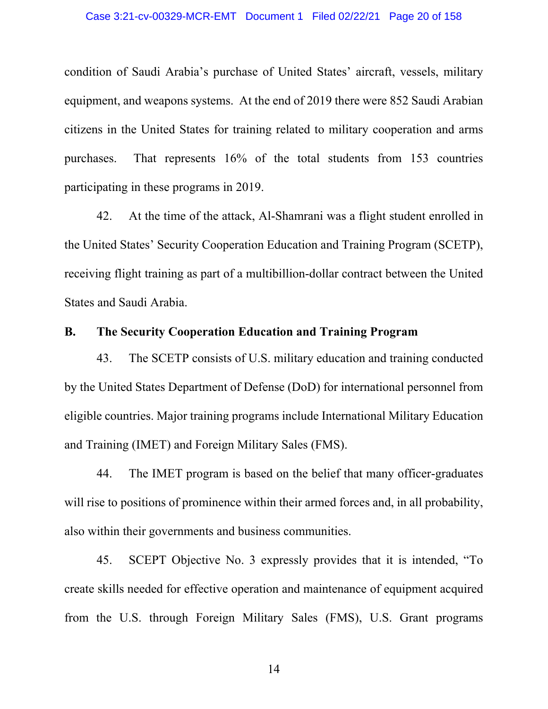### Case 3:21-cv-00329-MCR-EMT Document 1 Filed 02/22/21 Page 20 of 158

condition of Saudi Arabia's purchase of United States' aircraft, vessels, military equipment, and weapons systems. At the end of 2019 there were 852 Saudi Arabian citizens in the United States for training related to military cooperation and arms purchases. That represents 16% of the total students from 153 countries participating in these programs in 2019.

42. At the time of the attack, Al-Shamrani was a flight student enrolled in the United States' Security Cooperation Education and Training Program (SCETP), receiving flight training as part of a multibillion-dollar contract between the United States and Saudi Arabia.

# **B. The Security Cooperation Education and Training Program**

43. The SCETP consists of U.S. military education and training conducted by the United States Department of Defense (DoD) for international personnel from eligible countries. Major training programs include International Military Education and Training (IMET) and Foreign Military Sales (FMS).

44. The IMET program is based on the belief that many officer-graduates will rise to positions of prominence within their armed forces and, in all probability, also within their governments and business communities.

45. SCEPT Objective No. 3 expressly provides that it is intended, "To create skills needed for effective operation and maintenance of equipment acquired from the U.S. through Foreign Military Sales (FMS), U.S. Grant programs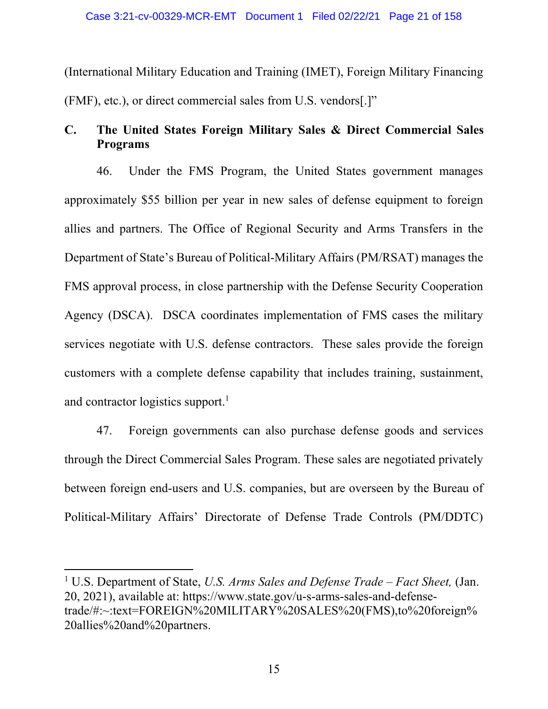(International Military Education and Training (IMET), Foreign Military Financing (FMF), etc.), or direct commercial sales from U.S. vendors[.]"

# **C. The United States Foreign Military Sales & Direct Commercial Sales Programs**

46. Under the FMS Program, the United States government manages approximately \$55 billion per year in new sales of defense equipment to foreign allies and partners. The Office of Regional Security and Arms Transfers in the Department of State's Bureau of Political-Military Affairs (PM/RSAT) manages the FMS approval process, in close partnership with the Defense Security Cooperation Agency (DSCA). DSCA coordinates implementation of FMS cases the military services negotiate with U.S. defense contractors. These sales provide the foreign customers with a complete defense capability that includes training, sustainment, and contractor logistics support.<sup>1</sup>

47. Foreign governments can also purchase defense goods and services through the Direct Commercial Sales Program. These sales are negotiated privately between foreign end-users and U.S. companies, but are overseen by the Bureau of Political-Military Affairs' Directorate of Defense Trade Controls (PM/DDTC)

<sup>1</sup> U.S. Department of State, *U.S. Arms Sales and Defense Trade – Fact Sheet,* (Jan. 20, 2021), available at: https://www.state.gov/u-s-arms-sales-and-defensetrade/#:~:text=FOREIGN%20MILITARY%20SALES%20(FMS),to%20foreign% 20allies%20and%20partners.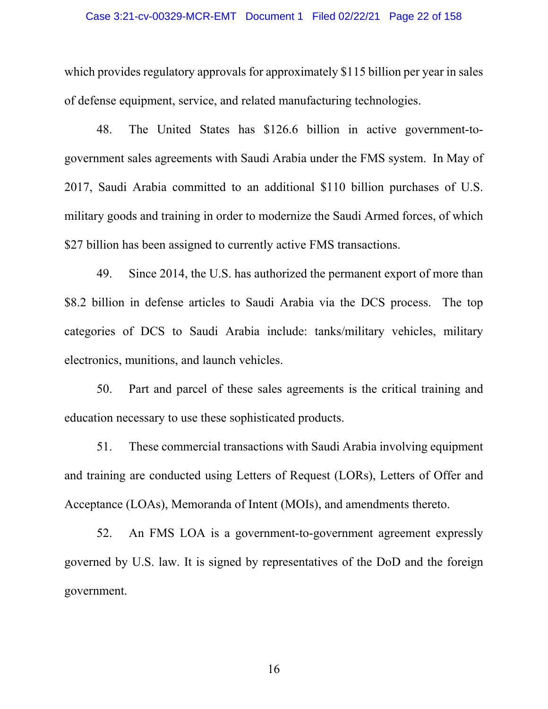### Case 3:21-cv-00329-MCR-EMT Document 1 Filed 02/22/21 Page 22 of 158

which provides regulatory approvals for approximately \$115 billion per year in sales of defense equipment, service, and related manufacturing technologies.

48. The United States has \$126.6 billion in active government-togovernment sales agreements with Saudi Arabia under the FMS system. In May of 2017, Saudi Arabia committed to an additional \$110 billion purchases of U.S. military goods and training in order to modernize the Saudi Armed forces, of which \$27 billion has been assigned to currently active FMS transactions.

49. Since 2014, the U.S. has authorized the permanent export of more than \$8.2 billion in defense articles to Saudi Arabia via the DCS process. The top categories of DCS to Saudi Arabia include: tanks/military vehicles, military electronics, munitions, and launch vehicles.

50. Part and parcel of these sales agreements is the critical training and education necessary to use these sophisticated products.

51. These commercial transactions with Saudi Arabia involving equipment and training are conducted using Letters of Request (LORs), Letters of Offer and Acceptance (LOAs), Memoranda of Intent (MOIs), and amendments thereto.

52. An FMS LOA is a government-to-government agreement expressly governed by U.S. law. It is signed by representatives of the DoD and the foreign government.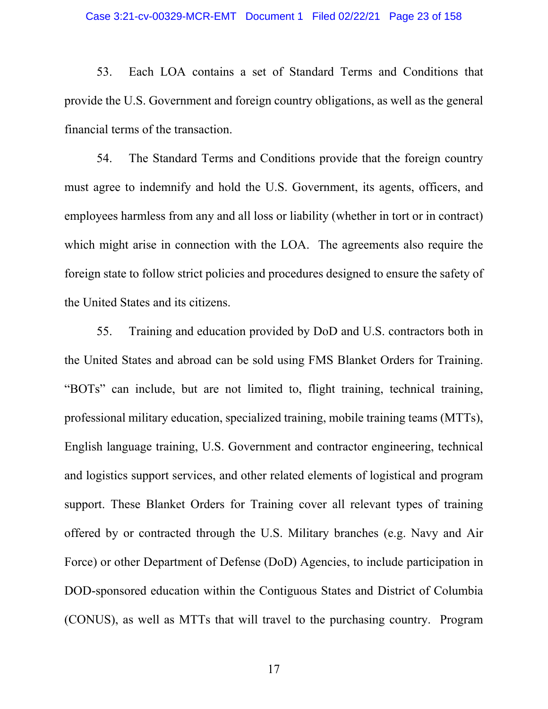53. Each LOA contains a set of Standard Terms and Conditions that provide the U.S. Government and foreign country obligations, as well as the general financial terms of the transaction.

54. The Standard Terms and Conditions provide that the foreign country must agree to indemnify and hold the U.S. Government, its agents, officers, and employees harmless from any and all loss or liability (whether in tort or in contract) which might arise in connection with the LOA. The agreements also require the foreign state to follow strict policies and procedures designed to ensure the safety of the United States and its citizens.

55. Training and education provided by DoD and U.S. contractors both in the United States and abroad can be sold using FMS Blanket Orders for Training. "BOTs" can include, but are not limited to, flight training, technical training, professional military education, specialized training, mobile training teams (MTTs), English language training, U.S. Government and contractor engineering, technical and logistics support services, and other related elements of logistical and program support. These Blanket Orders for Training cover all relevant types of training offered by or contracted through the U.S. Military branches (e.g. Navy and Air Force) or other Department of Defense (DoD) Agencies, to include participation in DOD-sponsored education within the Contiguous States and District of Columbia (CONUS), as well as MTTs that will travel to the purchasing country. Program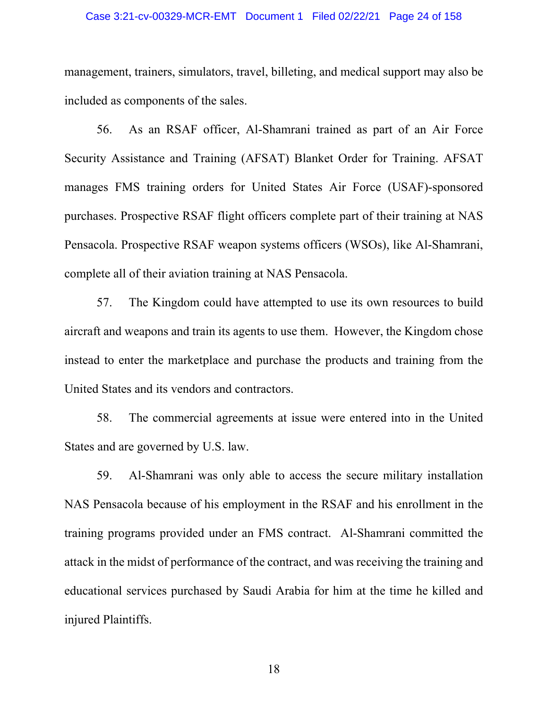#### Case 3:21-cv-00329-MCR-EMT Document 1 Filed 02/22/21 Page 24 of 158

management, trainers, simulators, travel, billeting, and medical support may also be included as components of the sales.

56. As an RSAF officer, Al-Shamrani trained as part of an Air Force Security Assistance and Training (AFSAT) Blanket Order for Training. AFSAT manages FMS training orders for United States Air Force (USAF)-sponsored purchases. Prospective RSAF flight officers complete part of their training at NAS Pensacola. Prospective RSAF weapon systems officers (WSOs), like Al-Shamrani, complete all of their aviation training at NAS Pensacola.

57. The Kingdom could have attempted to use its own resources to build aircraft and weapons and train its agents to use them. However, the Kingdom chose instead to enter the marketplace and purchase the products and training from the United States and its vendors and contractors.

58. The commercial agreements at issue were entered into in the United States and are governed by U.S. law.

59. Al-Shamrani was only able to access the secure military installation NAS Pensacola because of his employment in the RSAF and his enrollment in the training programs provided under an FMS contract. Al-Shamrani committed the attack in the midst of performance of the contract, and was receiving the training and educational services purchased by Saudi Arabia for him at the time he killed and injured Plaintiffs.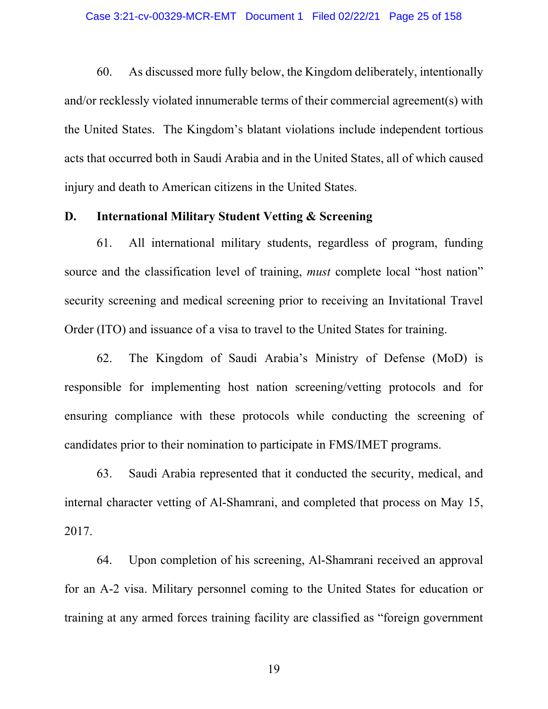60. As discussed more fully below, the Kingdom deliberately, intentionally and/or recklessly violated innumerable terms of their commercial agreement(s) with the United States. The Kingdom's blatant violations include independent tortious acts that occurred both in Saudi Arabia and in the United States, all of which caused injury and death to American citizens in the United States.

### **D. International Military Student Vetting & Screening**

61. All international military students, regardless of program, funding source and the classification level of training, *must* complete local "host nation" security screening and medical screening prior to receiving an Invitational Travel Order (ITO) and issuance of a visa to travel to the United States for training.

62. The Kingdom of Saudi Arabia's Ministry of Defense (MoD) is responsible for implementing host nation screening/vetting protocols and for ensuring compliance with these protocols while conducting the screening of candidates prior to their nomination to participate in FMS/IMET programs.

63. Saudi Arabia represented that it conducted the security, medical, and internal character vetting of Al-Shamrani, and completed that process on May 15, 2017.

64. Upon completion of his screening, Al-Shamrani received an approval for an A-2 visa. Military personnel coming to the United States for education or training at any armed forces training facility are classified as "foreign government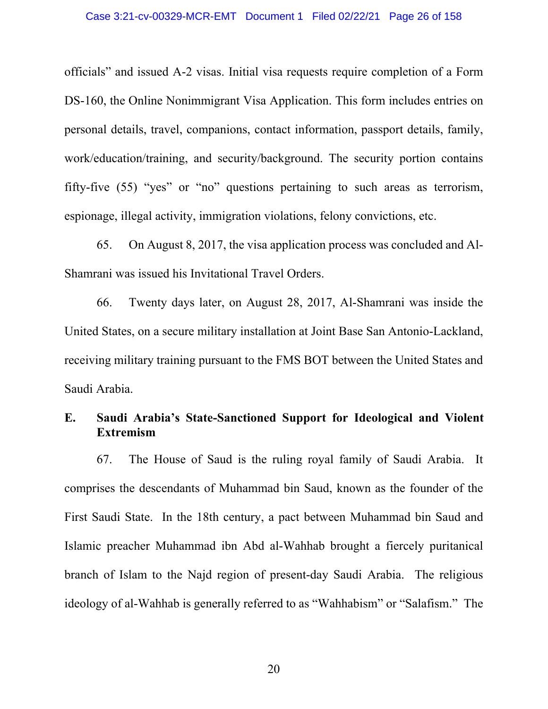officials" and issued A-2 visas. Initial visa requests require completion of a Form DS-160, the Online Nonimmigrant Visa Application. This form includes entries on personal details, travel, companions, contact information, passport details, family, work/education/training, and security/background. The security portion contains fifty-five (55) "yes" or "no" questions pertaining to such areas as terrorism, espionage, illegal activity, immigration violations, felony convictions, etc.

65. On August 8, 2017, the visa application process was concluded and Al-Shamrani was issued his Invitational Travel Orders.

66. Twenty days later, on August 28, 2017, Al-Shamrani was inside the United States, on a secure military installation at Joint Base San Antonio-Lackland, receiving military training pursuant to the FMS BOT between the United States and Saudi Arabia.

# **E. Saudi Arabia's State-Sanctioned Support for Ideological and Violent Extremism**

67. The House of Saud is the ruling royal family of Saudi Arabia. It comprises the descendants of Muhammad bin Saud, known as the founder of the First Saudi State. In the 18th century, a pact between Muhammad bin Saud and Islamic preacher Muhammad ibn Abd al-Wahhab brought a fiercely puritanical branch of Islam to the Najd region of present-day Saudi Arabia. The religious ideology of al-Wahhab is generally referred to as "Wahhabism" or "Salafism." The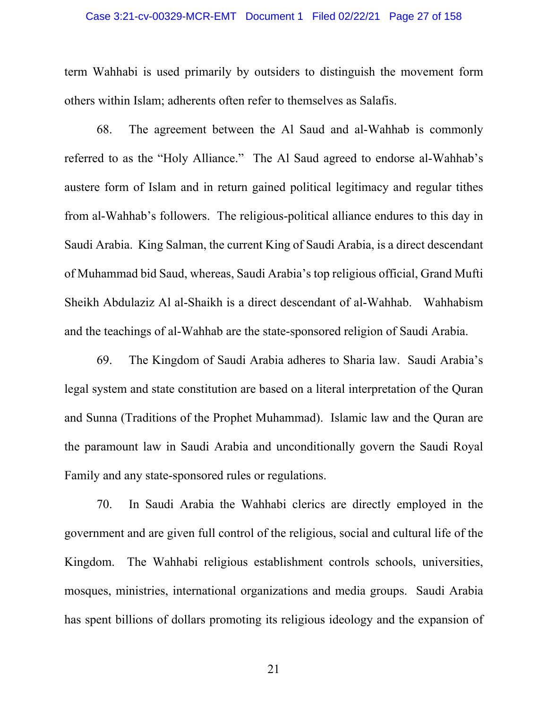### Case 3:21-cv-00329-MCR-EMT Document 1 Filed 02/22/21 Page 27 of 158

term Wahhabi is used primarily by outsiders to distinguish the movement form others within Islam; adherents often refer to themselves as Salafis.

68. The agreement between the Al Saud and al-Wahhab is commonly referred to as the "Holy Alliance." The Al Saud agreed to endorse al-Wahhab's austere form of Islam and in return gained political legitimacy and regular tithes from al-Wahhab's followers. The religious-political alliance endures to this day in Saudi Arabia. King Salman, the current King of Saudi Arabia, is a direct descendant of Muhammad bid Saud, whereas, Saudi Arabia's top religious official, Grand Mufti Sheikh Abdulaziz Al al-Shaikh is a direct descendant of al-Wahhab. Wahhabism and the teachings of al-Wahhab are the state-sponsored religion of Saudi Arabia.

69. The Kingdom of Saudi Arabia adheres to Sharia law. Saudi Arabia's legal system and state constitution are based on a literal interpretation of the Quran and Sunna (Traditions of the Prophet Muhammad). Islamic law and the Quran are the paramount law in Saudi Arabia and unconditionally govern the Saudi Royal Family and any state-sponsored rules or regulations.

70. In Saudi Arabia the Wahhabi clerics are directly employed in the government and are given full control of the religious, social and cultural life of the Kingdom. The Wahhabi religious establishment controls schools, universities, mosques, ministries, international organizations and media groups. Saudi Arabia has spent billions of dollars promoting its religious ideology and the expansion of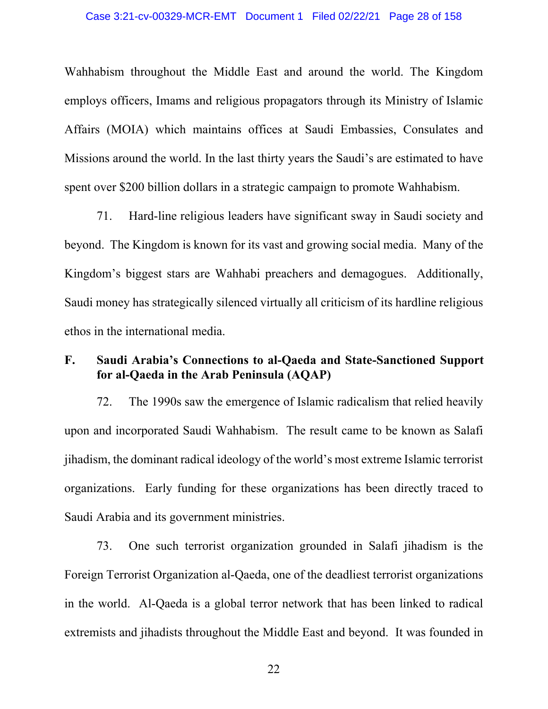Wahhabism throughout the Middle East and around the world. The Kingdom employs officers, Imams and religious propagators through its Ministry of Islamic Affairs (MOIA) which maintains offices at Saudi Embassies, Consulates and Missions around the world. In the last thirty years the Saudi's are estimated to have spent over \$200 billion dollars in a strategic campaign to promote Wahhabism.

71. Hard-line religious leaders have significant sway in Saudi society and beyond. The Kingdom is known for its vast and growing social media. Many of the Kingdom's biggest stars are Wahhabi preachers and demagogues. Additionally, Saudi money has strategically silenced virtually all criticism of its hardline religious ethos in the international media.

# **F. Saudi Arabia's Connections to al-Qaeda and State-Sanctioned Support for al-Qaeda in the Arab Peninsula (AQAP)**

72. The 1990s saw the emergence of Islamic radicalism that relied heavily upon and incorporated Saudi Wahhabism. The result came to be known as Salafi jihadism, the dominant radical ideology of the world's most extreme Islamic terrorist organizations. Early funding for these organizations has been directly traced to Saudi Arabia and its government ministries.

73. One such terrorist organization grounded in Salafi jihadism is the Foreign Terrorist Organization al-Qaeda, one of the deadliest terrorist organizations in the world. Al-Qaeda is a global terror network that has been linked to radical extremists and jihadists throughout the Middle East and beyond. It was founded in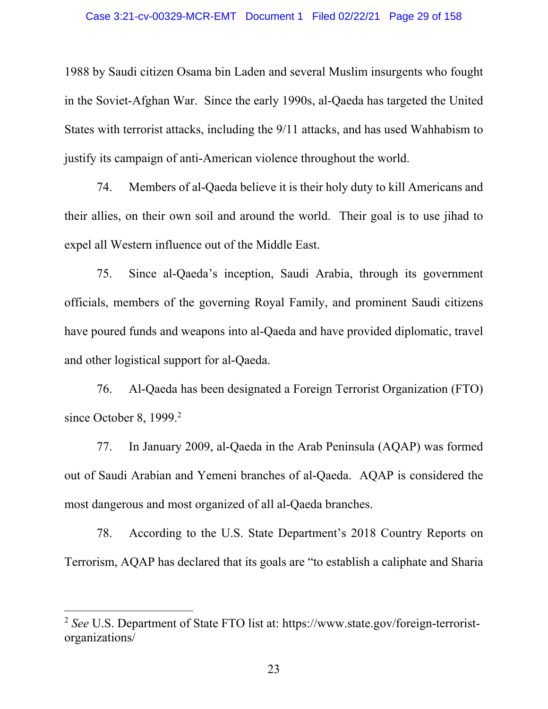1988 by Saudi citizen Osama bin Laden and several Muslim insurgents who fought in the Soviet-Afghan War. Since the early 1990s, al-Qaeda has targeted the United States with terrorist attacks, including the 9/11 attacks, and has used Wahhabism to justify its campaign of anti-American violence throughout the world.

74. Members of al-Qaeda believe it is their holy duty to kill Americans and their allies, on their own soil and around the world. Their goal is to use jihad to expel all Western influence out of the Middle East.

75. Since al-Qaeda's inception, Saudi Arabia, through its government officials, members of the governing Royal Family, and prominent Saudi citizens have poured funds and weapons into al-Qaeda and have provided diplomatic, travel and other logistical support for al-Qaeda.

76. Al-Qaeda has been designated a Foreign Terrorist Organization (FTO) since October 8,  $1999.<sup>2</sup>$ 

77. In January 2009, al-Qaeda in the Arab Peninsula (AQAP) was formed out of Saudi Arabian and Yemeni branches of al-Qaeda. AQAP is considered the most dangerous and most organized of all al-Qaeda branches.

78. According to the U.S. State Department's 2018 Country Reports on Terrorism, AQAP has declared that its goals are "to establish a caliphate and Sharia

<sup>2</sup> *See* U.S. Department of State FTO list at: https://www.state.gov/foreign-terroristorganizations/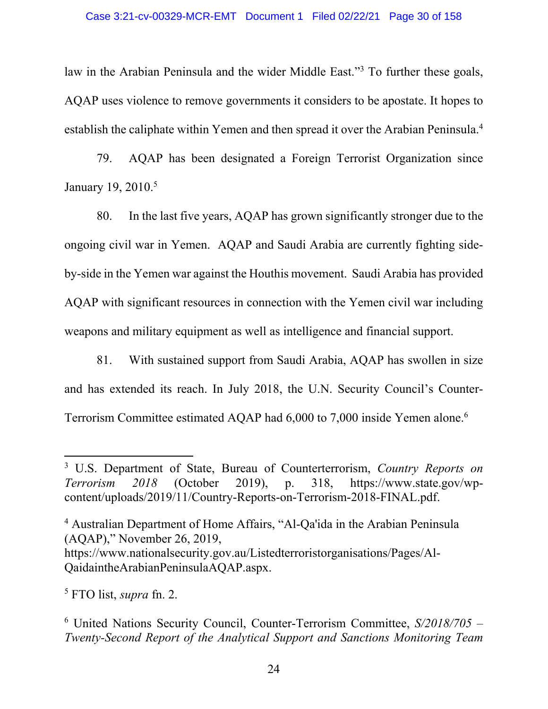law in the Arabian Peninsula and the wider Middle East."<sup>3</sup> To further these goals, AQAP uses violence to remove governments it considers to be apostate. It hopes to establish the caliphate within Yemen and then spread it over the Arabian Peninsula.4

79. AQAP has been designated a Foreign Terrorist Organization since January 19, 2010.<sup>5</sup>

80. In the last five years, AQAP has grown significantly stronger due to the ongoing civil war in Yemen. AQAP and Saudi Arabia are currently fighting sideby-side in the Yemen war against the Houthis movement. Saudi Arabia has provided AQAP with significant resources in connection with the Yemen civil war including weapons and military equipment as well as intelligence and financial support.

81. With sustained support from Saudi Arabia, AQAP has swollen in size and has extended its reach. In July 2018, the U.N. Security Council's Counter-Terrorism Committee estimated AQAP had 6,000 to 7,000 inside Yemen alone.6

<sup>4</sup> Australian Department of Home Affairs, "Al-Qa'ida in the Arabian Peninsula (AQAP)," November 26, 2019, https://www.nationalsecurity.gov.au/Listedterroristorganisations/Pages/Al-QaidaintheArabianPeninsulaAQAP.aspx.

5 FTO list, *supra* fn. 2.

<sup>3</sup> U.S. Department of State, Bureau of Counterterrorism, *Country Reports on Terrorism 2018* (October 2019), p. 318, https://www.state.gov/wpcontent/uploads/2019/11/Country-Reports-on-Terrorism-2018-FINAL.pdf.

<sup>6</sup> United Nations Security Council, Counter-Terrorism Committee, *S/2018/705 – Twenty-Second Report of the Analytical Support and Sanctions Monitoring Team*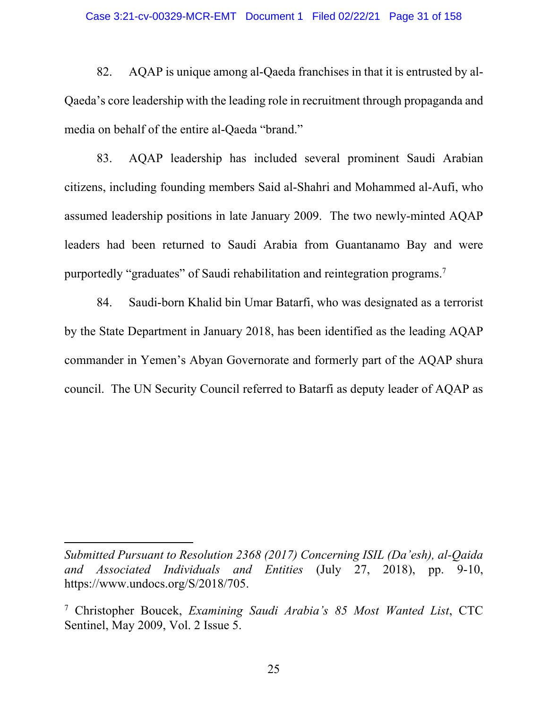#### Case 3:21-cv-00329-MCR-EMT Document 1 Filed 02/22/21 Page 31 of 158

82. AQAP is unique among al-Qaeda franchises in that it is entrusted by al-Qaeda's core leadership with the leading role in recruitment through propaganda and media on behalf of the entire al-Qaeda "brand."

83. AQAP leadership has included several prominent Saudi Arabian citizens, including founding members Said al-Shahri and Mohammed al-Aufi, who assumed leadership positions in late January 2009. The two newly-minted AQAP leaders had been returned to Saudi Arabia from Guantanamo Bay and were purportedly "graduates" of Saudi rehabilitation and reintegration programs.<sup>7</sup>

84. Saudi-born Khalid bin Umar Batarfi, who was designated as a terrorist by the State Department in January 2018, has been identified as the leading AQAP commander in Yemen's Abyan Governorate and formerly part of the AQAP shura council. The UN Security Council referred to Batarfi as deputy leader of AQAP as

*Submitted Pursuant to Resolution 2368 (2017) Concerning ISIL (Da'esh), al-Qaida and Associated Individuals and Entities* (July 27, 2018), pp. 9-10, https://www.undocs.org/S/2018/705.

<sup>7</sup> Christopher Boucek, *Examining Saudi Arabia's 85 Most Wanted List*, CTC Sentinel, May 2009, Vol. 2 Issue 5.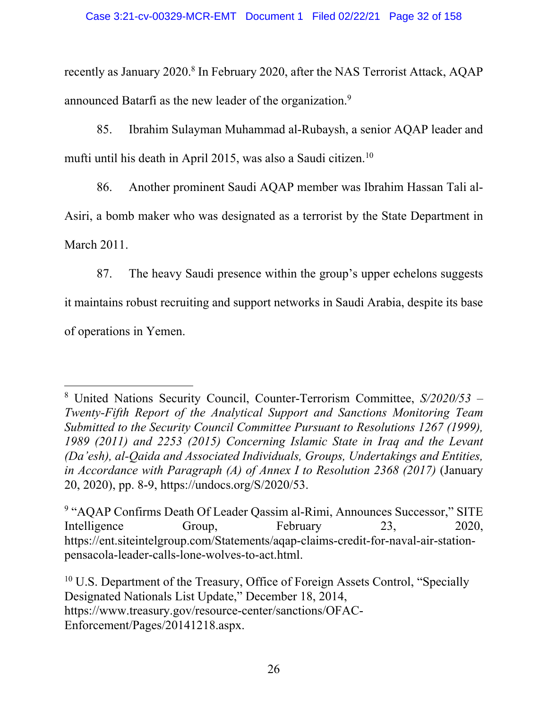recently as January 2020.<sup>8</sup> In February 2020, after the NAS Terrorist Attack, AQAP announced Batarfi as the new leader of the organization.9

85. Ibrahim Sulayman Muhammad al-Rubaysh, a senior AQAP leader and mufti until his death in April 2015, was also a Saudi citizen.10

86. Another prominent Saudi AQAP member was Ibrahim Hassan Tali al-Asiri, a bomb maker who was designated as a terrorist by the State Department in

March 2011.

87. The heavy Saudi presence within the group's upper echelons suggests it maintains robust recruiting and support networks in Saudi Arabia, despite its base of operations in Yemen.

 8 United Nations Security Council, Counter-Terrorism Committee, *S/2020/53 – Twenty-Fifth Report of the Analytical Support and Sanctions Monitoring Team Submitted to the Security Council Committee Pursuant to Resolutions 1267 (1999), 1989 (2011) and 2253 (2015) Concerning Islamic State in Iraq and the Levant (Da'esh), al-Qaida and Associated Individuals, Groups, Undertakings and Entities, in Accordance with Paragraph (A) of Annex I to Resolution 2368 (2017)* (January 20, 2020), pp. 8-9, https://undocs.org/S/2020/53.

<sup>&</sup>lt;sup>9</sup> "AQAP Confirms Death Of Leader Qassim al-Rimi, Announces Successor," SITE Intelligence Group, February 23, 2020, https://ent.siteintelgroup.com/Statements/aqap-claims-credit-for-naval-air-stationpensacola-leader-calls-lone-wolves-to-act.html.

<sup>&</sup>lt;sup>10</sup> U.S. Department of the Treasury, Office of Foreign Assets Control, "Specially Designated Nationals List Update," December 18, 2014, https://www.treasury.gov/resource-center/sanctions/OFAC-Enforcement/Pages/20141218.aspx.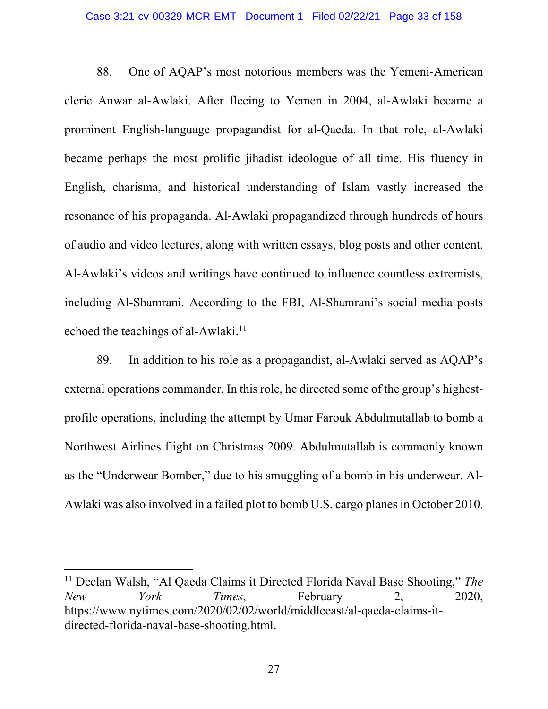88. One of AQAP's most notorious members was the Yemeni-American cleric Anwar al-Awlaki. After fleeing to Yemen in 2004, al-Awlaki became a prominent English-language propagandist for al-Qaeda. In that role, al-Awlaki became perhaps the most prolific jihadist ideologue of all time. His fluency in English, charisma, and historical understanding of Islam vastly increased the resonance of his propaganda. Al-Awlaki propagandized through hundreds of hours of audio and video lectures, along with written essays, blog posts and other content. Al-Awlaki's videos and writings have continued to influence countless extremists, including Al-Shamrani. According to the FBI, Al-Shamrani's social media posts echoed the teachings of al-Awlaki.<sup>11</sup>

89. In addition to his role as a propagandist, al-Awlaki served as AQAP's external operations commander. In this role, he directed some of the group's highestprofile operations, including the attempt by Umar Farouk Abdulmutallab to bomb a Northwest Airlines flight on Christmas 2009. Abdulmutallab is commonly known as the "Underwear Bomber," due to his smuggling of a bomb in his underwear. Al-Awlaki was also involved in a failed plot to bomb U.S. cargo planes in October 2010.

<sup>11</sup> Declan Walsh, "Al Qaeda Claims it Directed Florida Naval Base Shooting," *The New York Times*, February 2, 2020, https://www.nytimes.com/2020/02/02/world/middleeast/al-qaeda-claims-itdirected-florida-naval-base-shooting.html.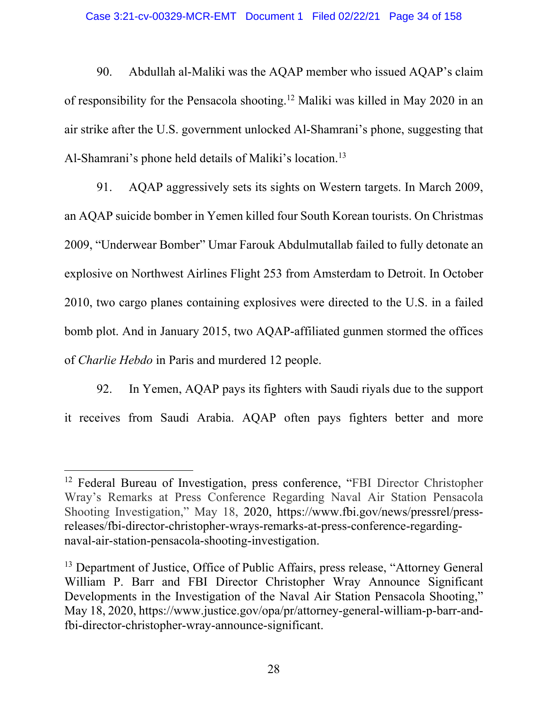90. Abdullah al-Maliki was the AQAP member who issued AQAP's claim of responsibility for the Pensacola shooting.12 Maliki was killed in May 2020 in an air strike after the U.S. government unlocked Al-Shamrani's phone, suggesting that Al-Shamrani's phone held details of Maliki's location.<sup>13</sup>

91. AQAP aggressively sets its sights on Western targets. In March 2009, an AQAP suicide bomber in Yemen killed four South Korean tourists. On Christmas 2009, "Underwear Bomber" Umar Farouk Abdulmutallab failed to fully detonate an explosive on Northwest Airlines Flight 253 from Amsterdam to Detroit. In October 2010, two cargo planes containing explosives were directed to the U.S. in a failed bomb plot. And in January 2015, two AQAP-affiliated gunmen stormed the offices of *Charlie Hebdo* in Paris and murdered 12 people.

92. In Yemen, AQAP pays its fighters with Saudi riyals due to the support it receives from Saudi Arabia. AQAP often pays fighters better and more

<sup>&</sup>lt;sup>12</sup> Federal Bureau of Investigation, press conference, "FBI Director Christopher Wray's Remarks at Press Conference Regarding Naval Air Station Pensacola Shooting Investigation," May 18, 2020, https://www.fbi.gov/news/pressrel/pressreleases/fbi-director-christopher-wrays-remarks-at-press-conference-regardingnaval-air-station-pensacola-shooting-investigation.

<sup>&</sup>lt;sup>13</sup> Department of Justice, Office of Public Affairs, press release, "Attorney General William P. Barr and FBI Director Christopher Wray Announce Significant Developments in the Investigation of the Naval Air Station Pensacola Shooting," May 18, 2020, https://www.justice.gov/opa/pr/attorney-general-william-p-barr-andfbi-director-christopher-wray-announce-significant.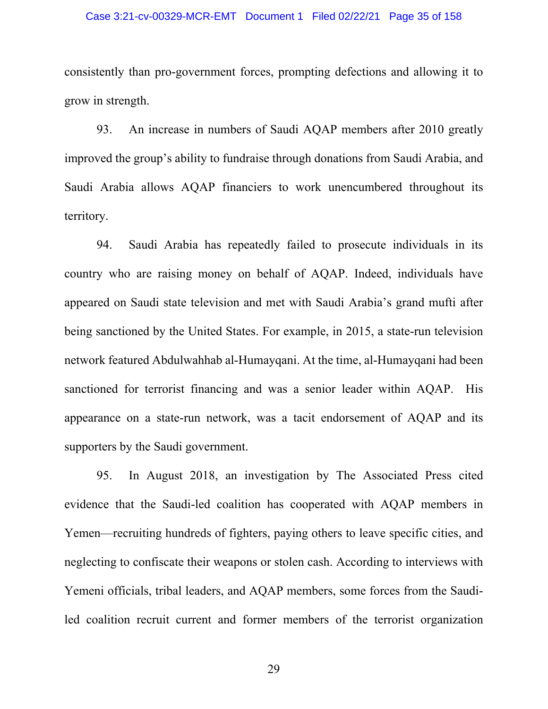### Case 3:21-cv-00329-MCR-EMT Document 1 Filed 02/22/21 Page 35 of 158

consistently than pro-government forces, prompting defections and allowing it to grow in strength.

93. An increase in numbers of Saudi AQAP members after 2010 greatly improved the group's ability to fundraise through donations from Saudi Arabia, and Saudi Arabia allows AQAP financiers to work unencumbered throughout its territory.

94. Saudi Arabia has repeatedly failed to prosecute individuals in its country who are raising money on behalf of AQAP. Indeed, individuals have appeared on Saudi state television and met with Saudi Arabia's grand mufti after being sanctioned by the United States. For example, in 2015, a state-run television network featured Abdulwahhab al-Humayqani. At the time, al-Humayqani had been sanctioned for terrorist financing and was a senior leader within AQAP. His appearance on a state-run network, was a tacit endorsement of AQAP and its supporters by the Saudi government.

95. In August 2018, an investigation by The Associated Press cited evidence that the Saudi-led coalition has cooperated with AQAP members in Yemen—recruiting hundreds of fighters, paying others to leave specific cities, and neglecting to confiscate their weapons or stolen cash. According to interviews with Yemeni officials, tribal leaders, and AQAP members, some forces from the Saudiled coalition recruit current and former members of the terrorist organization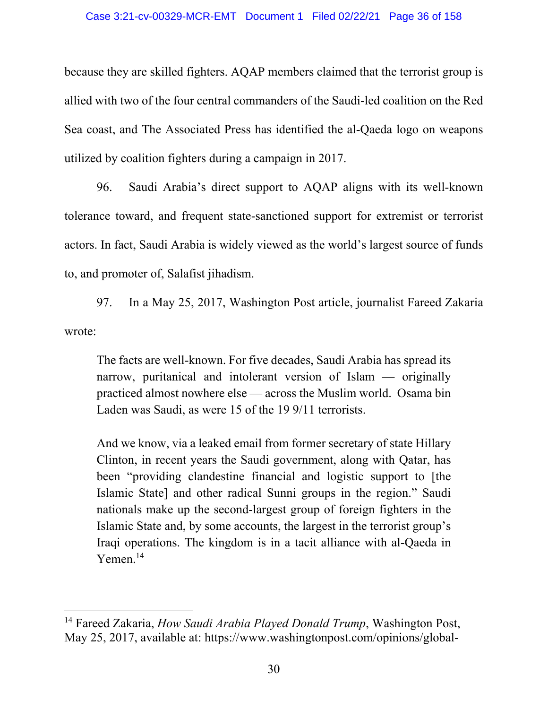because they are skilled fighters. AQAP members claimed that the terrorist group is allied with two of the four central commanders of the Saudi-led coalition on the Red Sea coast, and The Associated Press has identified the al-Qaeda logo on weapons utilized by coalition fighters during a campaign in 2017.

96. Saudi Arabia's direct support to AQAP aligns with its well-known tolerance toward, and frequent state-sanctioned support for extremist or terrorist actors. In fact, Saudi Arabia is widely viewed as the world's largest source of funds to, and promoter of, Salafist jihadism.

97. In a May 25, 2017, Washington Post article, journalist Fareed Zakaria wrote:

The facts are well-known. For five decades, Saudi Arabia has spread its narrow, puritanical and intolerant version of Islam — originally practiced almost nowhere else — across the Muslim world. Osama bin Laden was Saudi, as were 15 of the 19 9/11 terrorists.

And we know, via a leaked email from former secretary of state Hillary Clinton, in recent years the Saudi government, along with Qatar, has been "providing clandestine financial and logistic support to [the Islamic State] and other radical Sunni groups in the region." Saudi nationals make up the second-largest group of foreign fighters in the Islamic State and, by some accounts, the largest in the terrorist group's Iraqi operations. The kingdom is in a tacit alliance with al-Qaeda in Yemen.<sup>14</sup>

<sup>14</sup> Fareed Zakaria, *How Saudi Arabia Played Donald Trump*, Washington Post, May 25, 2017, available at: https://www.washingtonpost.com/opinions/global-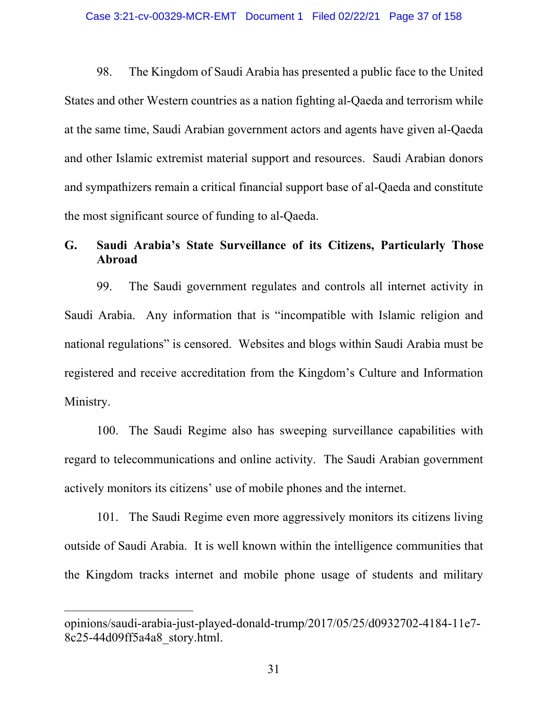98. The Kingdom of Saudi Arabia has presented a public face to the United States and other Western countries as a nation fighting al-Qaeda and terrorism while at the same time, Saudi Arabian government actors and agents have given al-Qaeda and other Islamic extremist material support and resources. Saudi Arabian donors and sympathizers remain a critical financial support base of al-Qaeda and constitute the most significant source of funding to al-Qaeda.

# **G. Saudi Arabia's State Surveillance of its Citizens, Particularly Those Abroad**

99. The Saudi government regulates and controls all internet activity in Saudi Arabia. Any information that is "incompatible with Islamic religion and national regulations" is censored. Websites and blogs within Saudi Arabia must be registered and receive accreditation from the Kingdom's Culture and Information Ministry.

100. The Saudi Regime also has sweeping surveillance capabilities with regard to telecommunications and online activity. The Saudi Arabian government actively monitors its citizens' use of mobile phones and the internet.

101. The Saudi Regime even more aggressively monitors its citizens living outside of Saudi Arabia. It is well known within the intelligence communities that the Kingdom tracks internet and mobile phone usage of students and military

opinions/saudi-arabia-just-played-donald-trump/2017/05/25/d0932702-4184-11e7- 8c25-44d09ff5a4a8\_story.html.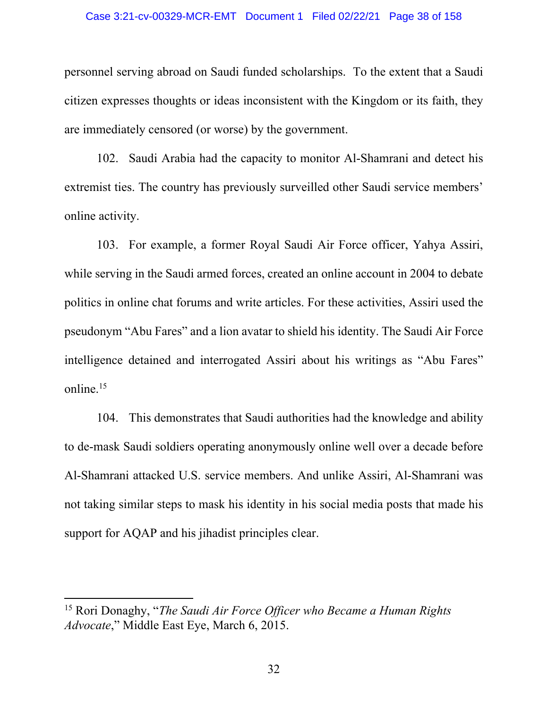#### Case 3:21-cv-00329-MCR-EMT Document 1 Filed 02/22/21 Page 38 of 158

personnel serving abroad on Saudi funded scholarships. To the extent that a Saudi citizen expresses thoughts or ideas inconsistent with the Kingdom or its faith, they are immediately censored (or worse) by the government.

102. Saudi Arabia had the capacity to monitor Al-Shamrani and detect his extremist ties. The country has previously surveilled other Saudi service members' online activity.

103. For example, a former Royal Saudi Air Force officer, Yahya Assiri, while serving in the Saudi armed forces, created an online account in 2004 to debate politics in online chat forums and write articles. For these activities, Assiri used the pseudonym "Abu Fares" and a lion avatar to shield his identity. The Saudi Air Force intelligence detained and interrogated Assiri about his writings as "Abu Fares" online.<sup>15</sup>

104. This demonstrates that Saudi authorities had the knowledge and ability to de-mask Saudi soldiers operating anonymously online well over a decade before Al-Shamrani attacked U.S. service members. And unlike Assiri, Al-Shamrani was not taking similar steps to mask his identity in his social media posts that made his support for AQAP and his jihadist principles clear.

<sup>15</sup> Rori Donaghy, "*The Saudi Air Force Officer who Became a Human Rights Advocate*," Middle East Eye, March 6, 2015.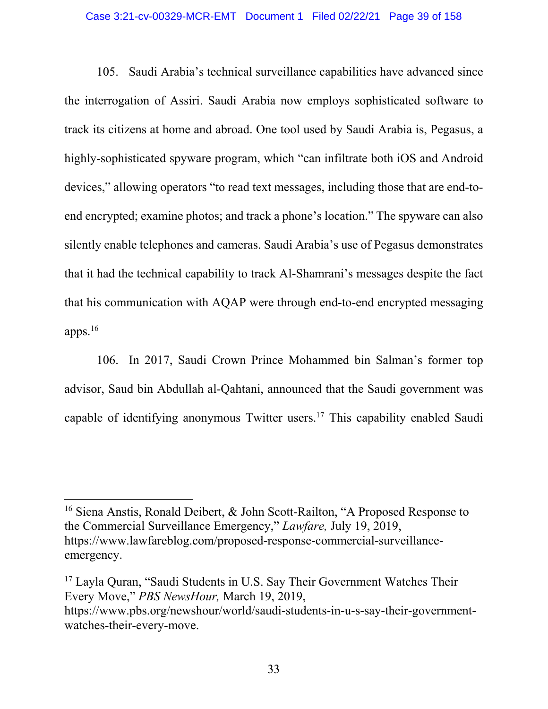#### Case 3:21-cv-00329-MCR-EMT Document 1 Filed 02/22/21 Page 39 of 158

105. Saudi Arabia's technical surveillance capabilities have advanced since the interrogation of Assiri. Saudi Arabia now employs sophisticated software to track its citizens at home and abroad. One tool used by Saudi Arabia is, Pegasus, a highly-sophisticated spyware program, which "can infiltrate both iOS and Android devices," allowing operators "to read text messages, including those that are end-toend encrypted; examine photos; and track a phone's location." The spyware can also silently enable telephones and cameras. Saudi Arabia's use of Pegasus demonstrates that it had the technical capability to track Al-Shamrani's messages despite the fact that his communication with AQAP were through end-to-end encrypted messaging apps.16

106. In 2017, Saudi Crown Prince Mohammed bin Salman's former top advisor, Saud bin Abdullah al-Qahtani, announced that the Saudi government was capable of identifying anonymous Twitter users.17 This capability enabled Saudi

<sup>&</sup>lt;sup>16</sup> Siena Anstis, Ronald Deibert, & John Scott-Railton, "A Proposed Response to the Commercial Surveillance Emergency," *Lawfare,* July 19, 2019, https://www.lawfareblog.com/proposed-response-commercial-surveillanceemergency.

<sup>&</sup>lt;sup>17</sup> Layla Quran, "Saudi Students in U.S. Say Their Government Watches Their Every Move," *PBS NewsHour,* March 19, 2019, https://www.pbs.org/newshour/world/saudi-students-in-u-s-say-their-governmentwatches-their-every-move.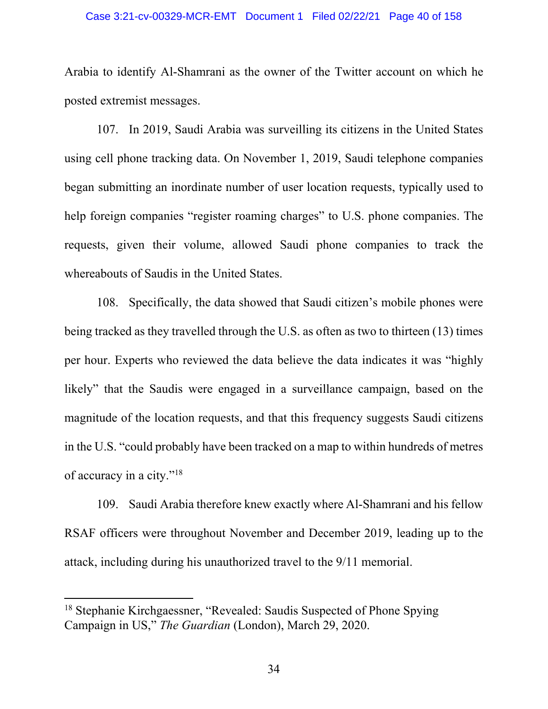#### Case 3:21-cv-00329-MCR-EMT Document 1 Filed 02/22/21 Page 40 of 158

Arabia to identify Al-Shamrani as the owner of the Twitter account on which he posted extremist messages.

107. In 2019, Saudi Arabia was surveilling its citizens in the United States using cell phone tracking data. On November 1, 2019, Saudi telephone companies began submitting an inordinate number of user location requests, typically used to help foreign companies "register roaming charges" to U.S. phone companies. The requests, given their volume, allowed Saudi phone companies to track the whereabouts of Saudis in the United States.

108. Specifically, the data showed that Saudi citizen's mobile phones were being tracked as they travelled through the U.S. as often as two to thirteen (13) times per hour. Experts who reviewed the data believe the data indicates it was "highly likely" that the Saudis were engaged in a surveillance campaign, based on the magnitude of the location requests, and that this frequency suggests Saudi citizens in the U.S. "could probably have been tracked on a map to within hundreds of metres of accuracy in a city."18

109. Saudi Arabia therefore knew exactly where Al-Shamrani and his fellow RSAF officers were throughout November and December 2019, leading up to the attack, including during his unauthorized travel to the 9/11 memorial.

<sup>&</sup>lt;sup>18</sup> Stephanie Kirchgaessner, "Revealed: Saudis Suspected of Phone Spying Campaign in US," *The Guardian* (London), March 29, 2020.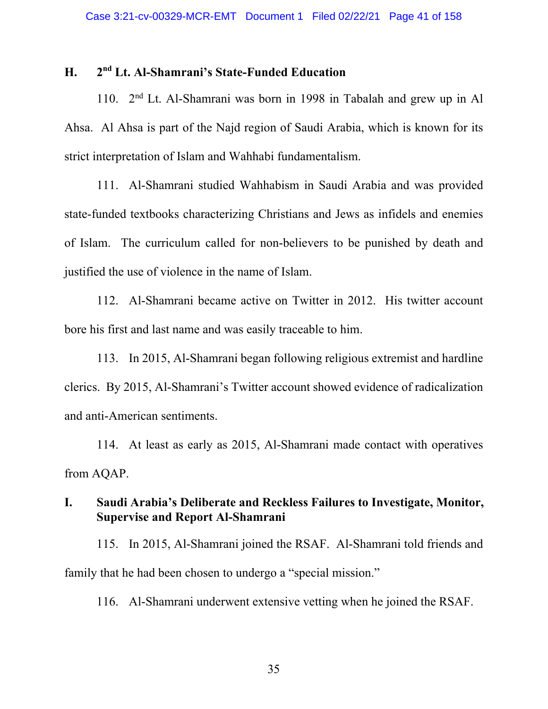## **H. 2nd Lt. Al-Shamrani's State-Funded Education**

110. 2nd Lt. Al-Shamrani was born in 1998 in Tabalah and grew up in Al Ahsa. Al Ahsa is part of the Najd region of Saudi Arabia, which is known for its strict interpretation of Islam and Wahhabi fundamentalism.

111. Al-Shamrani studied Wahhabism in Saudi Arabia and was provided state-funded textbooks characterizing Christians and Jews as infidels and enemies of Islam. The curriculum called for non-believers to be punished by death and justified the use of violence in the name of Islam.

112. Al-Shamrani became active on Twitter in 2012. His twitter account bore his first and last name and was easily traceable to him.

113. In 2015, Al-Shamrani began following religious extremist and hardline clerics. By 2015, Al-Shamrani's Twitter account showed evidence of radicalization and anti-American sentiments.

114. At least as early as 2015, Al-Shamrani made contact with operatives from AQAP.

# **I. Saudi Arabia's Deliberate and Reckless Failures to Investigate, Monitor, Supervise and Report Al-Shamrani**

115. In 2015, Al-Shamrani joined the RSAF. Al-Shamrani told friends and family that he had been chosen to undergo a "special mission."

116. Al-Shamrani underwent extensive vetting when he joined the RSAF.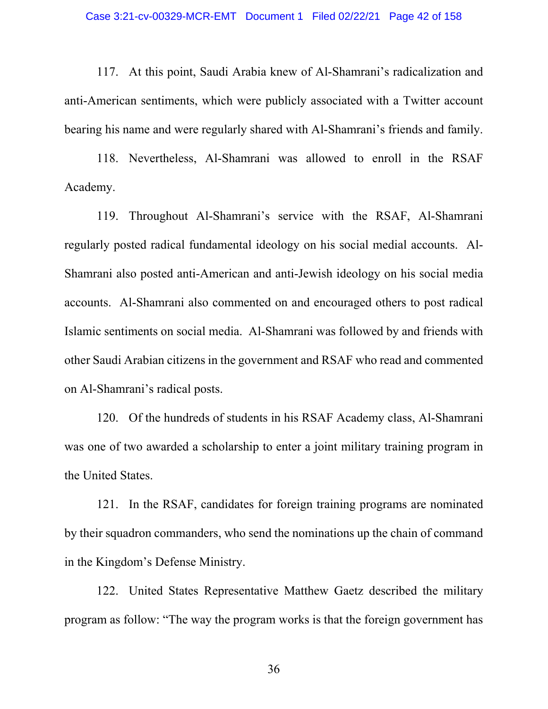#### Case 3:21-cv-00329-MCR-EMT Document 1 Filed 02/22/21 Page 42 of 158

117. At this point, Saudi Arabia knew of Al-Shamrani's radicalization and anti-American sentiments, which were publicly associated with a Twitter account bearing his name and were regularly shared with Al-Shamrani's friends and family.

118. Nevertheless, Al-Shamrani was allowed to enroll in the RSAF Academy.

119. Throughout Al-Shamrani's service with the RSAF, Al-Shamrani regularly posted radical fundamental ideology on his social medial accounts. Al-Shamrani also posted anti-American and anti-Jewish ideology on his social media accounts. Al-Shamrani also commented on and encouraged others to post radical Islamic sentiments on social media. Al-Shamrani was followed by and friends with other Saudi Arabian citizens in the government and RSAF who read and commented on Al-Shamrani's radical posts.

120. Of the hundreds of students in his RSAF Academy class, Al-Shamrani was one of two awarded a scholarship to enter a joint military training program in the United States.

121. In the RSAF, candidates for foreign training programs are nominated by their squadron commanders, who send the nominations up the chain of command in the Kingdom's Defense Ministry.

122. United States Representative Matthew Gaetz described the military program as follow: "The way the program works is that the foreign government has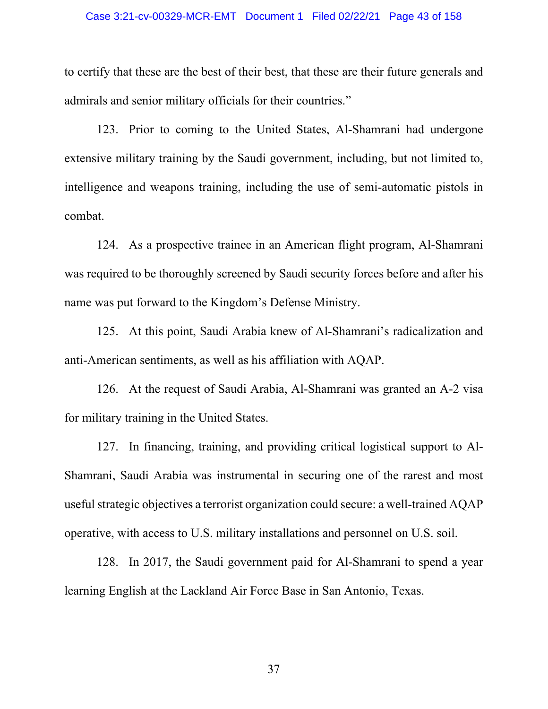#### Case 3:21-cv-00329-MCR-EMT Document 1 Filed 02/22/21 Page 43 of 158

to certify that these are the best of their best, that these are their future generals and admirals and senior military officials for their countries."

123. Prior to coming to the United States, Al-Shamrani had undergone extensive military training by the Saudi government, including, but not limited to, intelligence and weapons training, including the use of semi-automatic pistols in combat.

124. As a prospective trainee in an American flight program, Al-Shamrani was required to be thoroughly screened by Saudi security forces before and after his name was put forward to the Kingdom's Defense Ministry.

125. At this point, Saudi Arabia knew of Al-Shamrani's radicalization and anti-American sentiments, as well as his affiliation with AQAP.

126. At the request of Saudi Arabia, Al-Shamrani was granted an A-2 visa for military training in the United States.

127. In financing, training, and providing critical logistical support to Al-Shamrani, Saudi Arabia was instrumental in securing one of the rarest and most useful strategic objectives a terrorist organization could secure: a well-trained AQAP operative, with access to U.S. military installations and personnel on U.S. soil.

128. In 2017, the Saudi government paid for Al-Shamrani to spend a year learning English at the Lackland Air Force Base in San Antonio, Texas.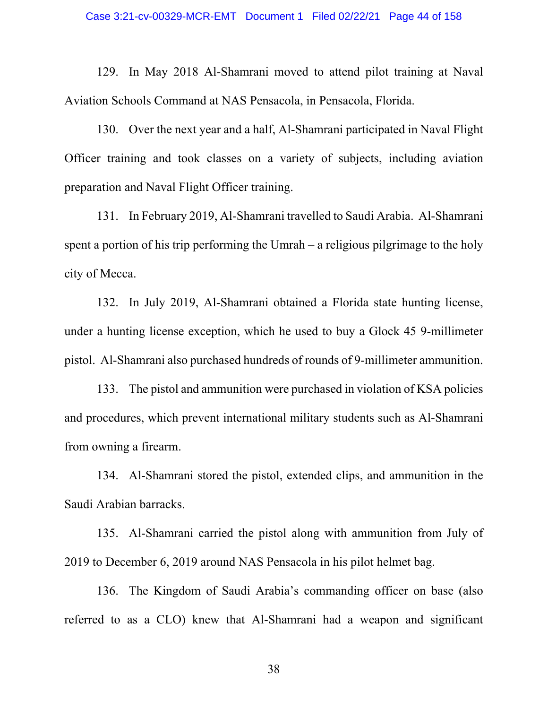129. In May 2018 Al-Shamrani moved to attend pilot training at Naval Aviation Schools Command at NAS Pensacola, in Pensacola, Florida.

130. Over the next year and a half, Al-Shamrani participated in Naval Flight Officer training and took classes on a variety of subjects, including aviation preparation and Naval Flight Officer training.

131. In February 2019, Al-Shamrani travelled to Saudi Arabia. Al-Shamrani spent a portion of his trip performing the Umrah – a religious pilgrimage to the holy city of Mecca.

132. In July 2019, Al-Shamrani obtained a Florida state hunting license, under a hunting license exception, which he used to buy a Glock 45 9-millimeter pistol. Al-Shamrani also purchased hundreds of rounds of 9-millimeter ammunition.

133. The pistol and ammunition were purchased in violation of KSA policies and procedures, which prevent international military students such as Al-Shamrani from owning a firearm.

134. Al-Shamrani stored the pistol, extended clips, and ammunition in the Saudi Arabian barracks.

135. Al-Shamrani carried the pistol along with ammunition from July of 2019 to December 6, 2019 around NAS Pensacola in his pilot helmet bag.

136. The Kingdom of Saudi Arabia's commanding officer on base (also referred to as a CLO) knew that Al-Shamrani had a weapon and significant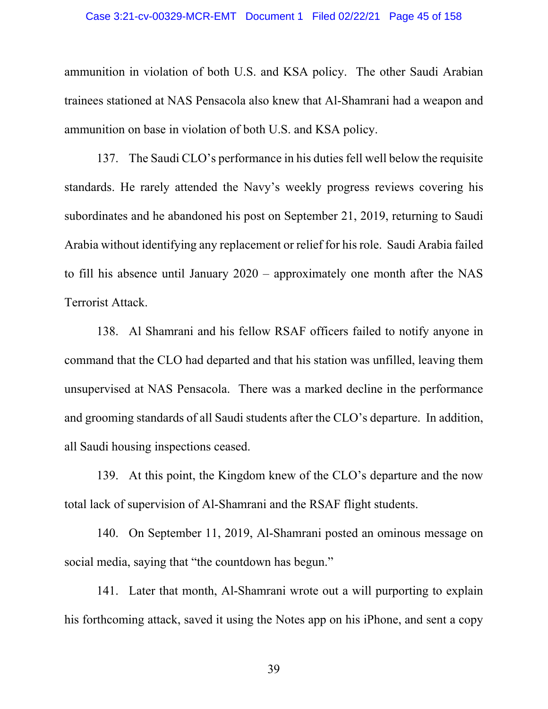ammunition in violation of both U.S. and KSA policy. The other Saudi Arabian trainees stationed at NAS Pensacola also knew that Al-Shamrani had a weapon and ammunition on base in violation of both U.S. and KSA policy.

137. The Saudi CLO's performance in his duties fell well below the requisite standards. He rarely attended the Navy's weekly progress reviews covering his subordinates and he abandoned his post on September 21, 2019, returning to Saudi Arabia without identifying any replacement or relief for his role. Saudi Arabia failed to fill his absence until January 2020 – approximately one month after the NAS Terrorist Attack.

138. Al Shamrani and his fellow RSAF officers failed to notify anyone in command that the CLO had departed and that his station was unfilled, leaving them unsupervised at NAS Pensacola. There was a marked decline in the performance and grooming standards of all Saudi students after the CLO's departure. In addition, all Saudi housing inspections ceased.

139. At this point, the Kingdom knew of the CLO's departure and the now total lack of supervision of Al-Shamrani and the RSAF flight students.

140. On September 11, 2019, Al-Shamrani posted an ominous message on social media, saying that "the countdown has begun."

141. Later that month, Al-Shamrani wrote out a will purporting to explain his forthcoming attack, saved it using the Notes app on his iPhone, and sent a copy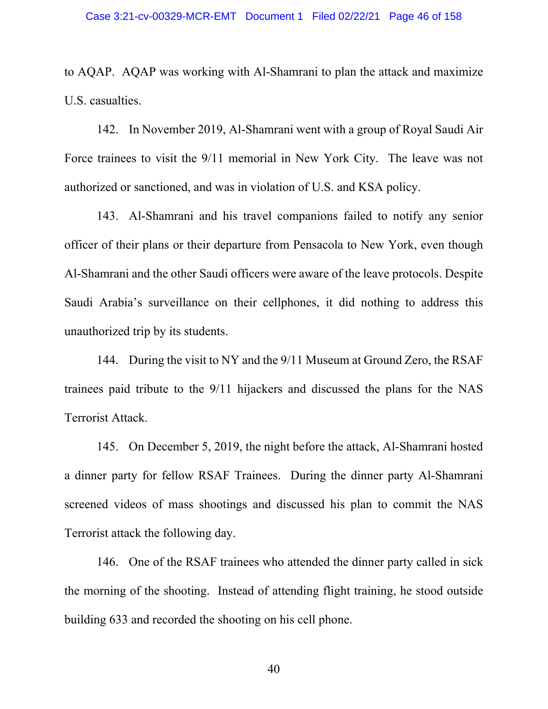to AQAP. AQAP was working with Al-Shamrani to plan the attack and maximize U.S. casualties.

142. In November 2019, Al-Shamrani went with a group of Royal Saudi Air Force trainees to visit the 9/11 memorial in New York City. The leave was not authorized or sanctioned, and was in violation of U.S. and KSA policy.

143. Al-Shamrani and his travel companions failed to notify any senior officer of their plans or their departure from Pensacola to New York, even though Al-Shamrani and the other Saudi officers were aware of the leave protocols. Despite Saudi Arabia's surveillance on their cellphones, it did nothing to address this unauthorized trip by its students.

144. During the visit to NY and the 9/11 Museum at Ground Zero, the RSAF trainees paid tribute to the 9/11 hijackers and discussed the plans for the NAS Terrorist Attack.

145. On December 5, 2019, the night before the attack, Al-Shamrani hosted a dinner party for fellow RSAF Trainees. During the dinner party Al-Shamrani screened videos of mass shootings and discussed his plan to commit the NAS Terrorist attack the following day.

146. One of the RSAF trainees who attended the dinner party called in sick the morning of the shooting. Instead of attending flight training, he stood outside building 633 and recorded the shooting on his cell phone.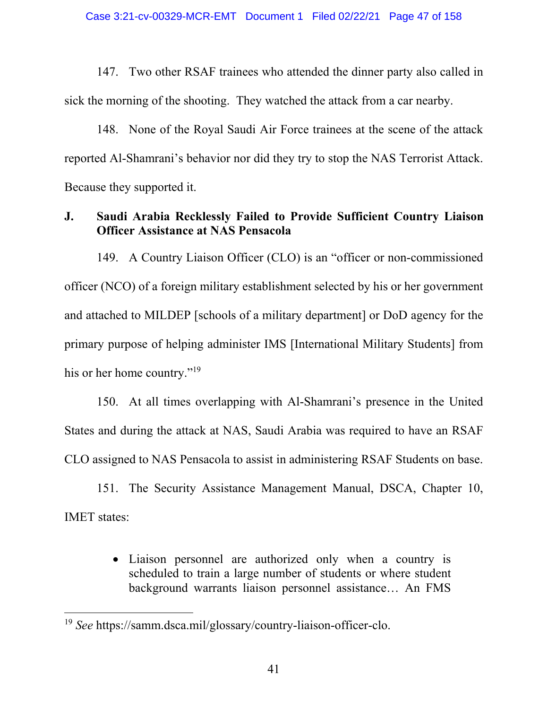147. Two other RSAF trainees who attended the dinner party also called in sick the morning of the shooting. They watched the attack from a car nearby.

148. None of the Royal Saudi Air Force trainees at the scene of the attack reported Al-Shamrani's behavior nor did they try to stop the NAS Terrorist Attack. Because they supported it.

# **J. Saudi Arabia Recklessly Failed to Provide Sufficient Country Liaison Officer Assistance at NAS Pensacola**

149. A Country Liaison Officer (CLO) is an "officer or non-commissioned officer (NCO) of a foreign military establishment selected by his or her government and attached to MILDEP [schools of a military department] or DoD agency for the primary purpose of helping administer IMS [International Military Students] from his or her home country."<sup>19</sup>

150. At all times overlapping with Al-Shamrani's presence in the United States and during the attack at NAS, Saudi Arabia was required to have an RSAF CLO assigned to NAS Pensacola to assist in administering RSAF Students on base.

151. The Security Assistance Management Manual, DSCA, Chapter 10, IMET states:

> • Liaison personnel are authorized only when a country is scheduled to train a large number of students or where student background warrants liaison personnel assistance… An FMS

<sup>19</sup> *See* https://samm.dsca.mil/glossary/country-liaison-officer-clo.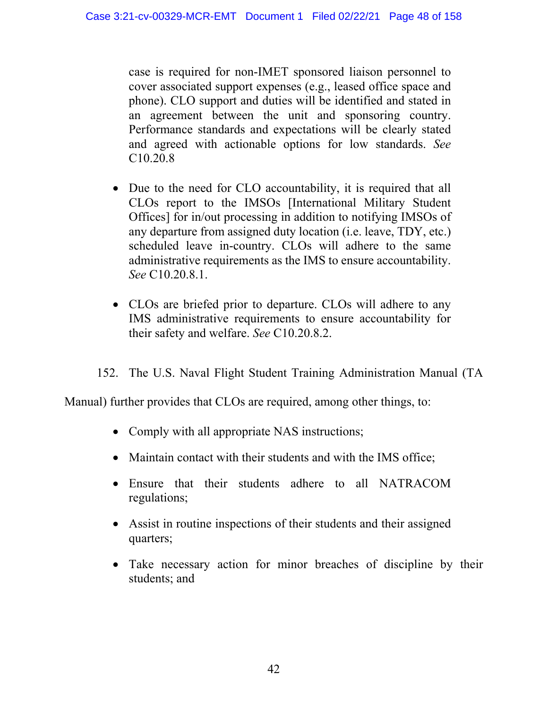case is required for non-IMET sponsored liaison personnel to cover associated support expenses (e.g., leased office space and phone). CLO support and duties will be identified and stated in an agreement between the unit and sponsoring country. Performance standards and expectations will be clearly stated and agreed with actionable options for low standards. *See* C10.20.8

- Due to the need for CLO accountability, it is required that all CLOs report to the IMSOs [International Military Student Offices] for in/out processing in addition to notifying IMSOs of any departure from assigned duty location (i.e. leave, TDY, etc.) scheduled leave in-country. CLOs will adhere to the same administrative requirements as the IMS to ensure accountability. *See* C10.20.8.1.
- CLOs are briefed prior to departure. CLOs will adhere to any IMS administrative requirements to ensure accountability for their safety and welfare. *See* C10.20.8.2.
- 152. The U.S. Naval Flight Student Training Administration Manual (TA

Manual) further provides that CLOs are required, among other things, to:

- Comply with all appropriate NAS instructions;
- Maintain contact with their students and with the IMS office;
- Ensure that their students adhere to all NATRACOM regulations;
- Assist in routine inspections of their students and their assigned quarters;
- Take necessary action for minor breaches of discipline by their students; and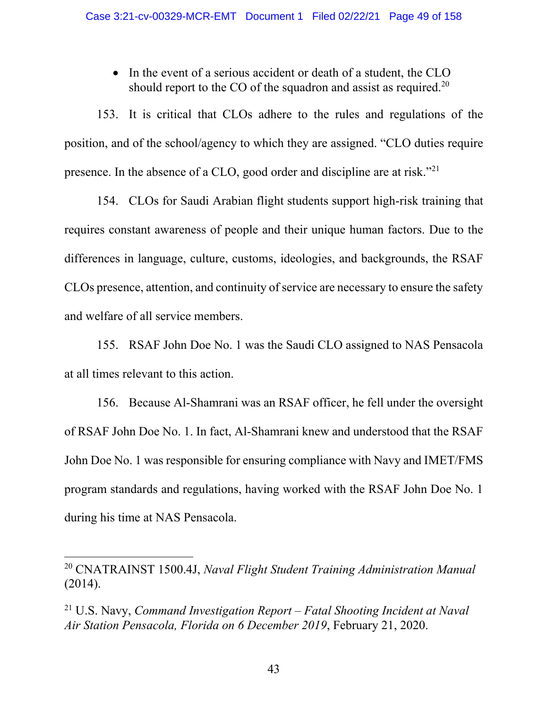• In the event of a serious accident or death of a student, the CLO should report to the CO of the squadron and assist as required.<sup>20</sup>

153. It is critical that CLOs adhere to the rules and regulations of the position, and of the school/agency to which they are assigned. "CLO duties require presence. In the absence of a CLO, good order and discipline are at risk."21

154. CLOs for Saudi Arabian flight students support high-risk training that requires constant awareness of people and their unique human factors. Due to the differences in language, culture, customs, ideologies, and backgrounds, the RSAF CLOs presence, attention, and continuity of service are necessary to ensure the safety and welfare of all service members.

155. RSAF John Doe No. 1 was the Saudi CLO assigned to NAS Pensacola at all times relevant to this action.

156. Because Al-Shamrani was an RSAF officer, he fell under the oversight of RSAF John Doe No. 1. In fact, Al-Shamrani knew and understood that the RSAF John Doe No. 1 was responsible for ensuring compliance with Navy and IMET/FMS program standards and regulations, having worked with the RSAF John Doe No. 1 during his time at NAS Pensacola.

<sup>20</sup> CNATRAINST 1500.4J, *Naval Flight Student Training Administration Manual* (2014).

<sup>21</sup> U.S. Navy, *Command Investigation Report – Fatal Shooting Incident at Naval Air Station Pensacola, Florida on 6 December 2019*, February 21, 2020.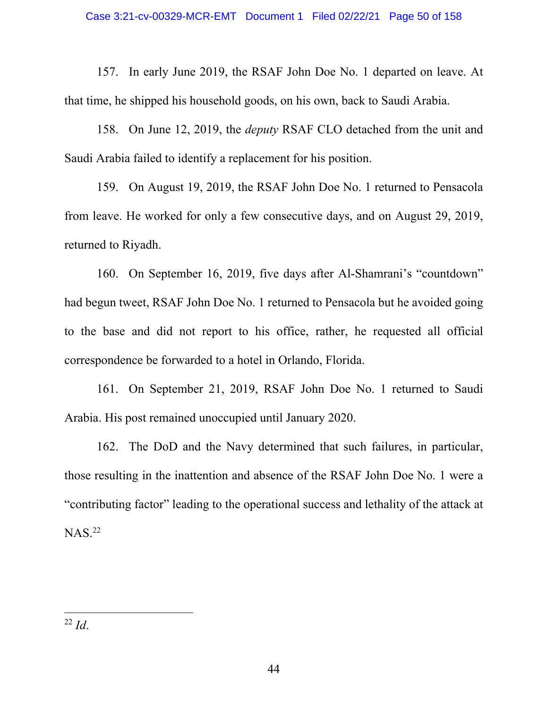157. In early June 2019, the RSAF John Doe No. 1 departed on leave. At that time, he shipped his household goods, on his own, back to Saudi Arabia.

158. On June 12, 2019, the *deputy* RSAF CLO detached from the unit and Saudi Arabia failed to identify a replacement for his position.

159. On August 19, 2019, the RSAF John Doe No. 1 returned to Pensacola from leave. He worked for only a few consecutive days, and on August 29, 2019, returned to Riyadh.

160. On September 16, 2019, five days after Al-Shamrani's "countdown" had begun tweet, RSAF John Doe No. 1 returned to Pensacola but he avoided going to the base and did not report to his office, rather, he requested all official correspondence be forwarded to a hotel in Orlando, Florida.

161. On September 21, 2019, RSAF John Doe No. 1 returned to Saudi Arabia. His post remained unoccupied until January 2020.

162. The DoD and the Navy determined that such failures, in particular, those resulting in the inattention and absence of the RSAF John Doe No. 1 were a "contributing factor" leading to the operational success and lethality of the attack at  $NAS.<sup>22</sup>$ 

 <sup>22</sup> *Id*.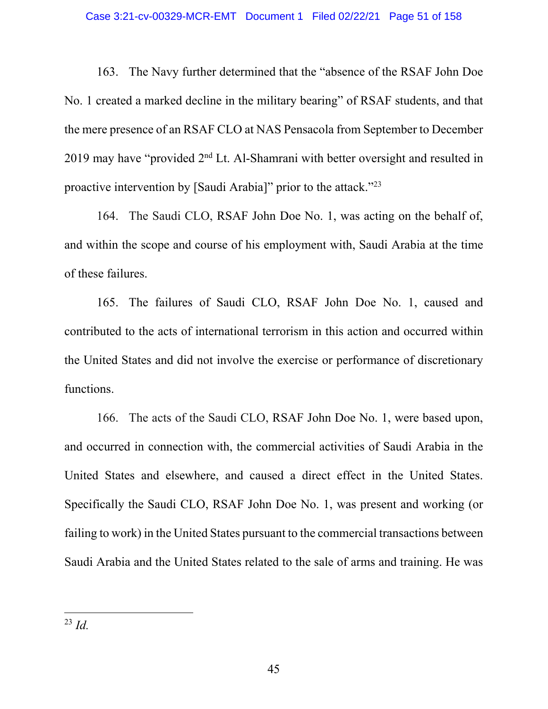#### Case 3:21-cv-00329-MCR-EMT Document 1 Filed 02/22/21 Page 51 of 158

163. The Navy further determined that the "absence of the RSAF John Doe No. 1 created a marked decline in the military bearing" of RSAF students, and that the mere presence of an RSAF CLO at NAS Pensacola from September to December 2019 may have "provided  $2<sup>nd</sup>$  Lt. Al-Shamrani with better oversight and resulted in proactive intervention by [Saudi Arabia]" prior to the attack."23

164. The Saudi CLO, RSAF John Doe No. 1, was acting on the behalf of, and within the scope and course of his employment with, Saudi Arabia at the time of these failures.

165. The failures of Saudi CLO, RSAF John Doe No. 1, caused and contributed to the acts of international terrorism in this action and occurred within the United States and did not involve the exercise or performance of discretionary functions.

166. The acts of the Saudi CLO, RSAF John Doe No. 1, were based upon, and occurred in connection with, the commercial activities of Saudi Arabia in the United States and elsewhere, and caused a direct effect in the United States. Specifically the Saudi CLO, RSAF John Doe No. 1, was present and working (or failing to work) in the United States pursuant to the commercial transactions between Saudi Arabia and the United States related to the sale of arms and training. He was

<sup>23</sup> *Id.*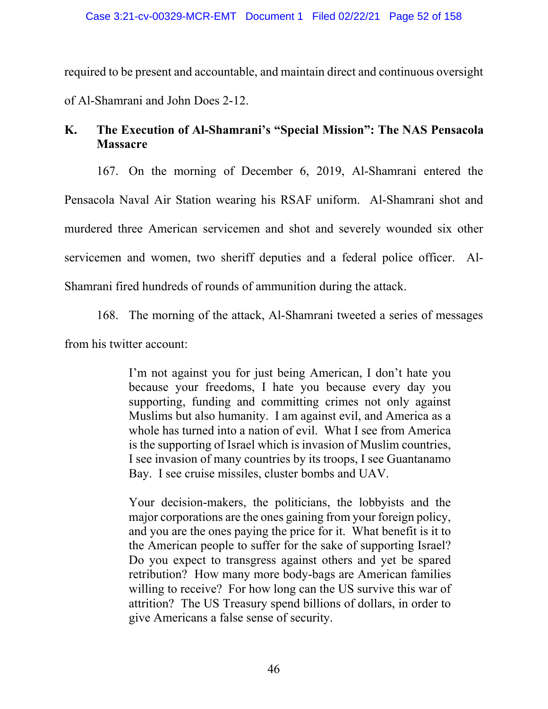required to be present and accountable, and maintain direct and continuous oversight of Al-Shamrani and John Does 2-12.

# **K. The Execution of Al-Shamrani's "Special Mission": The NAS Pensacola Massacre**

167. On the morning of December 6, 2019, Al-Shamrani entered the

Pensacola Naval Air Station wearing his RSAF uniform. Al-Shamrani shot and

murdered three American servicemen and shot and severely wounded six other

servicemen and women, two sheriff deputies and a federal police officer. Al-

Shamrani fired hundreds of rounds of ammunition during the attack.

168. The morning of the attack, Al-Shamrani tweeted a series of messages from his twitter account:

> I'm not against you for just being American, I don't hate you because your freedoms, I hate you because every day you supporting, funding and committing crimes not only against Muslims but also humanity. I am against evil, and America as a whole has turned into a nation of evil. What I see from America is the supporting of Israel which is invasion of Muslim countries, I see invasion of many countries by its troops, I see Guantanamo Bay. I see cruise missiles, cluster bombs and UAV.

> Your decision-makers, the politicians, the lobbyists and the major corporations are the ones gaining from your foreign policy, and you are the ones paying the price for it. What benefit is it to the American people to suffer for the sake of supporting Israel? Do you expect to transgress against others and yet be spared retribution? How many more body-bags are American families willing to receive? For how long can the US survive this war of attrition? The US Treasury spend billions of dollars, in order to give Americans a false sense of security.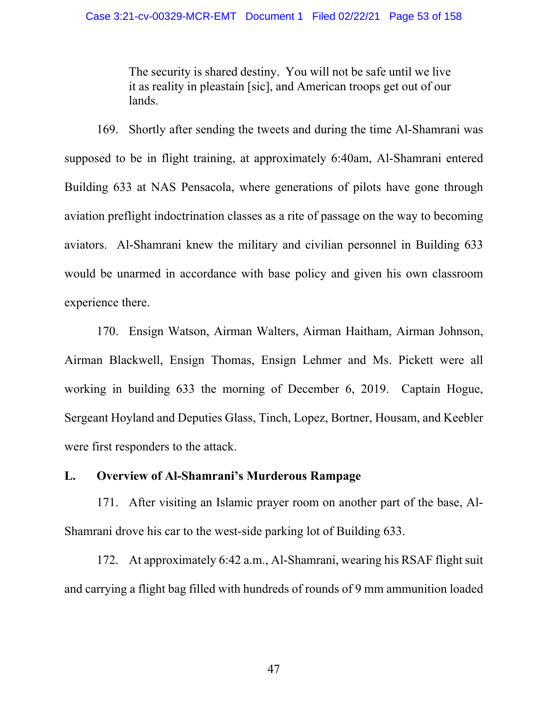The security is shared destiny. You will not be safe until we live it as reality in pleastain [sic], and American troops get out of our lands.

169. Shortly after sending the tweets and during the time Al-Shamrani was supposed to be in flight training, at approximately 6:40am, Al-Shamrani entered Building 633 at NAS Pensacola, where generations of pilots have gone through aviation preflight indoctrination classes as a rite of passage on the way to becoming aviators. Al-Shamrani knew the military and civilian personnel in Building 633 would be unarmed in accordance with base policy and given his own classroom experience there.

170. Ensign Watson, Airman Walters, Airman Haitham, Airman Johnson, Airman Blackwell, Ensign Thomas, Ensign Lehmer and Ms. Pickett were all working in building 633 the morning of December 6, 2019. Captain Hogue, Sergeant Hoyland and Deputies Glass, Tinch, Lopez, Bortner, Housam, and Keebler were first responders to the attack.

# **L. Overview of Al-Shamrani's Murderous Rampage**

171. After visiting an Islamic prayer room on another part of the base, Al-Shamrani drove his car to the west-side parking lot of Building 633.

172. At approximately 6:42 a.m., Al-Shamrani, wearing his RSAF flight suit and carrying a flight bag filled with hundreds of rounds of 9 mm ammunition loaded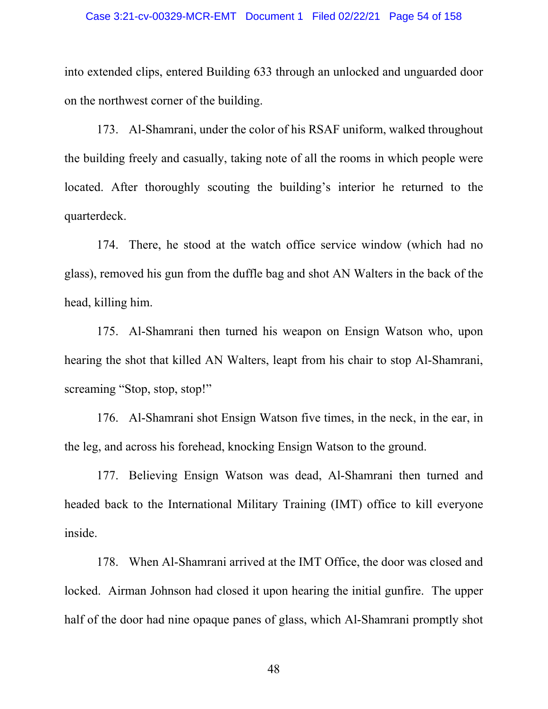into extended clips, entered Building 633 through an unlocked and unguarded door on the northwest corner of the building.

173. Al-Shamrani, under the color of his RSAF uniform, walked throughout the building freely and casually, taking note of all the rooms in which people were located. After thoroughly scouting the building's interior he returned to the quarterdeck.

174. There, he stood at the watch office service window (which had no glass), removed his gun from the duffle bag and shot AN Walters in the back of the head, killing him.

175. Al-Shamrani then turned his weapon on Ensign Watson who, upon hearing the shot that killed AN Walters, leapt from his chair to stop Al-Shamrani, screaming "Stop, stop, stop!"

176. Al-Shamrani shot Ensign Watson five times, in the neck, in the ear, in the leg, and across his forehead, knocking Ensign Watson to the ground.

177. Believing Ensign Watson was dead, Al-Shamrani then turned and headed back to the International Military Training (IMT) office to kill everyone inside.

178. When Al-Shamrani arrived at the IMT Office, the door was closed and locked. Airman Johnson had closed it upon hearing the initial gunfire. The upper half of the door had nine opaque panes of glass, which Al-Shamrani promptly shot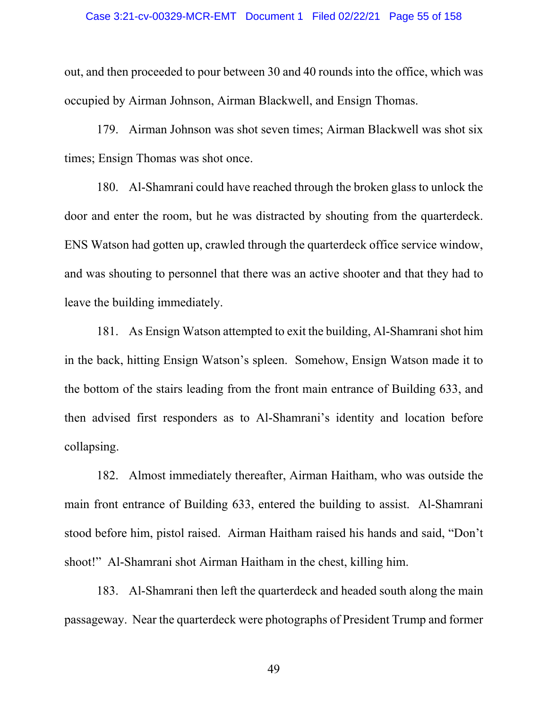#### Case 3:21-cv-00329-MCR-EMT Document 1 Filed 02/22/21 Page 55 of 158

out, and then proceeded to pour between 30 and 40 rounds into the office, which was occupied by Airman Johnson, Airman Blackwell, and Ensign Thomas.

179. Airman Johnson was shot seven times; Airman Blackwell was shot six times; Ensign Thomas was shot once.

180. Al-Shamrani could have reached through the broken glass to unlock the door and enter the room, but he was distracted by shouting from the quarterdeck. ENS Watson had gotten up, crawled through the quarterdeck office service window, and was shouting to personnel that there was an active shooter and that they had to leave the building immediately.

181. As Ensign Watson attempted to exit the building, Al-Shamrani shot him in the back, hitting Ensign Watson's spleen. Somehow, Ensign Watson made it to the bottom of the stairs leading from the front main entrance of Building 633, and then advised first responders as to Al-Shamrani's identity and location before collapsing.

182. Almost immediately thereafter, Airman Haitham, who was outside the main front entrance of Building 633, entered the building to assist. Al-Shamrani stood before him, pistol raised. Airman Haitham raised his hands and said, "Don't shoot!" Al-Shamrani shot Airman Haitham in the chest, killing him.

183. Al-Shamrani then left the quarterdeck and headed south along the main passageway. Near the quarterdeck were photographs of President Trump and former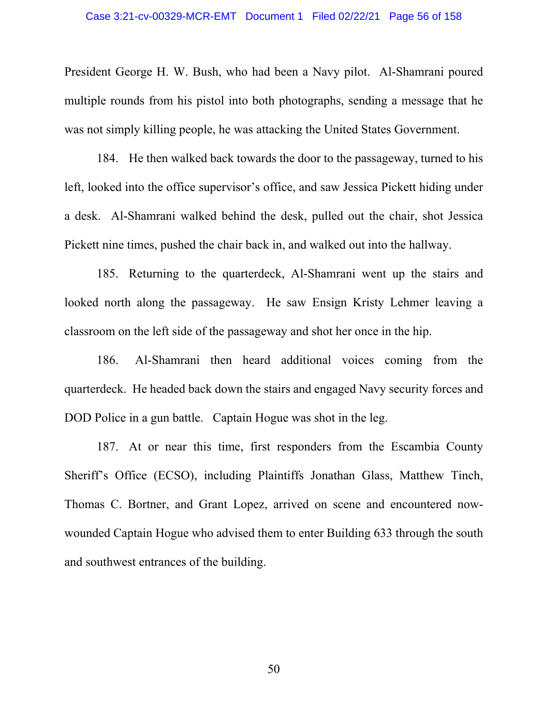President George H. W. Bush, who had been a Navy pilot. Al-Shamrani poured multiple rounds from his pistol into both photographs, sending a message that he was not simply killing people, he was attacking the United States Government.

184. He then walked back towards the door to the passageway, turned to his left, looked into the office supervisor's office, and saw Jessica Pickett hiding under a desk. Al-Shamrani walked behind the desk, pulled out the chair, shot Jessica Pickett nine times, pushed the chair back in, and walked out into the hallway.

185. Returning to the quarterdeck, Al-Shamrani went up the stairs and looked north along the passageway. He saw Ensign Kristy Lehmer leaving a classroom on the left side of the passageway and shot her once in the hip.

186. Al-Shamrani then heard additional voices coming from the quarterdeck. He headed back down the stairs and engaged Navy security forces and DOD Police in a gun battle. Captain Hogue was shot in the leg.

187. At or near this time, first responders from the Escambia County Sheriff's Office (ECSO), including Plaintiffs Jonathan Glass, Matthew Tinch, Thomas C. Bortner, and Grant Lopez, arrived on scene and encountered nowwounded Captain Hogue who advised them to enter Building 633 through the south and southwest entrances of the building.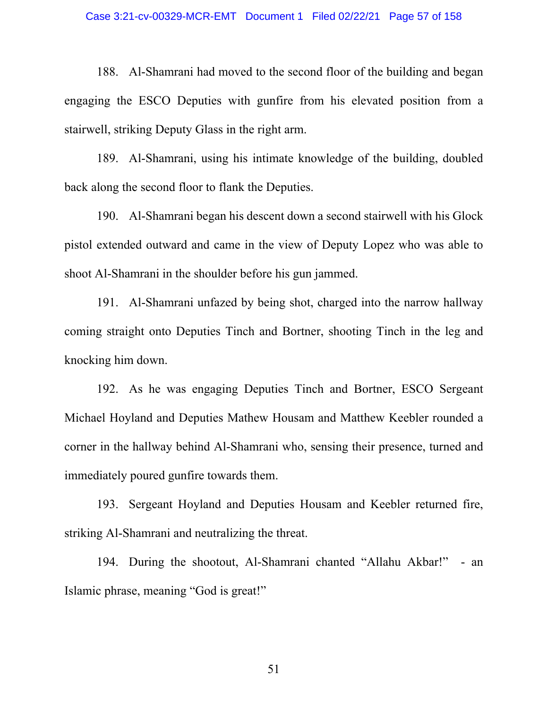#### Case 3:21-cv-00329-MCR-EMT Document 1 Filed 02/22/21 Page 57 of 158

188. Al-Shamrani had moved to the second floor of the building and began engaging the ESCO Deputies with gunfire from his elevated position from a stairwell, striking Deputy Glass in the right arm.

189. Al-Shamrani, using his intimate knowledge of the building, doubled back along the second floor to flank the Deputies.

190. Al-Shamrani began his descent down a second stairwell with his Glock pistol extended outward and came in the view of Deputy Lopez who was able to shoot Al-Shamrani in the shoulder before his gun jammed.

191. Al-Shamrani unfazed by being shot, charged into the narrow hallway coming straight onto Deputies Tinch and Bortner, shooting Tinch in the leg and knocking him down.

192. As he was engaging Deputies Tinch and Bortner, ESCO Sergeant Michael Hoyland and Deputies Mathew Housam and Matthew Keebler rounded a corner in the hallway behind Al-Shamrani who, sensing their presence, turned and immediately poured gunfire towards them.

193. Sergeant Hoyland and Deputies Housam and Keebler returned fire, striking Al-Shamrani and neutralizing the threat.

194. During the shootout, Al-Shamrani chanted "Allahu Akbar!" - an Islamic phrase, meaning "God is great!"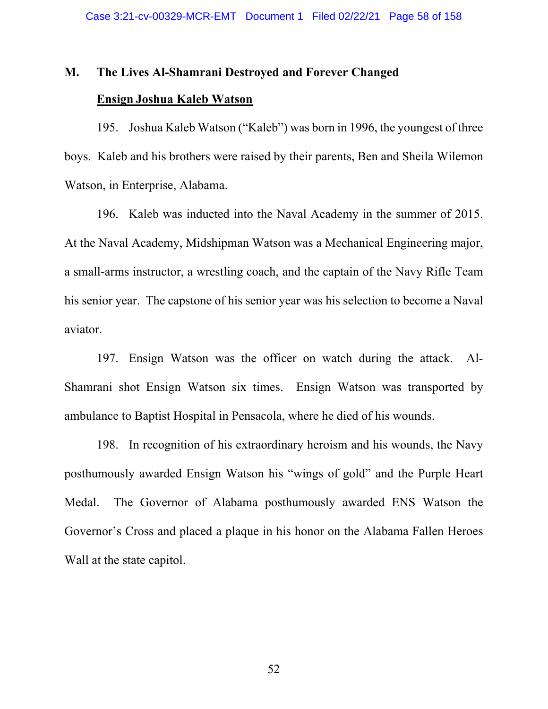# **M. The Lives Al-Shamrani Destroyed and Forever Changed Ensign Joshua Kaleb Watson**

195. Joshua Kaleb Watson ("Kaleb") was born in 1996, the youngest of three boys. Kaleb and his brothers were raised by their parents, Ben and Sheila Wilemon Watson, in Enterprise, Alabama.

196. Kaleb was inducted into the Naval Academy in the summer of 2015. At the Naval Academy, Midshipman Watson was a Mechanical Engineering major, a small-arms instructor, a wrestling coach, and the captain of the Navy Rifle Team his senior year. The capstone of his senior year was his selection to become a Naval aviator.

197. Ensign Watson was the officer on watch during the attack. Al-Shamrani shot Ensign Watson six times. Ensign Watson was transported by ambulance to Baptist Hospital in Pensacola, where he died of his wounds.

198. In recognition of his extraordinary heroism and his wounds, the Navy posthumously awarded Ensign Watson his "wings of gold" and the Purple Heart Medal. The Governor of Alabama posthumously awarded ENS Watson the Governor's Cross and placed a plaque in his honor on the Alabama Fallen Heroes Wall at the state capitol.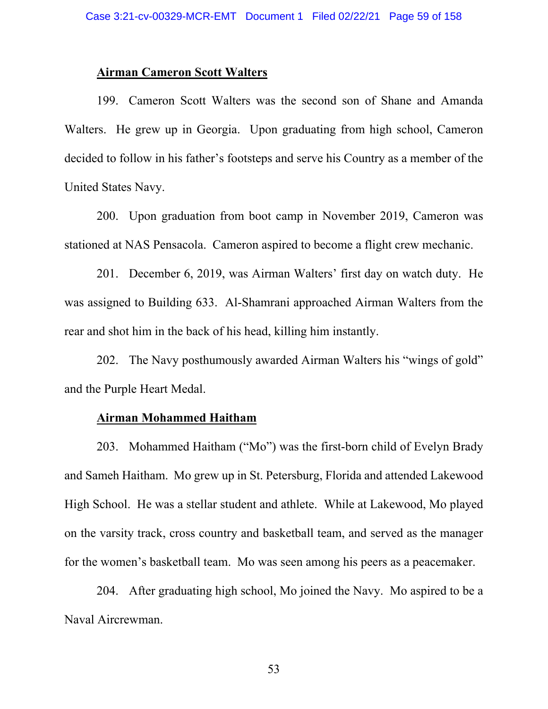# **Airman Cameron Scott Walters**

199. Cameron Scott Walters was the second son of Shane and Amanda Walters. He grew up in Georgia. Upon graduating from high school, Cameron decided to follow in his father's footsteps and serve his Country as a member of the United States Navy.

200. Upon graduation from boot camp in November 2019, Cameron was stationed at NAS Pensacola. Cameron aspired to become a flight crew mechanic.

201. December 6, 2019, was Airman Walters' first day on watch duty. He was assigned to Building 633. Al-Shamrani approached Airman Walters from the rear and shot him in the back of his head, killing him instantly.

202. The Navy posthumously awarded Airman Walters his "wings of gold" and the Purple Heart Medal.

## **Airman Mohammed Haitham**

203. Mohammed Haitham ("Mo") was the first-born child of Evelyn Brady and Sameh Haitham. Mo grew up in St. Petersburg, Florida and attended Lakewood High School. He was a stellar student and athlete. While at Lakewood, Mo played on the varsity track, cross country and basketball team, and served as the manager for the women's basketball team. Mo was seen among his peers as a peacemaker.

204. After graduating high school, Mo joined the Navy. Mo aspired to be a Naval Aircrewman.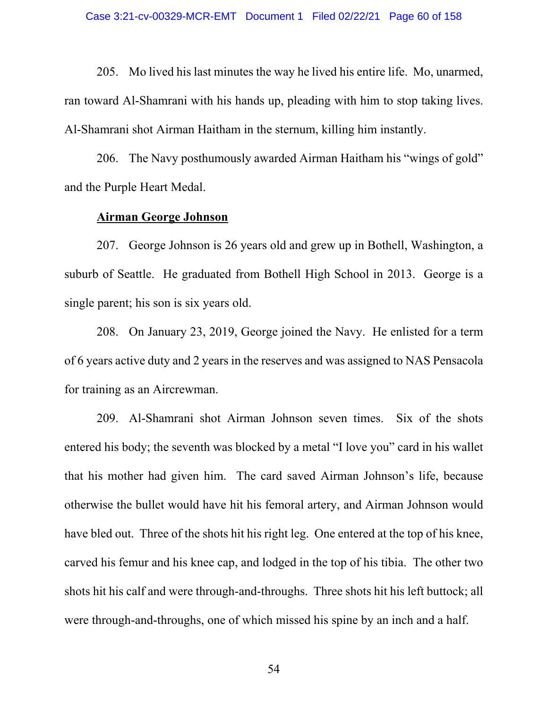205. Mo lived his last minutes the way he lived his entire life. Mo, unarmed, ran toward Al-Shamrani with his hands up, pleading with him to stop taking lives. Al-Shamrani shot Airman Haitham in the sternum, killing him instantly.

206. The Navy posthumously awarded Airman Haitham his "wings of gold" and the Purple Heart Medal.

## **Airman George Johnson**

207. George Johnson is 26 years old and grew up in Bothell, Washington, a suburb of Seattle. He graduated from Bothell High School in 2013. George is a single parent; his son is six years old.

208. On January 23, 2019, George joined the Navy. He enlisted for a term of 6 years active duty and 2 years in the reserves and was assigned to NAS Pensacola for training as an Aircrewman.

209. Al-Shamrani shot Airman Johnson seven times. Six of the shots entered his body; the seventh was blocked by a metal "I love you" card in his wallet that his mother had given him. The card saved Airman Johnson's life, because otherwise the bullet would have hit his femoral artery, and Airman Johnson would have bled out. Three of the shots hit his right leg. One entered at the top of his knee, carved his femur and his knee cap, and lodged in the top of his tibia. The other two shots hit his calf and were through-and-throughs. Three shots hit his left buttock; all were through-and-throughs, one of which missed his spine by an inch and a half.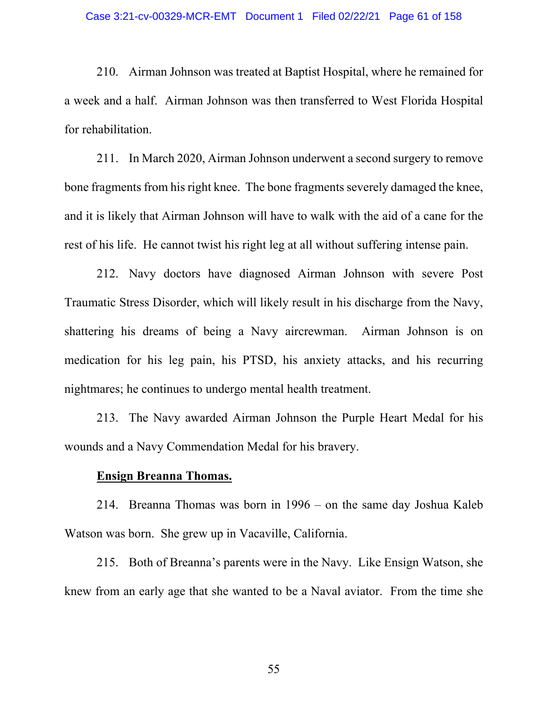210. Airman Johnson was treated at Baptist Hospital, where he remained for a week and a half. Airman Johnson was then transferred to West Florida Hospital for rehabilitation.

211. In March 2020, Airman Johnson underwent a second surgery to remove bone fragments from his right knee. The bone fragments severely damaged the knee, and it is likely that Airman Johnson will have to walk with the aid of a cane for the rest of his life. He cannot twist his right leg at all without suffering intense pain.

212. Navy doctors have diagnosed Airman Johnson with severe Post Traumatic Stress Disorder, which will likely result in his discharge from the Navy, shattering his dreams of being a Navy aircrewman. Airman Johnson is on medication for his leg pain, his PTSD, his anxiety attacks, and his recurring nightmares; he continues to undergo mental health treatment.

213. The Navy awarded Airman Johnson the Purple Heart Medal for his wounds and a Navy Commendation Medal for his bravery.

#### **Ensign Breanna Thomas.**

214. Breanna Thomas was born in 1996 – on the same day Joshua Kaleb Watson was born. She grew up in Vacaville, California.

215. Both of Breanna's parents were in the Navy. Like Ensign Watson, she knew from an early age that she wanted to be a Naval aviator. From the time she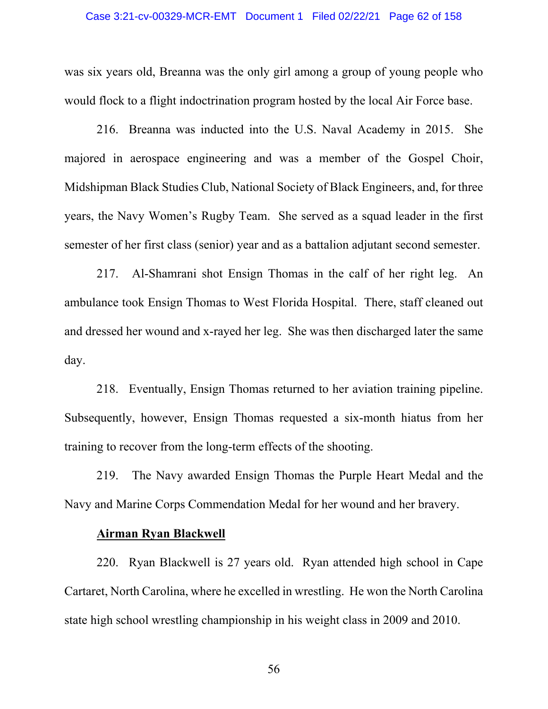#### Case 3:21-cv-00329-MCR-EMT Document 1 Filed 02/22/21 Page 62 of 158

was six years old, Breanna was the only girl among a group of young people who would flock to a flight indoctrination program hosted by the local Air Force base.

216. Breanna was inducted into the U.S. Naval Academy in 2015. She majored in aerospace engineering and was a member of the Gospel Choir, Midshipman Black Studies Club, National Society of Black Engineers, and, for three years, the Navy Women's Rugby Team. She served as a squad leader in the first semester of her first class (senior) year and as a battalion adjutant second semester.

217. Al-Shamrani shot Ensign Thomas in the calf of her right leg. An ambulance took Ensign Thomas to West Florida Hospital. There, staff cleaned out and dressed her wound and x-rayed her leg. She was then discharged later the same day.

218. Eventually, Ensign Thomas returned to her aviation training pipeline. Subsequently, however, Ensign Thomas requested a six-month hiatus from her training to recover from the long-term effects of the shooting.

219. The Navy awarded Ensign Thomas the Purple Heart Medal and the Navy and Marine Corps Commendation Medal for her wound and her bravery.

## **Airman Ryan Blackwell**

220. Ryan Blackwell is 27 years old. Ryan attended high school in Cape Cartaret, North Carolina, where he excelled in wrestling. He won the North Carolina state high school wrestling championship in his weight class in 2009 and 2010.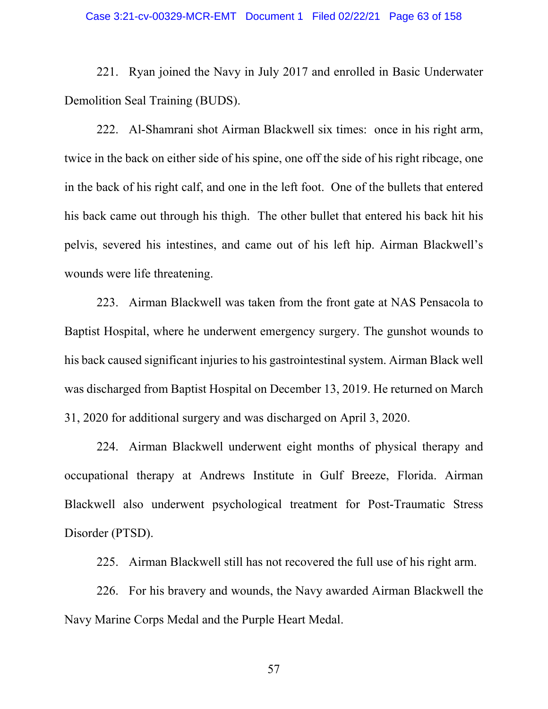#### Case 3:21-cv-00329-MCR-EMT Document 1 Filed 02/22/21 Page 63 of 158

221. Ryan joined the Navy in July 2017 and enrolled in Basic Underwater Demolition Seal Training (BUDS).

222. Al-Shamrani shot Airman Blackwell six times: once in his right arm, twice in the back on either side of his spine, one off the side of his right ribcage, one in the back of his right calf, and one in the left foot. One of the bullets that entered his back came out through his thigh. The other bullet that entered his back hit his pelvis, severed his intestines, and came out of his left hip. Airman Blackwell's wounds were life threatening.

223. Airman Blackwell was taken from the front gate at NAS Pensacola to Baptist Hospital, where he underwent emergency surgery. The gunshot wounds to his back caused significant injuries to his gastrointestinal system. Airman Black well was discharged from Baptist Hospital on December 13, 2019. He returned on March 31, 2020 for additional surgery and was discharged on April 3, 2020.

224. Airman Blackwell underwent eight months of physical therapy and occupational therapy at Andrews Institute in Gulf Breeze, Florida. Airman Blackwell also underwent psychological treatment for Post-Traumatic Stress Disorder (PTSD).

225. Airman Blackwell still has not recovered the full use of his right arm.

226. For his bravery and wounds, the Navy awarded Airman Blackwell the Navy Marine Corps Medal and the Purple Heart Medal.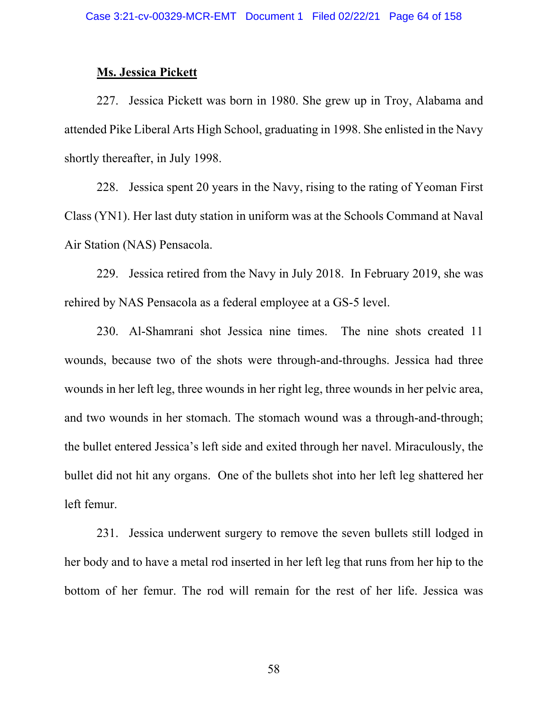### **Ms. Jessica Pickett**

227. Jessica Pickett was born in 1980. She grew up in Troy, Alabama and attended Pike Liberal Arts High School, graduating in 1998. She enlisted in the Navy shortly thereafter, in July 1998.

228. Jessica spent 20 years in the Navy, rising to the rating of Yeoman First Class (YN1). Her last duty station in uniform was at the Schools Command at Naval Air Station (NAS) Pensacola.

229. Jessica retired from the Navy in July 2018. In February 2019, she was rehired by NAS Pensacola as a federal employee at a GS-5 level.

230. Al-Shamrani shot Jessica nine times. The nine shots created 11 wounds, because two of the shots were through-and-throughs. Jessica had three wounds in her left leg, three wounds in her right leg, three wounds in her pelvic area, and two wounds in her stomach. The stomach wound was a through-and-through; the bullet entered Jessica's left side and exited through her navel. Miraculously, the bullet did not hit any organs. One of the bullets shot into her left leg shattered her left femur.

231. Jessica underwent surgery to remove the seven bullets still lodged in her body and to have a metal rod inserted in her left leg that runs from her hip to the bottom of her femur. The rod will remain for the rest of her life. Jessica was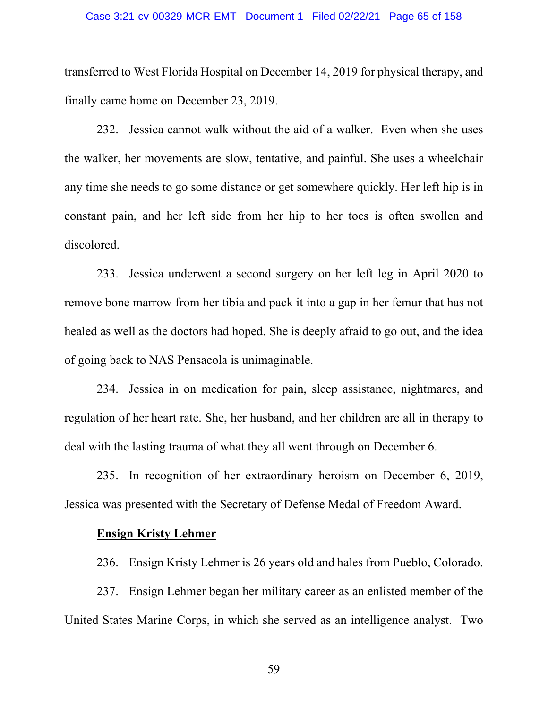#### Case 3:21-cv-00329-MCR-EMT Document 1 Filed 02/22/21 Page 65 of 158

transferred to West Florida Hospital on December 14, 2019 for physical therapy, and finally came home on December 23, 2019.

232. Jessica cannot walk without the aid of a walker. Even when she uses the walker, her movements are slow, tentative, and painful. She uses a wheelchair any time she needs to go some distance or get somewhere quickly. Her left hip is in constant pain, and her left side from her hip to her toes is often swollen and discolored.

233. Jessica underwent a second surgery on her left leg in April 2020 to remove bone marrow from her tibia and pack it into a gap in her femur that has not healed as well as the doctors had hoped. She is deeply afraid to go out, and the idea of going back to NAS Pensacola is unimaginable.

234. Jessica in on medication for pain, sleep assistance, nightmares, and regulation of her heart rate. She, her husband, and her children are all in therapy to deal with the lasting trauma of what they all went through on December 6.

235. In recognition of her extraordinary heroism on December 6, 2019, Jessica was presented with the Secretary of Defense Medal of Freedom Award.

## **Ensign Kristy Lehmer**

236. Ensign Kristy Lehmer is 26 years old and hales from Pueblo, Colorado.

237. Ensign Lehmer began her military career as an enlisted member of the United States Marine Corps, in which she served as an intelligence analyst. Two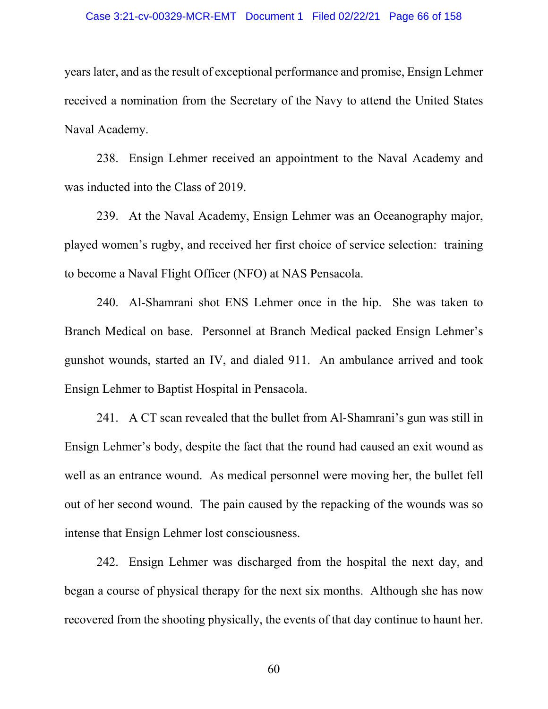#### Case 3:21-cv-00329-MCR-EMT Document 1 Filed 02/22/21 Page 66 of 158

years later, and as the result of exceptional performance and promise, Ensign Lehmer received a nomination from the Secretary of the Navy to attend the United States Naval Academy.

238. Ensign Lehmer received an appointment to the Naval Academy and was inducted into the Class of 2019.

239. At the Naval Academy, Ensign Lehmer was an Oceanography major, played women's rugby, and received her first choice of service selection: training to become a Naval Flight Officer (NFO) at NAS Pensacola.

240. Al-Shamrani shot ENS Lehmer once in the hip. She was taken to Branch Medical on base. Personnel at Branch Medical packed Ensign Lehmer's gunshot wounds, started an IV, and dialed 911. An ambulance arrived and took Ensign Lehmer to Baptist Hospital in Pensacola.

241. A CT scan revealed that the bullet from Al-Shamrani's gun was still in Ensign Lehmer's body, despite the fact that the round had caused an exit wound as well as an entrance wound. As medical personnel were moving her, the bullet fell out of her second wound. The pain caused by the repacking of the wounds was so intense that Ensign Lehmer lost consciousness.

242. Ensign Lehmer was discharged from the hospital the next day, and began a course of physical therapy for the next six months. Although she has now recovered from the shooting physically, the events of that day continue to haunt her.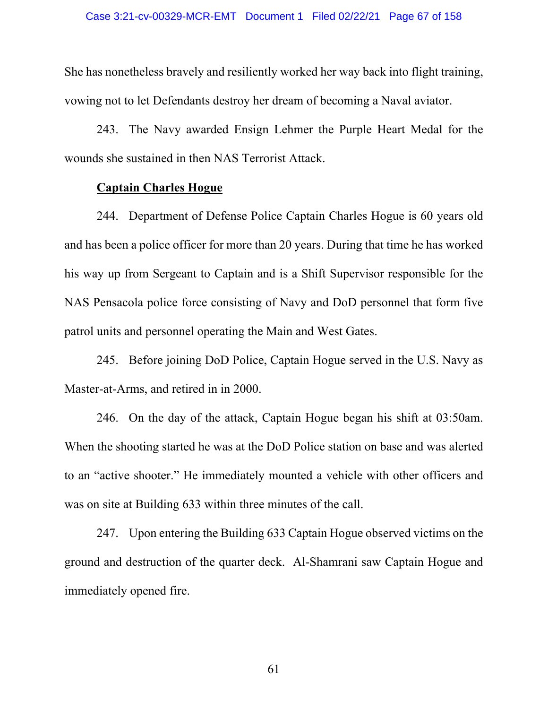She has nonetheless bravely and resiliently worked her way back into flight training, vowing not to let Defendants destroy her dream of becoming a Naval aviator.

243. The Navy awarded Ensign Lehmer the Purple Heart Medal for the wounds she sustained in then NAS Terrorist Attack.

## **Captain Charles Hogue**

244. Department of Defense Police Captain Charles Hogue is 60 years old and has been a police officer for more than 20 years. During that time he has worked his way up from Sergeant to Captain and is a Shift Supervisor responsible for the NAS Pensacola police force consisting of Navy and DoD personnel that form five patrol units and personnel operating the Main and West Gates.

245. Before joining DoD Police, Captain Hogue served in the U.S. Navy as Master-at-Arms, and retired in in 2000.

246. On the day of the attack, Captain Hogue began his shift at 03:50am. When the shooting started he was at the DoD Police station on base and was alerted to an "active shooter." He immediately mounted a vehicle with other officers and was on site at Building 633 within three minutes of the call.

247. Upon entering the Building 633 Captain Hogue observed victims on the ground and destruction of the quarter deck. Al-Shamrani saw Captain Hogue and immediately opened fire.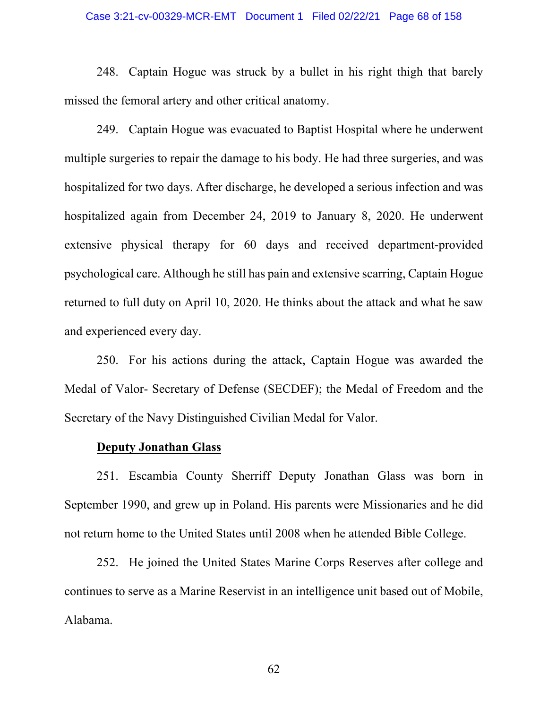#### Case 3:21-cv-00329-MCR-EMT Document 1 Filed 02/22/21 Page 68 of 158

248. Captain Hogue was struck by a bullet in his right thigh that barely missed the femoral artery and other critical anatomy.

249. Captain Hogue was evacuated to Baptist Hospital where he underwent multiple surgeries to repair the damage to his body. He had three surgeries, and was hospitalized for two days. After discharge, he developed a serious infection and was hospitalized again from December 24, 2019 to January 8, 2020. He underwent extensive physical therapy for 60 days and received department-provided psychological care. Although he still has pain and extensive scarring, Captain Hogue returned to full duty on April 10, 2020. He thinks about the attack and what he saw and experienced every day.

250. For his actions during the attack, Captain Hogue was awarded the Medal of Valor- Secretary of Defense (SECDEF); the Medal of Freedom and the Secretary of the Navy Distinguished Civilian Medal for Valor.

#### **Deputy Jonathan Glass**

251. Escambia County Sherriff Deputy Jonathan Glass was born in September 1990, and grew up in Poland. His parents were Missionaries and he did not return home to the United States until 2008 when he attended Bible College.

252. He joined the United States Marine Corps Reserves after college and continues to serve as a Marine Reservist in an intelligence unit based out of Mobile, Alabama.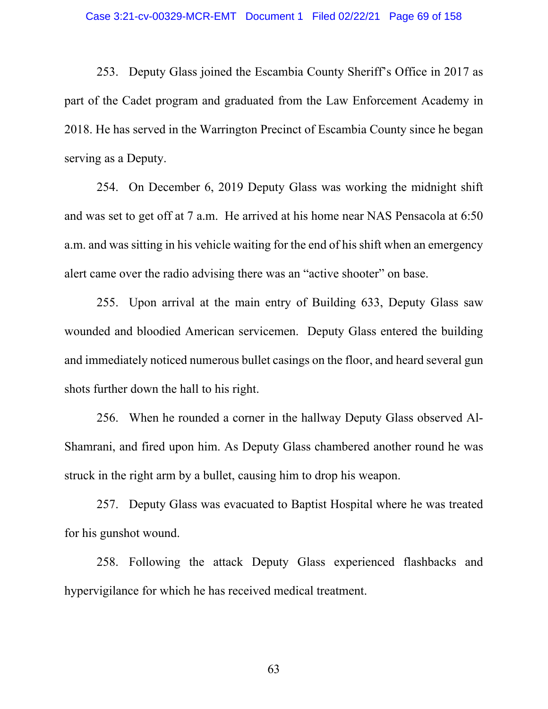253. Deputy Glass joined the Escambia County Sheriff's Office in 2017 as part of the Cadet program and graduated from the Law Enforcement Academy in 2018. He has served in the Warrington Precinct of Escambia County since he began serving as a Deputy.

254. On December 6, 2019 Deputy Glass was working the midnight shift and was set to get off at 7 a.m. He arrived at his home near NAS Pensacola at 6:50 a.m. and was sitting in his vehicle waiting for the end of his shift when an emergency alert came over the radio advising there was an "active shooter" on base.

255. Upon arrival at the main entry of Building 633, Deputy Glass saw wounded and bloodied American servicemen. Deputy Glass entered the building and immediately noticed numerous bullet casings on the floor, and heard several gun shots further down the hall to his right.

256. When he rounded a corner in the hallway Deputy Glass observed Al-Shamrani, and fired upon him. As Deputy Glass chambered another round he was struck in the right arm by a bullet, causing him to drop his weapon.

257. Deputy Glass was evacuated to Baptist Hospital where he was treated for his gunshot wound.

258. Following the attack Deputy Glass experienced flashbacks and hypervigilance for which he has received medical treatment.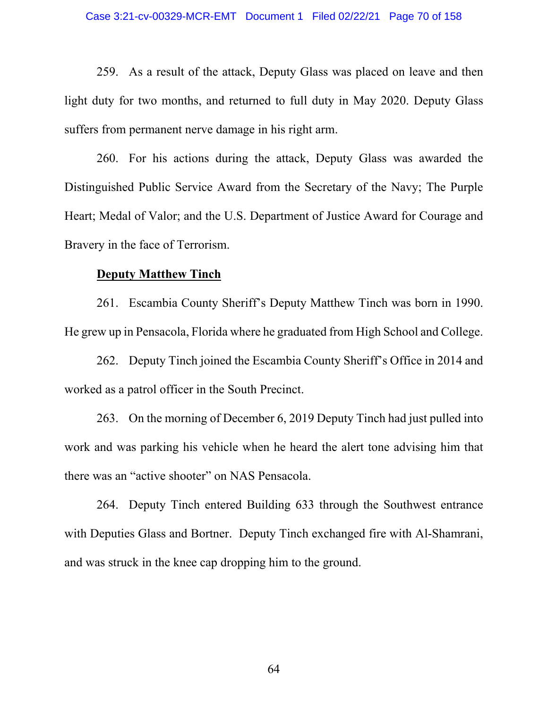259. As a result of the attack, Deputy Glass was placed on leave and then light duty for two months, and returned to full duty in May 2020. Deputy Glass suffers from permanent nerve damage in his right arm.

260. For his actions during the attack, Deputy Glass was awarded the Distinguished Public Service Award from the Secretary of the Navy; The Purple Heart; Medal of Valor; and the U.S. Department of Justice Award for Courage and Bravery in the face of Terrorism.

#### **Deputy Matthew Tinch**

261. Escambia County Sheriff's Deputy Matthew Tinch was born in 1990. He grew up in Pensacola, Florida where he graduated from High School and College.

262. Deputy Tinch joined the Escambia County Sheriff's Office in 2014 and worked as a patrol officer in the South Precinct.

263. On the morning of December 6, 2019 Deputy Tinch had just pulled into work and was parking his vehicle when he heard the alert tone advising him that there was an "active shooter" on NAS Pensacola.

264. Deputy Tinch entered Building 633 through the Southwest entrance with Deputies Glass and Bortner. Deputy Tinch exchanged fire with Al-Shamrani, and was struck in the knee cap dropping him to the ground.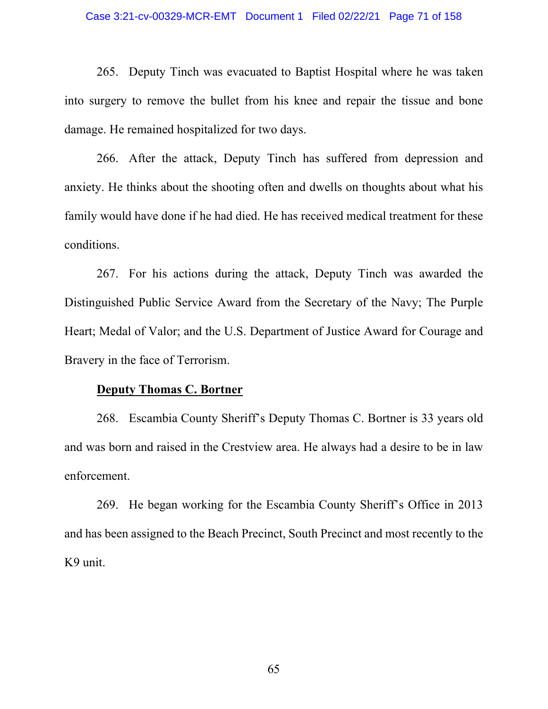#### Case 3:21-cv-00329-MCR-EMT Document 1 Filed 02/22/21 Page 71 of 158

265. Deputy Tinch was evacuated to Baptist Hospital where he was taken into surgery to remove the bullet from his knee and repair the tissue and bone damage. He remained hospitalized for two days.

266. After the attack, Deputy Tinch has suffered from depression and anxiety. He thinks about the shooting often and dwells on thoughts about what his family would have done if he had died. He has received medical treatment for these conditions.

267. For his actions during the attack, Deputy Tinch was awarded the Distinguished Public Service Award from the Secretary of the Navy; The Purple Heart; Medal of Valor; and the U.S. Department of Justice Award for Courage and Bravery in the face of Terrorism.

#### **Deputy Thomas C. Bortner**

268. Escambia County Sheriff's Deputy Thomas C. Bortner is 33 years old and was born and raised in the Crestview area. He always had a desire to be in law enforcement.

269. He began working for the Escambia County Sheriff's Office in 2013 and has been assigned to the Beach Precinct, South Precinct and most recently to the K9 unit.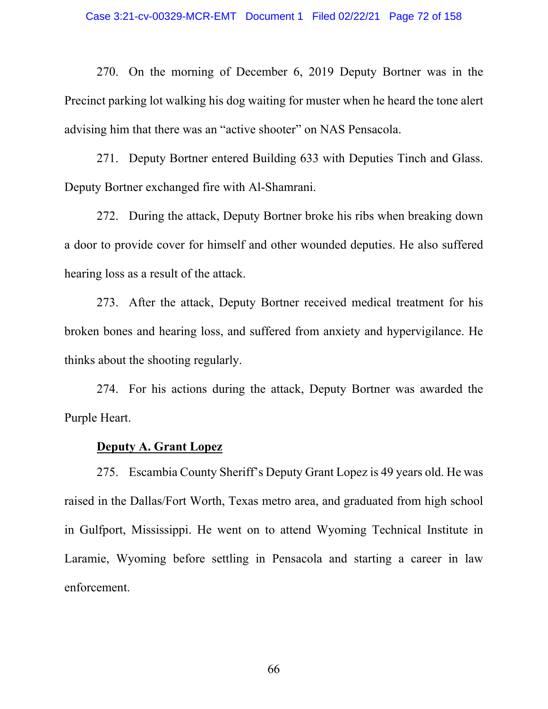270. On the morning of December 6, 2019 Deputy Bortner was in the Precinct parking lot walking his dog waiting for muster when he heard the tone alert advising him that there was an "active shooter" on NAS Pensacola.

271. Deputy Bortner entered Building 633 with Deputies Tinch and Glass. Deputy Bortner exchanged fire with Al-Shamrani.

272. During the attack, Deputy Bortner broke his ribs when breaking down a door to provide cover for himself and other wounded deputies. He also suffered hearing loss as a result of the attack.

273. After the attack, Deputy Bortner received medical treatment for his broken bones and hearing loss, and suffered from anxiety and hypervigilance. He thinks about the shooting regularly.

274. For his actions during the attack, Deputy Bortner was awarded the Purple Heart.

#### **Deputy A. Grant Lopez**

275. Escambia County Sheriff's Deputy Grant Lopez is 49 years old. He was raised in the Dallas/Fort Worth, Texas metro area, and graduated from high school in Gulfport, Mississippi. He went on to attend Wyoming Technical Institute in Laramie, Wyoming before settling in Pensacola and starting a career in law enforcement.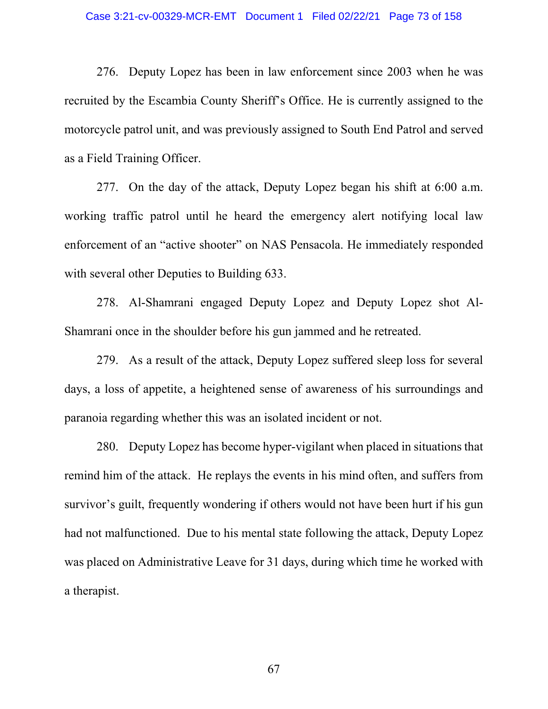### Case 3:21-cv-00329-MCR-EMT Document 1 Filed 02/22/21 Page 73 of 158

276. Deputy Lopez has been in law enforcement since 2003 when he was recruited by the Escambia County Sheriff's Office. He is currently assigned to the motorcycle patrol unit, and was previously assigned to South End Patrol and served as a Field Training Officer.

277. On the day of the attack, Deputy Lopez began his shift at 6:00 a.m. working traffic patrol until he heard the emergency alert notifying local law enforcement of an "active shooter" on NAS Pensacola. He immediately responded with several other Deputies to Building 633.

278. Al-Shamrani engaged Deputy Lopez and Deputy Lopez shot Al-Shamrani once in the shoulder before his gun jammed and he retreated.

279. As a result of the attack, Deputy Lopez suffered sleep loss for several days, a loss of appetite, a heightened sense of awareness of his surroundings and paranoia regarding whether this was an isolated incident or not.

280. Deputy Lopez has become hyper-vigilant when placed in situations that remind him of the attack. He replays the events in his mind often, and suffers from survivor's guilt, frequently wondering if others would not have been hurt if his gun had not malfunctioned. Due to his mental state following the attack, Deputy Lopez was placed on Administrative Leave for 31 days, during which time he worked with a therapist.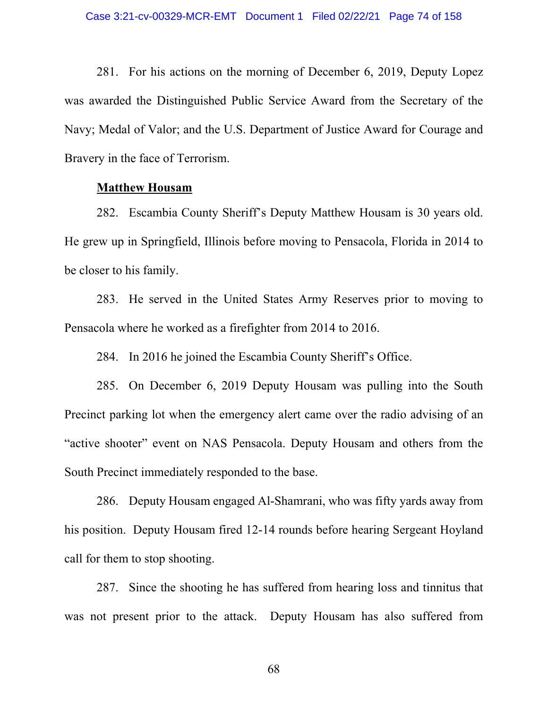281. For his actions on the morning of December 6, 2019, Deputy Lopez was awarded the Distinguished Public Service Award from the Secretary of the Navy; Medal of Valor; and the U.S. Department of Justice Award for Courage and Bravery in the face of Terrorism.

### **Matthew Housam**

282. Escambia County Sheriff's Deputy Matthew Housam is 30 years old. He grew up in Springfield, Illinois before moving to Pensacola, Florida in 2014 to be closer to his family.

283. He served in the United States Army Reserves prior to moving to Pensacola where he worked as a firefighter from 2014 to 2016.

284. In 2016 he joined the Escambia County Sheriff's Office.

285. On December 6, 2019 Deputy Housam was pulling into the South Precinct parking lot when the emergency alert came over the radio advising of an "active shooter" event on NAS Pensacola. Deputy Housam and others from the South Precinct immediately responded to the base.

286. Deputy Housam engaged Al-Shamrani, who was fifty yards away from his position. Deputy Housam fired 12-14 rounds before hearing Sergeant Hoyland call for them to stop shooting.

287. Since the shooting he has suffered from hearing loss and tinnitus that was not present prior to the attack. Deputy Housam has also suffered from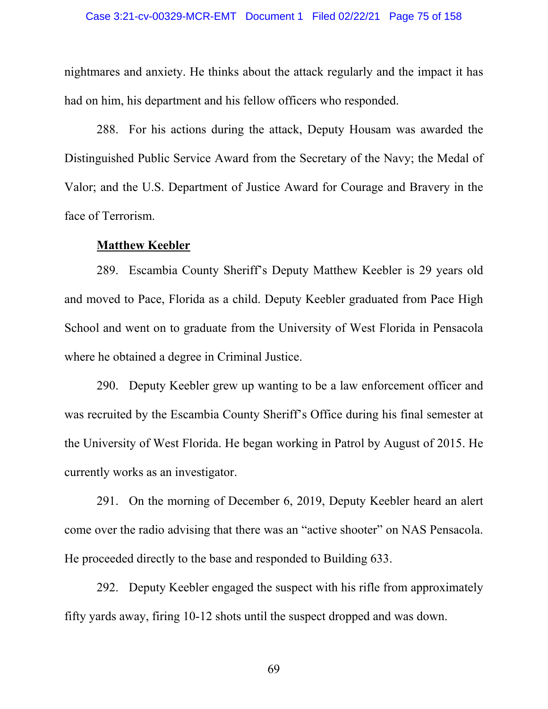nightmares and anxiety. He thinks about the attack regularly and the impact it has had on him, his department and his fellow officers who responded.

288. For his actions during the attack, Deputy Housam was awarded the Distinguished Public Service Award from the Secretary of the Navy; the Medal of Valor; and the U.S. Department of Justice Award for Courage and Bravery in the face of Terrorism.

### **Matthew Keebler**

289. Escambia County Sheriff's Deputy Matthew Keebler is 29 years old and moved to Pace, Florida as a child. Deputy Keebler graduated from Pace High School and went on to graduate from the University of West Florida in Pensacola where he obtained a degree in Criminal Justice.

290. Deputy Keebler grew up wanting to be a law enforcement officer and was recruited by the Escambia County Sheriff's Office during his final semester at the University of West Florida. He began working in Patrol by August of 2015. He currently works as an investigator.

291. On the morning of December 6, 2019, Deputy Keebler heard an alert come over the radio advising that there was an "active shooter" on NAS Pensacola. He proceeded directly to the base and responded to Building 633.

292. Deputy Keebler engaged the suspect with his rifle from approximately fifty yards away, firing 10-12 shots until the suspect dropped and was down.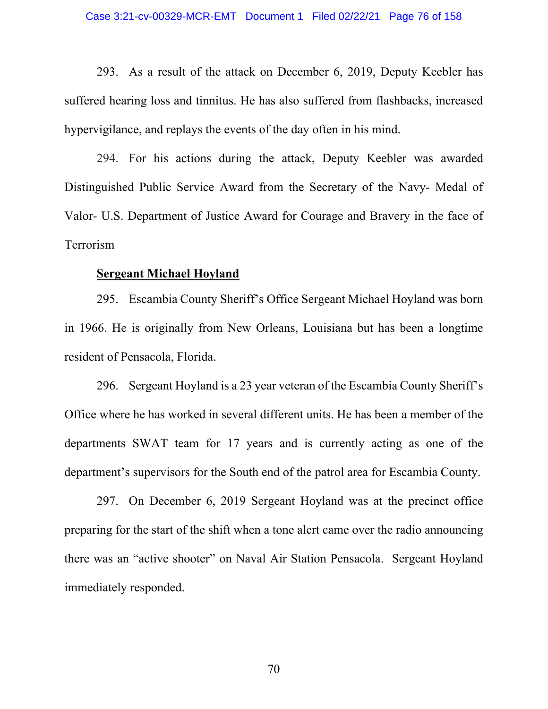293. As a result of the attack on December 6, 2019, Deputy Keebler has suffered hearing loss and tinnitus. He has also suffered from flashbacks, increased hypervigilance, and replays the events of the day often in his mind.

294. For his actions during the attack, Deputy Keebler was awarded Distinguished Public Service Award from the Secretary of the Navy- Medal of Valor- U.S. Department of Justice Award for Courage and Bravery in the face of Terrorism

## **Sergeant Michael Hoyland**

295. Escambia County Sheriff's Office Sergeant Michael Hoyland was born in 1966. He is originally from New Orleans, Louisiana but has been a longtime resident of Pensacola, Florida.

296. Sergeant Hoyland is a 23 year veteran of the Escambia County Sheriff's Office where he has worked in several different units. He has been a member of the departments SWAT team for 17 years and is currently acting as one of the department's supervisors for the South end of the patrol area for Escambia County.

297. On December 6, 2019 Sergeant Hoyland was at the precinct office preparing for the start of the shift when a tone alert came over the radio announcing there was an "active shooter" on Naval Air Station Pensacola. Sergeant Hoyland immediately responded.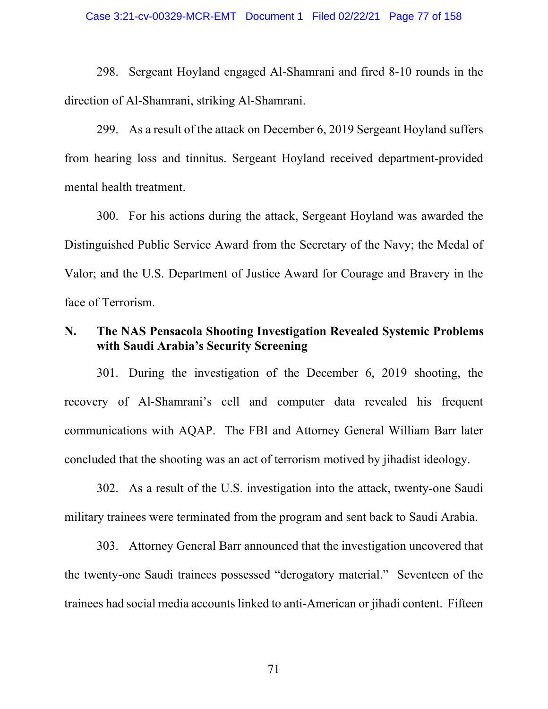298. Sergeant Hoyland engaged Al-Shamrani and fired 8-10 rounds in the direction of Al-Shamrani, striking Al-Shamrani.

299. As a result of the attack on December 6, 2019 Sergeant Hoyland suffers from hearing loss and tinnitus. Sergeant Hoyland received department-provided mental health treatment.

300. For his actions during the attack, Sergeant Hoyland was awarded the Distinguished Public Service Award from the Secretary of the Navy; the Medal of Valor; and the U.S. Department of Justice Award for Courage and Bravery in the face of Terrorism.

# **N. The NAS Pensacola Shooting Investigation Revealed Systemic Problems with Saudi Arabia's Security Screening**

301. During the investigation of the December 6, 2019 shooting, the recovery of Al-Shamrani's cell and computer data revealed his frequent communications with AQAP. The FBI and Attorney General William Barr later concluded that the shooting was an act of terrorism motived by jihadist ideology.

302. As a result of the U.S. investigation into the attack, twenty-one Saudi military trainees were terminated from the program and sent back to Saudi Arabia.

303. Attorney General Barr announced that the investigation uncovered that the twenty-one Saudi trainees possessed "derogatory material." Seventeen of the trainees had social media accounts linked to anti-American or jihadi content. Fifteen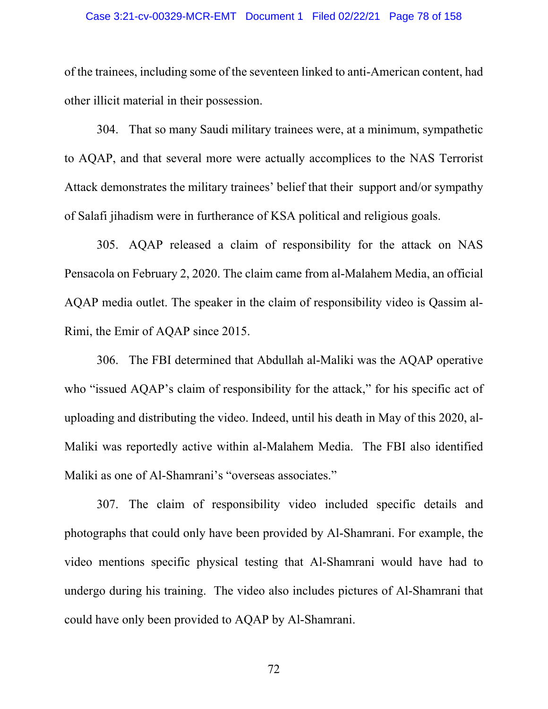### Case 3:21-cv-00329-MCR-EMT Document 1 Filed 02/22/21 Page 78 of 158

of the trainees, including some of the seventeen linked to anti-American content, had other illicit material in their possession.

304. That so many Saudi military trainees were, at a minimum, sympathetic to AQAP, and that several more were actually accomplices to the NAS Terrorist Attack demonstrates the military trainees' belief that their support and/or sympathy of Salafi jihadism were in furtherance of KSA political and religious goals.

305. AQAP released a claim of responsibility for the attack on NAS Pensacola on February 2, 2020. The claim came from al-Malahem Media, an official AQAP media outlet. The speaker in the claim of responsibility video is Qassim al-Rimi, the Emir of AQAP since 2015.

306. The FBI determined that Abdullah al-Maliki was the AQAP operative who "issued AQAP's claim of responsibility for the attack," for his specific act of uploading and distributing the video. Indeed, until his death in May of this 2020, al-Maliki was reportedly active within al-Malahem Media. The FBI also identified Maliki as one of Al-Shamrani's "overseas associates."

307. The claim of responsibility video included specific details and photographs that could only have been provided by Al-Shamrani. For example, the video mentions specific physical testing that Al-Shamrani would have had to undergo during his training. The video also includes pictures of Al-Shamrani that could have only been provided to AQAP by Al-Shamrani.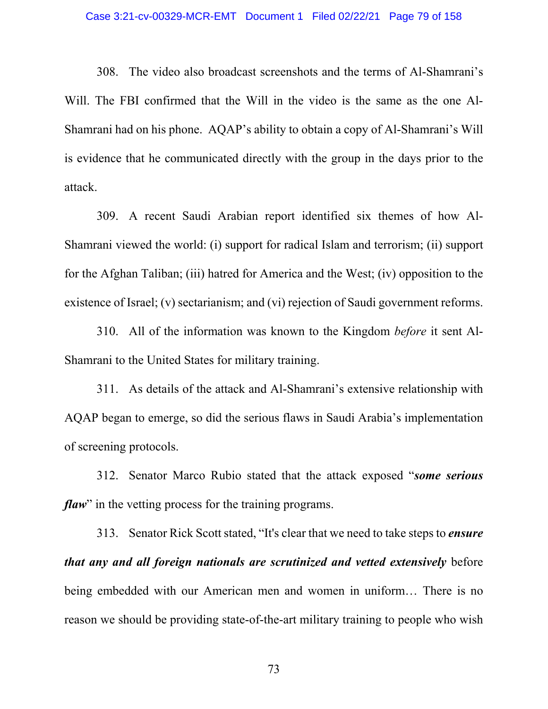### Case 3:21-cv-00329-MCR-EMT Document 1 Filed 02/22/21 Page 79 of 158

308. The video also broadcast screenshots and the terms of Al-Shamrani's Will. The FBI confirmed that the Will in the video is the same as the one Al-Shamrani had on his phone. AQAP's ability to obtain a copy of Al-Shamrani's Will is evidence that he communicated directly with the group in the days prior to the attack.

309. A recent Saudi Arabian report identified six themes of how Al-Shamrani viewed the world: (i) support for radical Islam and terrorism; (ii) support for the Afghan Taliban; (iii) hatred for America and the West; (iv) opposition to the existence of Israel; (v) sectarianism; and (vi) rejection of Saudi government reforms.

310. All of the information was known to the Kingdom *before* it sent Al-Shamrani to the United States for military training.

311. As details of the attack and Al-Shamrani's extensive relationship with AQAP began to emerge, so did the serious flaws in Saudi Arabia's implementation of screening protocols.

312. Senator Marco Rubio stated that the attack exposed "*some serious flaw*" in the vetting process for the training programs.

313. Senator Rick Scott stated, "It's clear that we need to take steps to *ensure that any and all foreign nationals are scrutinized and vetted extensively* before being embedded with our American men and women in uniform… There is no reason we should be providing state-of-the-art military training to people who wish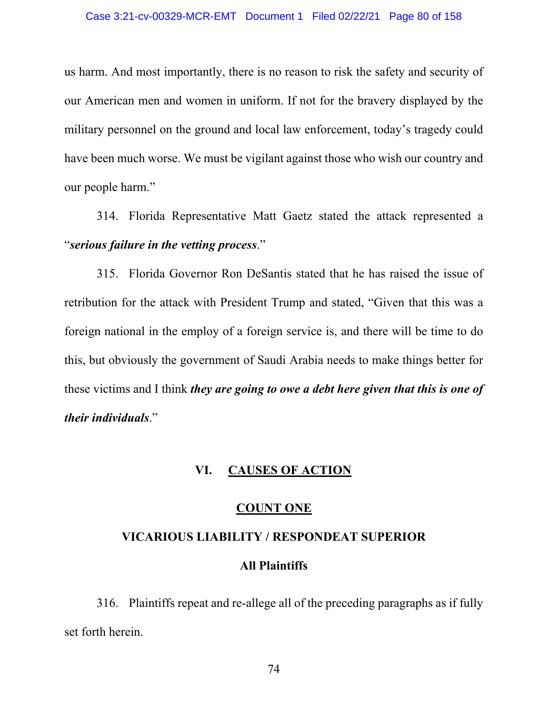us harm. And most importantly, there is no reason to risk the safety and security of our American men and women in uniform. If not for the bravery displayed by the military personnel on the ground and local law enforcement, today's tragedy could have been much worse. We must be vigilant against those who wish our country and our people harm."

314. Florida Representative Matt Gaetz stated the attack represented a "*serious failure in the vetting process*."

315. Florida Governor Ron DeSantis stated that he has raised the issue of retribution for the attack with President Trump and stated, "Given that this was a foreign national in the employ of a foreign service is, and there will be time to do this, but obviously the government of Saudi Arabia needs to make things better for these victims and I think *they are going to owe a debt here given that this is one of their individuals*."

# **VI. CAUSES OF ACTION**

## **COUNT ONE**

# **VICARIOUS LIABILITY / RESPONDEAT SUPERIOR All Plaintiffs**

316. Plaintiffs repeat and re-allege all of the preceding paragraphs as if fully set forth herein.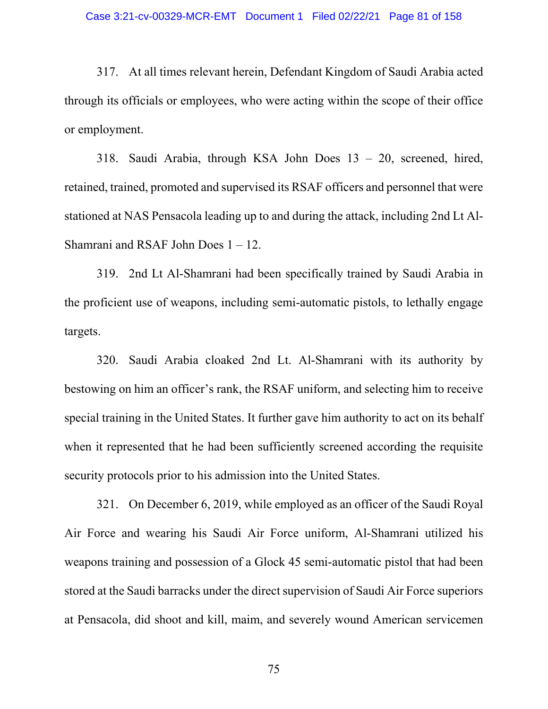317. At all times relevant herein, Defendant Kingdom of Saudi Arabia acted through its officials or employees, who were acting within the scope of their office or employment.

318. Saudi Arabia, through KSA John Does 13 – 20, screened, hired, retained, trained, promoted and supervised its RSAF officers and personnel that were stationed at NAS Pensacola leading up to and during the attack, including 2nd Lt Al-Shamrani and RSAF John Does 1 – 12.

319. 2nd Lt Al-Shamrani had been specifically trained by Saudi Arabia in the proficient use of weapons, including semi-automatic pistols, to lethally engage targets.

320. Saudi Arabia cloaked 2nd Lt. Al-Shamrani with its authority by bestowing on him an officer's rank, the RSAF uniform, and selecting him to receive special training in the United States. It further gave him authority to act on its behalf when it represented that he had been sufficiently screened according the requisite security protocols prior to his admission into the United States.

321. On December 6, 2019, while employed as an officer of the Saudi Royal Air Force and wearing his Saudi Air Force uniform, Al-Shamrani utilized his weapons training and possession of a Glock 45 semi-automatic pistol that had been stored at the Saudi barracks under the direct supervision of Saudi Air Force superiors at Pensacola, did shoot and kill, maim, and severely wound American servicemen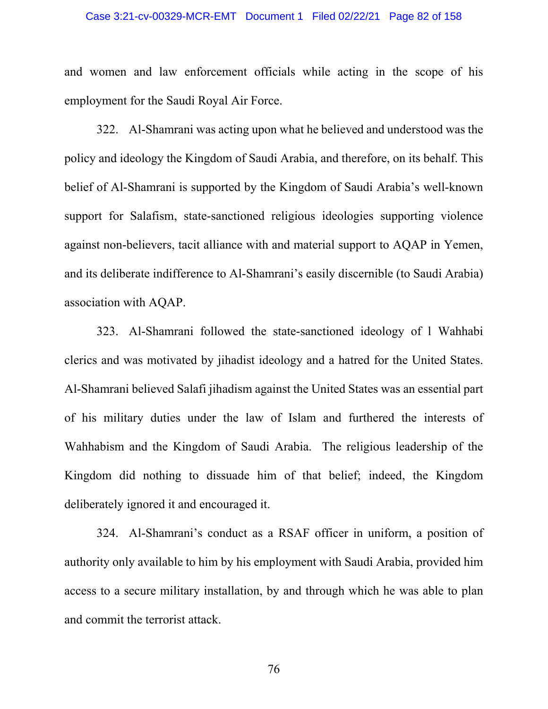### Case 3:21-cv-00329-MCR-EMT Document 1 Filed 02/22/21 Page 82 of 158

and women and law enforcement officials while acting in the scope of his employment for the Saudi Royal Air Force.

322. Al-Shamrani was acting upon what he believed and understood was the policy and ideology the Kingdom of Saudi Arabia, and therefore, on its behalf. This belief of Al-Shamrani is supported by the Kingdom of Saudi Arabia's well-known support for Salafism, state-sanctioned religious ideologies supporting violence against non-believers, tacit alliance with and material support to AQAP in Yemen, and its deliberate indifference to Al-Shamrani's easily discernible (to Saudi Arabia) association with AQAP.

323. Al-Shamrani followed the state-sanctioned ideology of l Wahhabi clerics and was motivated by jihadist ideology and a hatred for the United States. Al-Shamrani believed Salafi jihadism against the United States was an essential part of his military duties under the law of Islam and furthered the interests of Wahhabism and the Kingdom of Saudi Arabia. The religious leadership of the Kingdom did nothing to dissuade him of that belief; indeed, the Kingdom deliberately ignored it and encouraged it.

324. Al-Shamrani's conduct as a RSAF officer in uniform, a position of authority only available to him by his employment with Saudi Arabia, provided him access to a secure military installation, by and through which he was able to plan and commit the terrorist attack.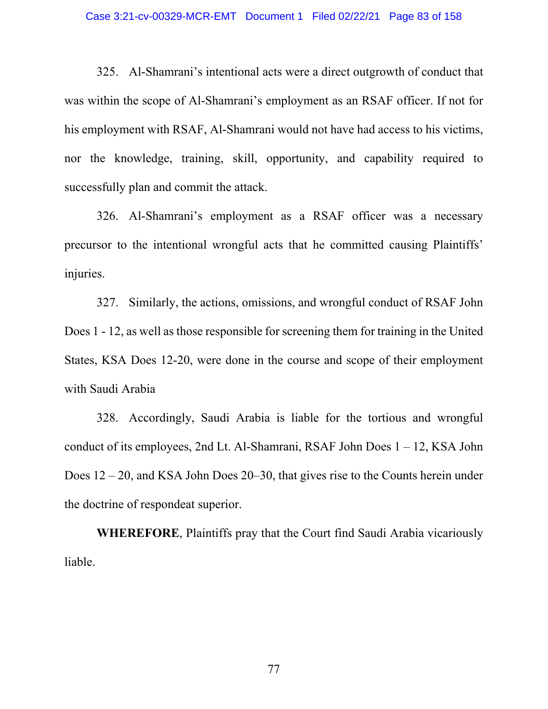### Case 3:21-cv-00329-MCR-EMT Document 1 Filed 02/22/21 Page 83 of 158

325. Al-Shamrani's intentional acts were a direct outgrowth of conduct that was within the scope of Al-Shamrani's employment as an RSAF officer. If not for his employment with RSAF, Al-Shamrani would not have had access to his victims, nor the knowledge, training, skill, opportunity, and capability required to successfully plan and commit the attack.

326. Al-Shamrani's employment as a RSAF officer was a necessary precursor to the intentional wrongful acts that he committed causing Plaintiffs' injuries.

327. Similarly, the actions, omissions, and wrongful conduct of RSAF John Does 1 - 12, as well as those responsible for screening them for training in the United States, KSA Does 12-20, were done in the course and scope of their employment with Saudi Arabia

328. Accordingly, Saudi Arabia is liable for the tortious and wrongful conduct of its employees, 2nd Lt. Al-Shamrani, RSAF John Does  $1 - 12$ , KSA John Does 12 – 20, and KSA John Does 20–30, that gives rise to the Counts herein under the doctrine of respondeat superior.

**WHEREFORE**, Plaintiffs pray that the Court find Saudi Arabia vicariously liable.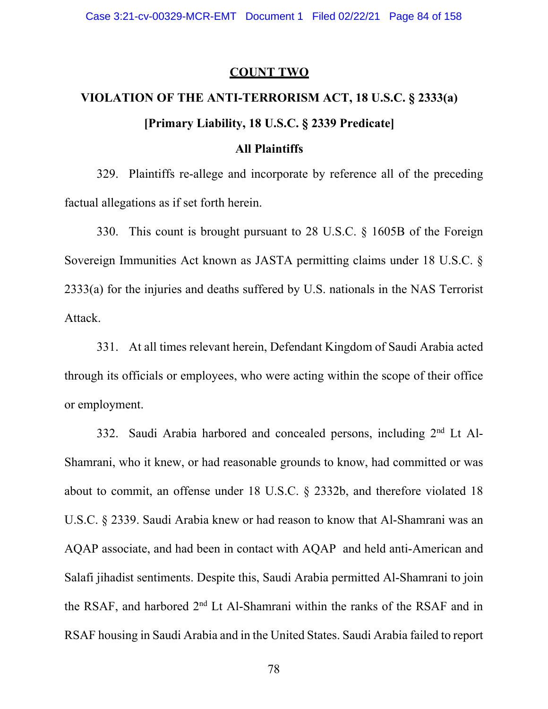### **COUNT TWO**

# **VIOLATION OF THE ANTI-TERRORISM ACT, 18 U.S.C. § 2333(a) [Primary Liability, 18 U.S.C. § 2339 Predicate]**

# **All Plaintiffs**

329. Plaintiffs re-allege and incorporate by reference all of the preceding factual allegations as if set forth herein.

330. This count is brought pursuant to 28 U.S.C. § 1605B of the Foreign Sovereign Immunities Act known as JASTA permitting claims under 18 U.S.C. § 2333(a) for the injuries and deaths suffered by U.S. nationals in the NAS Terrorist Attack.

331. At all times relevant herein, Defendant Kingdom of Saudi Arabia acted through its officials or employees, who were acting within the scope of their office or employment.

332. Saudi Arabia harbored and concealed persons, including  $2<sup>nd</sup>$  Lt Al-Shamrani, who it knew, or had reasonable grounds to know, had committed or was about to commit, an offense under 18 U.S.C. § 2332b, and therefore violated 18 U.S.C. § 2339. Saudi Arabia knew or had reason to know that Al-Shamrani was an AQAP associate, and had been in contact with AQAP and held anti-American and Salafi jihadist sentiments. Despite this, Saudi Arabia permitted Al-Shamrani to join the RSAF, and harbored  $2<sup>nd</sup>$  Lt Al-Shamrani within the ranks of the RSAF and in RSAF housing in Saudi Arabia and in the United States. Saudi Arabia failed to report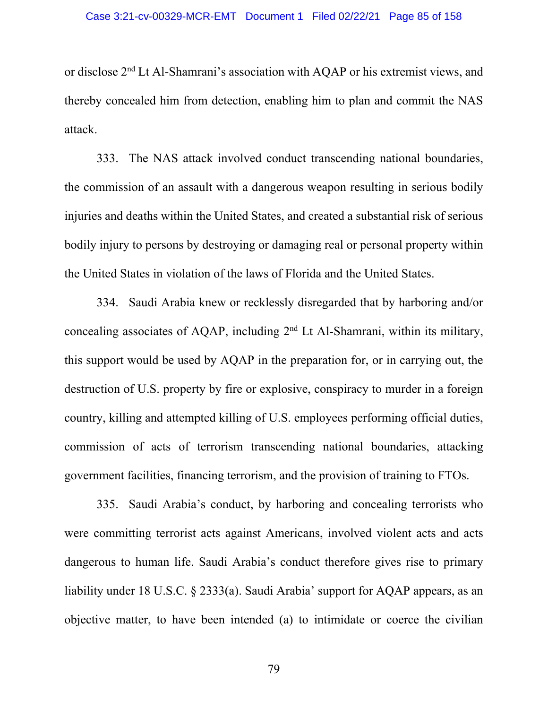or disclose 2nd Lt Al-Shamrani's association with AQAP or his extremist views, and thereby concealed him from detection, enabling him to plan and commit the NAS attack.

333. The NAS attack involved conduct transcending national boundaries, the commission of an assault with a dangerous weapon resulting in serious bodily injuries and deaths within the United States, and created a substantial risk of serious bodily injury to persons by destroying or damaging real or personal property within the United States in violation of the laws of Florida and the United States.

334. Saudi Arabia knew or recklessly disregarded that by harboring and/or concealing associates of AQAP, including 2nd Lt Al-Shamrani, within its military, this support would be used by AQAP in the preparation for, or in carrying out, the destruction of U.S. property by fire or explosive, conspiracy to murder in a foreign country, killing and attempted killing of U.S. employees performing official duties, commission of acts of terrorism transcending national boundaries, attacking government facilities, financing terrorism, and the provision of training to FTOs.

335. Saudi Arabia's conduct, by harboring and concealing terrorists who were committing terrorist acts against Americans, involved violent acts and acts dangerous to human life. Saudi Arabia's conduct therefore gives rise to primary liability under 18 U.S.C. § 2333(a). Saudi Arabia' support for AQAP appears, as an objective matter, to have been intended (a) to intimidate or coerce the civilian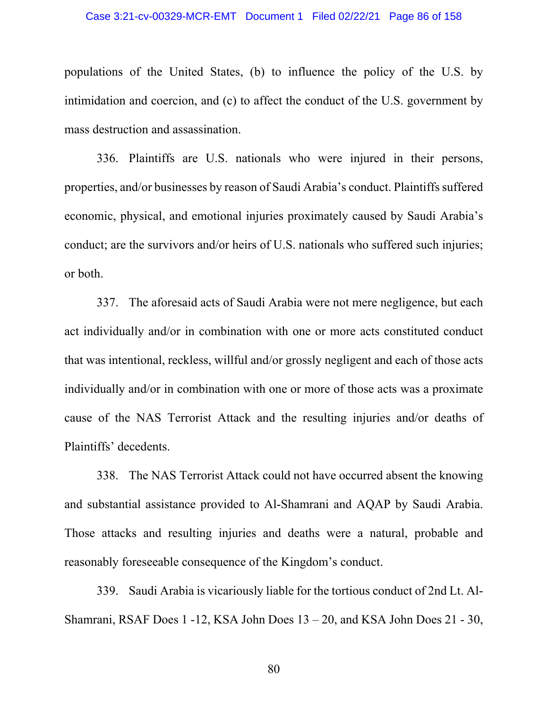populations of the United States, (b) to influence the policy of the U.S. by intimidation and coercion, and (c) to affect the conduct of the U.S. government by mass destruction and assassination.

336. Plaintiffs are U.S. nationals who were injured in their persons, properties, and/or businesses by reason of Saudi Arabia's conduct. Plaintiffs suffered economic, physical, and emotional injuries proximately caused by Saudi Arabia's conduct; are the survivors and/or heirs of U.S. nationals who suffered such injuries; or both.

337. The aforesaid acts of Saudi Arabia were not mere negligence, but each act individually and/or in combination with one or more acts constituted conduct that was intentional, reckless, willful and/or grossly negligent and each of those acts individually and/or in combination with one or more of those acts was a proximate cause of the NAS Terrorist Attack and the resulting injuries and/or deaths of Plaintiffs' decedents.

338. The NAS Terrorist Attack could not have occurred absent the knowing and substantial assistance provided to Al-Shamrani and AQAP by Saudi Arabia. Those attacks and resulting injuries and deaths were a natural, probable and reasonably foreseeable consequence of the Kingdom's conduct.

339. Saudi Arabia is vicariously liable for the tortious conduct of 2nd Lt. Al-Shamrani, RSAF Does 1 -12, KSA John Does 13 – 20, and KSA John Does 21 - 30,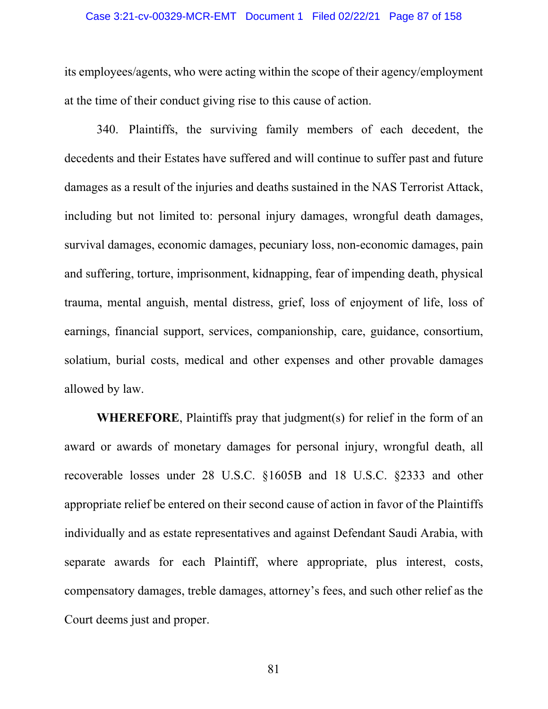its employees/agents, who were acting within the scope of their agency/employment at the time of their conduct giving rise to this cause of action.

340. Plaintiffs, the surviving family members of each decedent, the decedents and their Estates have suffered and will continue to suffer past and future damages as a result of the injuries and deaths sustained in the NAS Terrorist Attack, including but not limited to: personal injury damages, wrongful death damages, survival damages, economic damages, pecuniary loss, non-economic damages, pain and suffering, torture, imprisonment, kidnapping, fear of impending death, physical trauma, mental anguish, mental distress, grief, loss of enjoyment of life, loss of earnings, financial support, services, companionship, care, guidance, consortium, solatium, burial costs, medical and other expenses and other provable damages allowed by law.

**WHEREFORE**, Plaintiffs pray that judgment(s) for relief in the form of an award or awards of monetary damages for personal injury, wrongful death, all recoverable losses under 28 U.S.C. §1605B and 18 U.S.C. §2333 and other appropriate relief be entered on their second cause of action in favor of the Plaintiffs individually and as estate representatives and against Defendant Saudi Arabia, with separate awards for each Plaintiff, where appropriate, plus interest, costs, compensatory damages, treble damages, attorney's fees, and such other relief as the Court deems just and proper.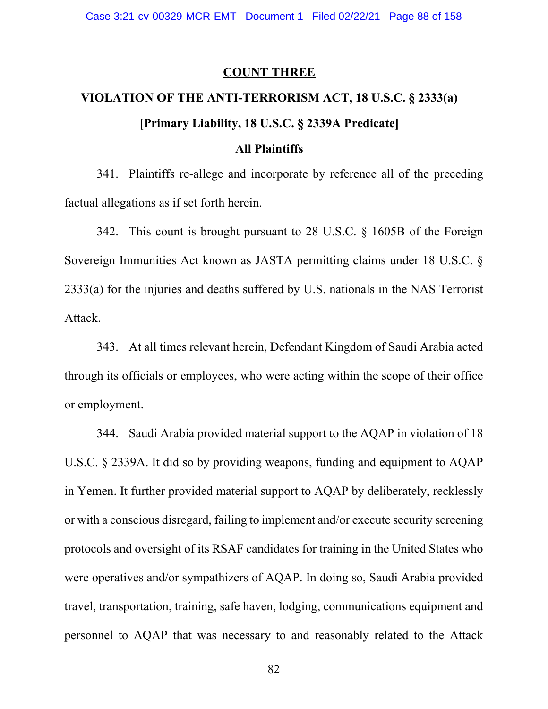### **COUNT THREE**

# **VIOLATION OF THE ANTI-TERRORISM ACT, 18 U.S.C. § 2333(a) [Primary Liability, 18 U.S.C. § 2339A Predicate]**

## **All Plaintiffs**

341. Plaintiffs re-allege and incorporate by reference all of the preceding factual allegations as if set forth herein.

342. This count is brought pursuant to 28 U.S.C. § 1605B of the Foreign Sovereign Immunities Act known as JASTA permitting claims under 18 U.S.C. § 2333(a) for the injuries and deaths suffered by U.S. nationals in the NAS Terrorist Attack.

343. At all times relevant herein, Defendant Kingdom of Saudi Arabia acted through its officials or employees, who were acting within the scope of their office or employment.

344. Saudi Arabia provided material support to the AQAP in violation of 18 U.S.C. § 2339A. It did so by providing weapons, funding and equipment to AQAP in Yemen. It further provided material support to AQAP by deliberately, recklessly or with a conscious disregard, failing to implement and/or execute security screening protocols and oversight of its RSAF candidates for training in the United States who were operatives and/or sympathizers of AQAP. In doing so, Saudi Arabia provided travel, transportation, training, safe haven, lodging, communications equipment and personnel to AQAP that was necessary to and reasonably related to the Attack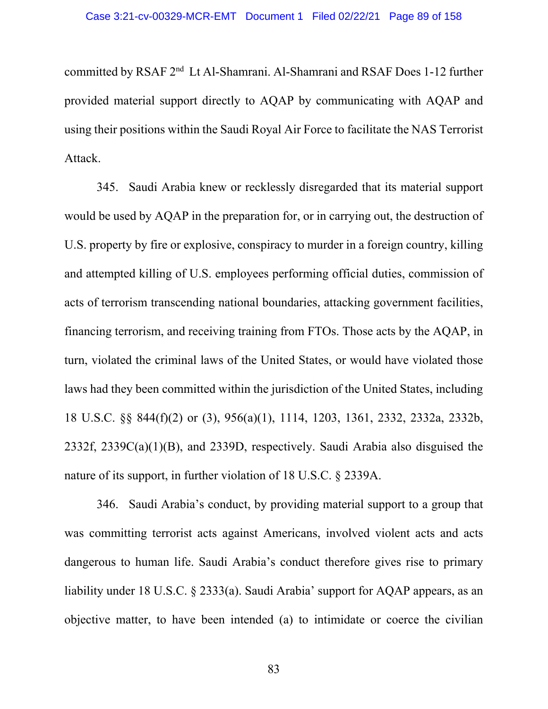committed by RSAF 2nd Lt Al-Shamrani. Al-Shamrani and RSAF Does 1-12 further provided material support directly to AQAP by communicating with AQAP and using their positions within the Saudi Royal Air Force to facilitate the NAS Terrorist Attack.

345. Saudi Arabia knew or recklessly disregarded that its material support would be used by AQAP in the preparation for, or in carrying out, the destruction of U.S. property by fire or explosive, conspiracy to murder in a foreign country, killing and attempted killing of U.S. employees performing official duties, commission of acts of terrorism transcending national boundaries, attacking government facilities, financing terrorism, and receiving training from FTOs. Those acts by the AQAP, in turn, violated the criminal laws of the United States, or would have violated those laws had they been committed within the jurisdiction of the United States, including 18 U.S.C. §§ 844(f)(2) or (3), 956(a)(1), 1114, 1203, 1361, 2332, 2332a, 2332b, 2332f, 2339C(a)(1)(B), and 2339D, respectively. Saudi Arabia also disguised the nature of its support, in further violation of 18 U.S.C. § 2339A.

346. Saudi Arabia's conduct, by providing material support to a group that was committing terrorist acts against Americans, involved violent acts and acts dangerous to human life. Saudi Arabia's conduct therefore gives rise to primary liability under 18 U.S.C. § 2333(a). Saudi Arabia' support for AQAP appears, as an objective matter, to have been intended (a) to intimidate or coerce the civilian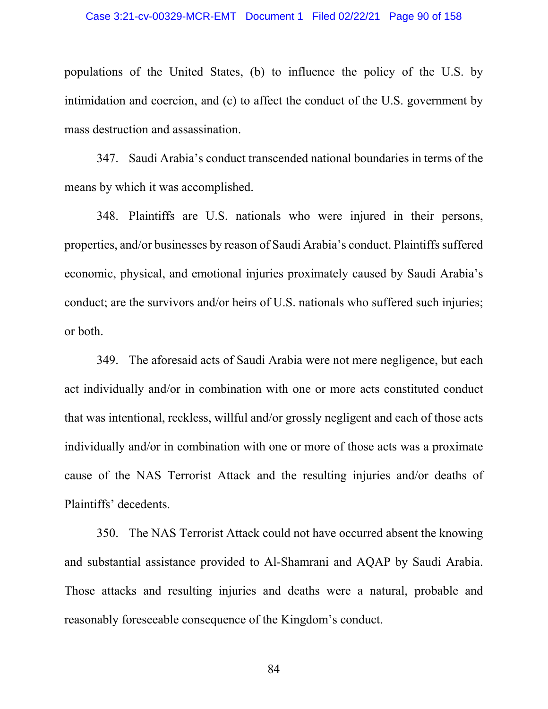populations of the United States, (b) to influence the policy of the U.S. by intimidation and coercion, and (c) to affect the conduct of the U.S. government by mass destruction and assassination.

347. Saudi Arabia's conduct transcended national boundaries in terms of the means by which it was accomplished.

348. Plaintiffs are U.S. nationals who were injured in their persons, properties, and/or businesses by reason of Saudi Arabia's conduct. Plaintiffs suffered economic, physical, and emotional injuries proximately caused by Saudi Arabia's conduct; are the survivors and/or heirs of U.S. nationals who suffered such injuries; or both.

349. The aforesaid acts of Saudi Arabia were not mere negligence, but each act individually and/or in combination with one or more acts constituted conduct that was intentional, reckless, willful and/or grossly negligent and each of those acts individually and/or in combination with one or more of those acts was a proximate cause of the NAS Terrorist Attack and the resulting injuries and/or deaths of Plaintiffs' decedents.

350. The NAS Terrorist Attack could not have occurred absent the knowing and substantial assistance provided to Al-Shamrani and AQAP by Saudi Arabia. Those attacks and resulting injuries and deaths were a natural, probable and reasonably foreseeable consequence of the Kingdom's conduct.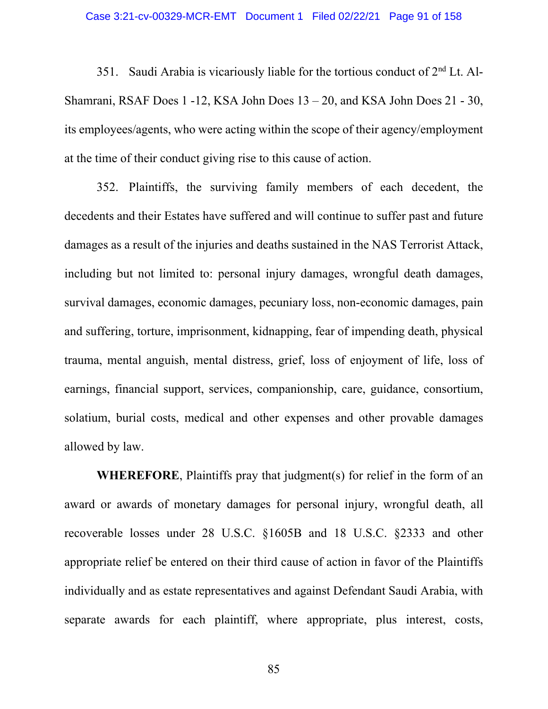351. Saudi Arabia is vicariously liable for the tortious conduct of  $2<sup>nd</sup>$  Lt. Al-Shamrani, RSAF Does 1 -12, KSA John Does 13 – 20, and KSA John Does 21 - 30, its employees/agents, who were acting within the scope of their agency/employment at the time of their conduct giving rise to this cause of action.

352. Plaintiffs, the surviving family members of each decedent, the decedents and their Estates have suffered and will continue to suffer past and future damages as a result of the injuries and deaths sustained in the NAS Terrorist Attack, including but not limited to: personal injury damages, wrongful death damages, survival damages, economic damages, pecuniary loss, non-economic damages, pain and suffering, torture, imprisonment, kidnapping, fear of impending death, physical trauma, mental anguish, mental distress, grief, loss of enjoyment of life, loss of earnings, financial support, services, companionship, care, guidance, consortium, solatium, burial costs, medical and other expenses and other provable damages allowed by law.

**WHEREFORE**, Plaintiffs pray that judgment(s) for relief in the form of an award or awards of monetary damages for personal injury, wrongful death, all recoverable losses under 28 U.S.C. §1605B and 18 U.S.C. §2333 and other appropriate relief be entered on their third cause of action in favor of the Plaintiffs individually and as estate representatives and against Defendant Saudi Arabia, with separate awards for each plaintiff, where appropriate, plus interest, costs,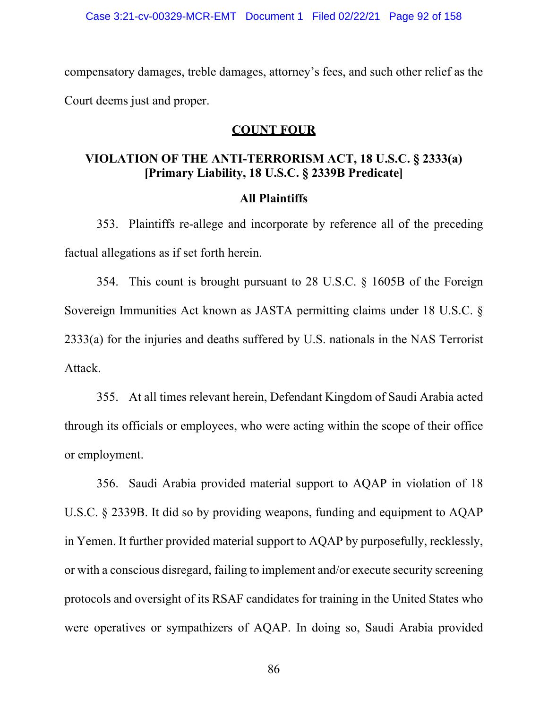compensatory damages, treble damages, attorney's fees, and such other relief as the Court deems just and proper.

# **COUNT FOUR**

# **VIOLATION OF THE ANTI-TERRORISM ACT, 18 U.S.C. § 2333(a) [Primary Liability, 18 U.S.C. § 2339B Predicate]**

### **All Plaintiffs**

353. Plaintiffs re-allege and incorporate by reference all of the preceding factual allegations as if set forth herein.

354. This count is brought pursuant to 28 U.S.C. § 1605B of the Foreign Sovereign Immunities Act known as JASTA permitting claims under 18 U.S.C. § 2333(a) for the injuries and deaths suffered by U.S. nationals in the NAS Terrorist Attack.

355. At all times relevant herein, Defendant Kingdom of Saudi Arabia acted through its officials or employees, who were acting within the scope of their office or employment.

356. Saudi Arabia provided material support to AQAP in violation of 18 U.S.C. § 2339B. It did so by providing weapons, funding and equipment to AQAP in Yemen. It further provided material support to AQAP by purposefully, recklessly, or with a conscious disregard, failing to implement and/or execute security screening protocols and oversight of its RSAF candidates for training in the United States who were operatives or sympathizers of AQAP. In doing so, Saudi Arabia provided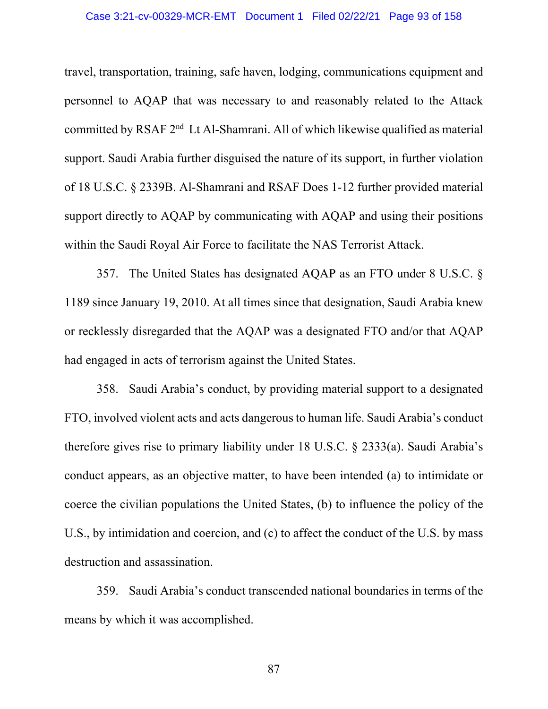### Case 3:21-cv-00329-MCR-EMT Document 1 Filed 02/22/21 Page 93 of 158

travel, transportation, training, safe haven, lodging, communications equipment and personnel to AQAP that was necessary to and reasonably related to the Attack committed by RSAF 2nd Lt Al-Shamrani. All of which likewise qualified as material support. Saudi Arabia further disguised the nature of its support, in further violation of 18 U.S.C. § 2339B. Al-Shamrani and RSAF Does 1-12 further provided material support directly to AQAP by communicating with AQAP and using their positions within the Saudi Royal Air Force to facilitate the NAS Terrorist Attack.

357. The United States has designated AQAP as an FTO under 8 U.S.C. § 1189 since January 19, 2010. At all times since that designation, Saudi Arabia knew or recklessly disregarded that the AQAP was a designated FTO and/or that AQAP had engaged in acts of terrorism against the United States.

358. Saudi Arabia's conduct, by providing material support to a designated FTO, involved violent acts and acts dangerous to human life. Saudi Arabia's conduct therefore gives rise to primary liability under 18 U.S.C. § 2333(a). Saudi Arabia's conduct appears, as an objective matter, to have been intended (a) to intimidate or coerce the civilian populations the United States, (b) to influence the policy of the U.S., by intimidation and coercion, and (c) to affect the conduct of the U.S. by mass destruction and assassination.

359. Saudi Arabia's conduct transcended national boundaries in terms of the means by which it was accomplished.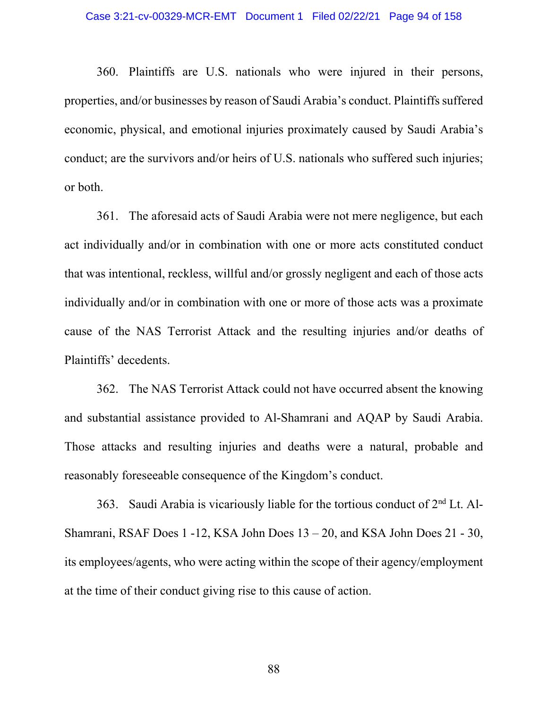360. Plaintiffs are U.S. nationals who were injured in their persons, properties, and/or businesses by reason of Saudi Arabia's conduct. Plaintiffs suffered economic, physical, and emotional injuries proximately caused by Saudi Arabia's conduct; are the survivors and/or heirs of U.S. nationals who suffered such injuries; or both.

361. The aforesaid acts of Saudi Arabia were not mere negligence, but each act individually and/or in combination with one or more acts constituted conduct that was intentional, reckless, willful and/or grossly negligent and each of those acts individually and/or in combination with one or more of those acts was a proximate cause of the NAS Terrorist Attack and the resulting injuries and/or deaths of Plaintiffs' decedents.

362. The NAS Terrorist Attack could not have occurred absent the knowing and substantial assistance provided to Al-Shamrani and AQAP by Saudi Arabia. Those attacks and resulting injuries and deaths were a natural, probable and reasonably foreseeable consequence of the Kingdom's conduct.

363. Saudi Arabia is vicariously liable for the tortious conduct of  $2<sup>nd</sup>$  Lt. Al-Shamrani, RSAF Does 1 -12, KSA John Does 13 – 20, and KSA John Does 21 - 30, its employees/agents, who were acting within the scope of their agency/employment at the time of their conduct giving rise to this cause of action.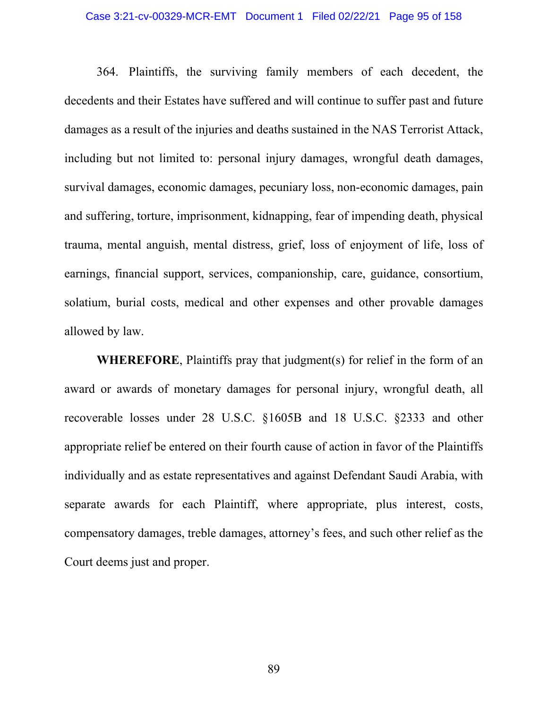### Case 3:21-cv-00329-MCR-EMT Document 1 Filed 02/22/21 Page 95 of 158

364. Plaintiffs, the surviving family members of each decedent, the decedents and their Estates have suffered and will continue to suffer past and future damages as a result of the injuries and deaths sustained in the NAS Terrorist Attack, including but not limited to: personal injury damages, wrongful death damages, survival damages, economic damages, pecuniary loss, non-economic damages, pain and suffering, torture, imprisonment, kidnapping, fear of impending death, physical trauma, mental anguish, mental distress, grief, loss of enjoyment of life, loss of earnings, financial support, services, companionship, care, guidance, consortium, solatium, burial costs, medical and other expenses and other provable damages allowed by law.

**WHEREFORE**, Plaintiffs pray that judgment(s) for relief in the form of an award or awards of monetary damages for personal injury, wrongful death, all recoverable losses under 28 U.S.C. §1605B and 18 U.S.C. §2333 and other appropriate relief be entered on their fourth cause of action in favor of the Plaintiffs individually and as estate representatives and against Defendant Saudi Arabia, with separate awards for each Plaintiff, where appropriate, plus interest, costs, compensatory damages, treble damages, attorney's fees, and such other relief as the Court deems just and proper.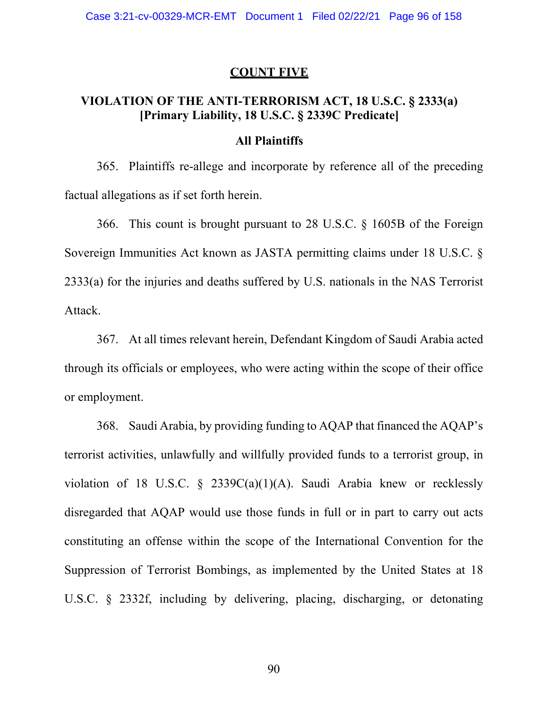### **COUNT FIVE**

# **VIOLATION OF THE ANTI-TERRORISM ACT, 18 U.S.C. § 2333(a) [Primary Liability, 18 U.S.C. § 2339C Predicate]**

### **All Plaintiffs**

365. Plaintiffs re-allege and incorporate by reference all of the preceding factual allegations as if set forth herein.

366. This count is brought pursuant to 28 U.S.C. § 1605B of the Foreign Sovereign Immunities Act known as JASTA permitting claims under 18 U.S.C. § 2333(a) for the injuries and deaths suffered by U.S. nationals in the NAS Terrorist Attack.

367. At all times relevant herein, Defendant Kingdom of Saudi Arabia acted through its officials or employees, who were acting within the scope of their office or employment.

368. Saudi Arabia, by providing funding to AQAP that financed the AQAP's terrorist activities, unlawfully and willfully provided funds to a terrorist group, in violation of 18 U.S.C. § 2339C(a)(1)(A). Saudi Arabia knew or recklessly disregarded that AQAP would use those funds in full or in part to carry out acts constituting an offense within the scope of the International Convention for the Suppression of Terrorist Bombings, as implemented by the United States at 18 U.S.C. § 2332f, including by delivering, placing, discharging, or detonating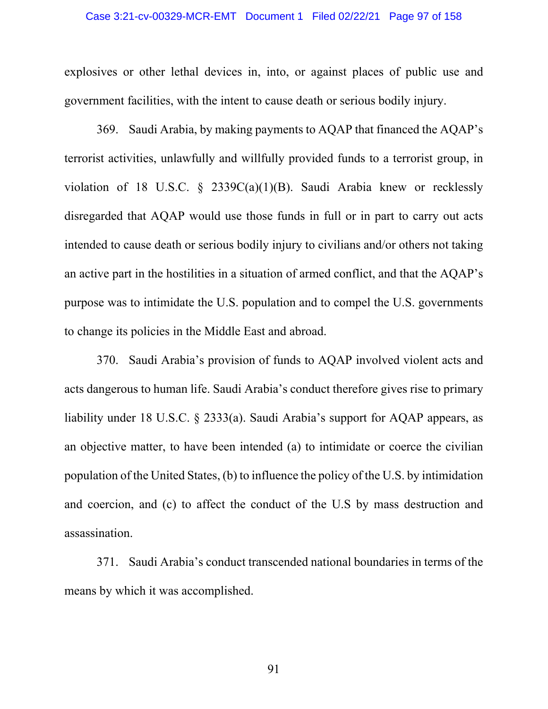### Case 3:21-cv-00329-MCR-EMT Document 1 Filed 02/22/21 Page 97 of 158

explosives or other lethal devices in, into, or against places of public use and government facilities, with the intent to cause death or serious bodily injury.

369. Saudi Arabia, by making payments to AQAP that financed the AQAP's terrorist activities, unlawfully and willfully provided funds to a terrorist group, in violation of 18 U.S.C. § 2339C(a)(1)(B). Saudi Arabia knew or recklessly disregarded that AQAP would use those funds in full or in part to carry out acts intended to cause death or serious bodily injury to civilians and/or others not taking an active part in the hostilities in a situation of armed conflict, and that the AQAP's purpose was to intimidate the U.S. population and to compel the U.S. governments to change its policies in the Middle East and abroad.

370. Saudi Arabia's provision of funds to AQAP involved violent acts and acts dangerous to human life. Saudi Arabia's conduct therefore gives rise to primary liability under 18 U.S.C. § 2333(a). Saudi Arabia's support for AQAP appears, as an objective matter, to have been intended (a) to intimidate or coerce the civilian population of the United States, (b) to influence the policy of the U.S. by intimidation and coercion, and (c) to affect the conduct of the U.S by mass destruction and assassination.

371. Saudi Arabia's conduct transcended national boundaries in terms of the means by which it was accomplished.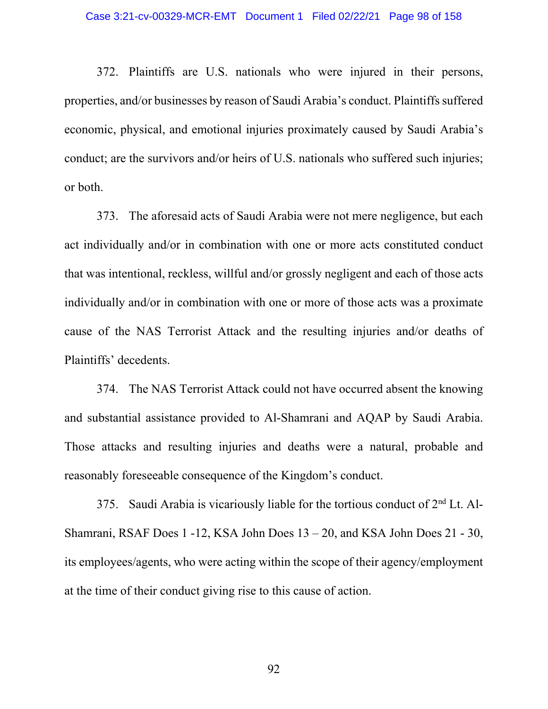372. Plaintiffs are U.S. nationals who were injured in their persons, properties, and/or businesses by reason of Saudi Arabia's conduct. Plaintiffs suffered economic, physical, and emotional injuries proximately caused by Saudi Arabia's conduct; are the survivors and/or heirs of U.S. nationals who suffered such injuries; or both.

373. The aforesaid acts of Saudi Arabia were not mere negligence, but each act individually and/or in combination with one or more acts constituted conduct that was intentional, reckless, willful and/or grossly negligent and each of those acts individually and/or in combination with one or more of those acts was a proximate cause of the NAS Terrorist Attack and the resulting injuries and/or deaths of Plaintiffs' decedents.

374. The NAS Terrorist Attack could not have occurred absent the knowing and substantial assistance provided to Al-Shamrani and AQAP by Saudi Arabia. Those attacks and resulting injuries and deaths were a natural, probable and reasonably foreseeable consequence of the Kingdom's conduct.

375. Saudi Arabia is vicariously liable for the tortious conduct of  $2<sup>nd</sup>$  Lt. Al-Shamrani, RSAF Does 1 -12, KSA John Does 13 – 20, and KSA John Does 21 - 30, its employees/agents, who were acting within the scope of their agency/employment at the time of their conduct giving rise to this cause of action.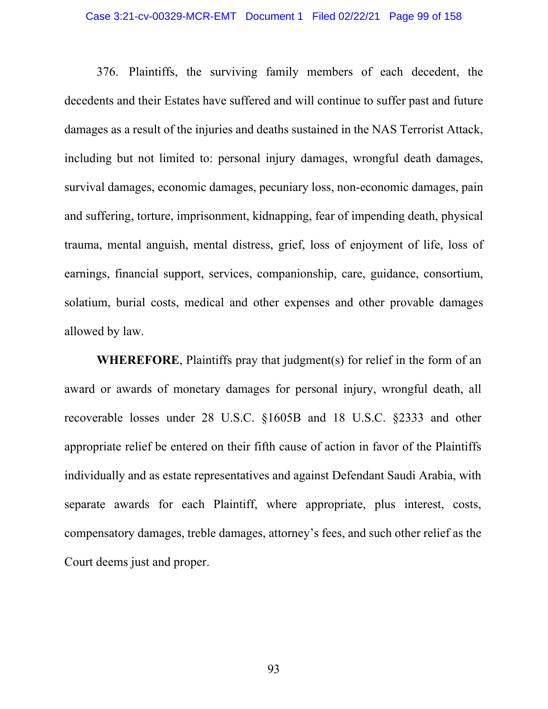### Case 3:21-cv-00329-MCR-EMT Document 1 Filed 02/22/21 Page 99 of 158

376. Plaintiffs, the surviving family members of each decedent, the decedents and their Estates have suffered and will continue to suffer past and future damages as a result of the injuries and deaths sustained in the NAS Terrorist Attack, including but not limited to: personal injury damages, wrongful death damages, survival damages, economic damages, pecuniary loss, non-economic damages, pain and suffering, torture, imprisonment, kidnapping, fear of impending death, physical trauma, mental anguish, mental distress, grief, loss of enjoyment of life, loss of earnings, financial support, services, companionship, care, guidance, consortium, solatium, burial costs, medical and other expenses and other provable damages allowed by law.

**WHEREFORE**, Plaintiffs pray that judgment(s) for relief in the form of an award or awards of monetary damages for personal injury, wrongful death, all recoverable losses under 28 U.S.C. §1605B and 18 U.S.C. §2333 and other appropriate relief be entered on their fifth cause of action in favor of the Plaintiffs individually and as estate representatives and against Defendant Saudi Arabia, with separate awards for each Plaintiff, where appropriate, plus interest, costs, compensatory damages, treble damages, attorney's fees, and such other relief as the Court deems just and proper.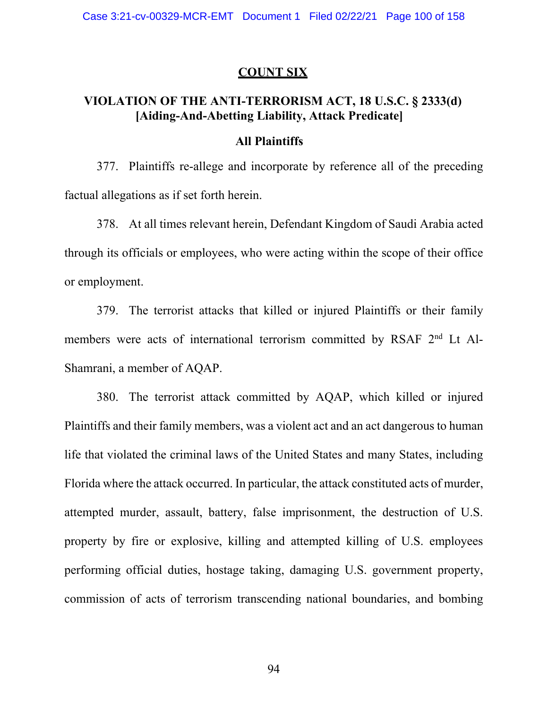### **COUNT SIX**

# **VIOLATION OF THE ANTI-TERRORISM ACT, 18 U.S.C. § 2333(d) [Aiding-And-Abetting Liability, Attack Predicate]**

### **All Plaintiffs**

377. Plaintiffs re-allege and incorporate by reference all of the preceding factual allegations as if set forth herein.

378. At all times relevant herein, Defendant Kingdom of Saudi Arabia acted through its officials or employees, who were acting within the scope of their office or employment.

379. The terrorist attacks that killed or injured Plaintiffs or their family members were acts of international terrorism committed by RSAF 2<sup>nd</sup> Lt Al-Shamrani, a member of AQAP.

380. The terrorist attack committed by AQAP, which killed or injured Plaintiffs and their family members, was a violent act and an act dangerous to human life that violated the criminal laws of the United States and many States, including Florida where the attack occurred. In particular, the attack constituted acts of murder, attempted murder, assault, battery, false imprisonment, the destruction of U.S. property by fire or explosive, killing and attempted killing of U.S. employees performing official duties, hostage taking, damaging U.S. government property, commission of acts of terrorism transcending national boundaries, and bombing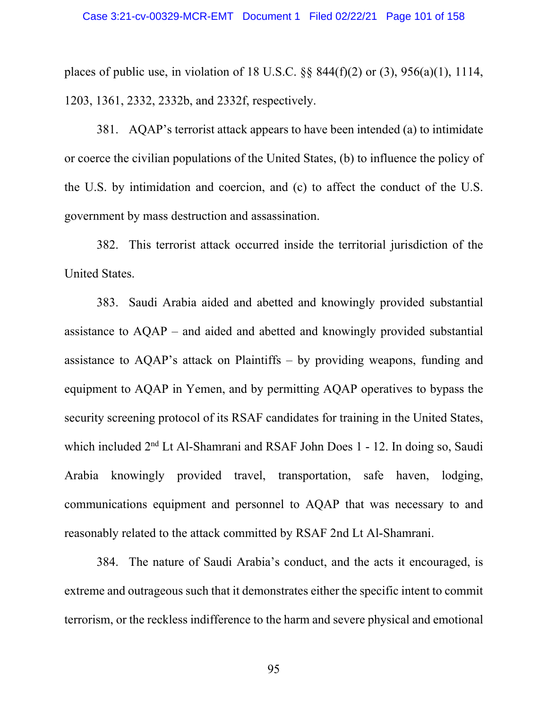places of public use, in violation of 18 U.S.C.  $\S$ § 844(f)(2) or (3), 956(a)(1), 1114, 1203, 1361, 2332, 2332b, and 2332f, respectively.

381. AQAP's terrorist attack appears to have been intended (a) to intimidate or coerce the civilian populations of the United States, (b) to influence the policy of the U.S. by intimidation and coercion, and (c) to affect the conduct of the U.S. government by mass destruction and assassination.

382. This terrorist attack occurred inside the territorial jurisdiction of the United States.

383. Saudi Arabia aided and abetted and knowingly provided substantial assistance to AQAP – and aided and abetted and knowingly provided substantial assistance to AQAP's attack on Plaintiffs – by providing weapons, funding and equipment to AQAP in Yemen, and by permitting AQAP operatives to bypass the security screening protocol of its RSAF candidates for training in the United States, which included 2<sup>nd</sup> Lt Al-Shamrani and RSAF John Does 1 - 12. In doing so, Saudi Arabia knowingly provided travel, transportation, safe haven, lodging, communications equipment and personnel to AQAP that was necessary to and reasonably related to the attack committed by RSAF 2nd Lt Al-Shamrani.

384. The nature of Saudi Arabia's conduct, and the acts it encouraged, is extreme and outrageous such that it demonstrates either the specific intent to commit terrorism, or the reckless indifference to the harm and severe physical and emotional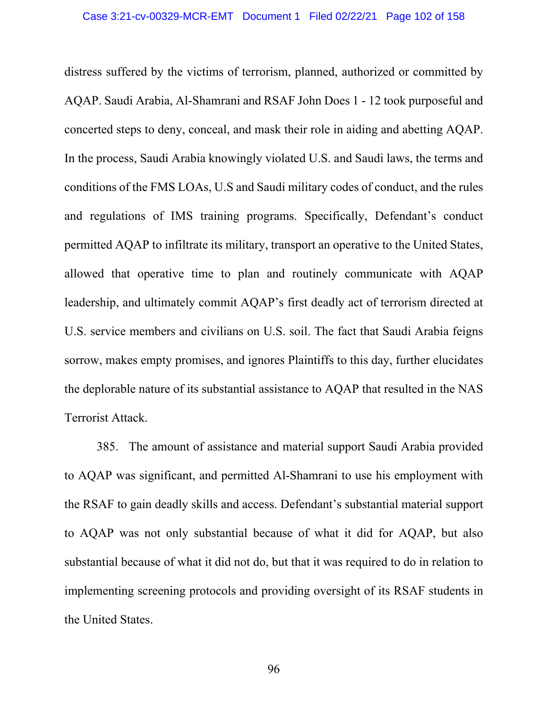distress suffered by the victims of terrorism, planned, authorized or committed by AQAP. Saudi Arabia, Al-Shamrani and RSAF John Does 1 - 12 took purposeful and concerted steps to deny, conceal, and mask their role in aiding and abetting AQAP. In the process, Saudi Arabia knowingly violated U.S. and Saudi laws, the terms and conditions of the FMS LOAs, U.S and Saudi military codes of conduct, and the rules and regulations of IMS training programs. Specifically, Defendant's conduct permitted AQAP to infiltrate its military, transport an operative to the United States, allowed that operative time to plan and routinely communicate with AQAP leadership, and ultimately commit AQAP's first deadly act of terrorism directed at U.S. service members and civilians on U.S. soil. The fact that Saudi Arabia feigns sorrow, makes empty promises, and ignores Plaintiffs to this day, further elucidates the deplorable nature of its substantial assistance to AQAP that resulted in the NAS Terrorist Attack.

385. The amount of assistance and material support Saudi Arabia provided to AQAP was significant, and permitted Al-Shamrani to use his employment with the RSAF to gain deadly skills and access. Defendant's substantial material support to AQAP was not only substantial because of what it did for AQAP, but also substantial because of what it did not do, but that it was required to do in relation to implementing screening protocols and providing oversight of its RSAF students in the United States.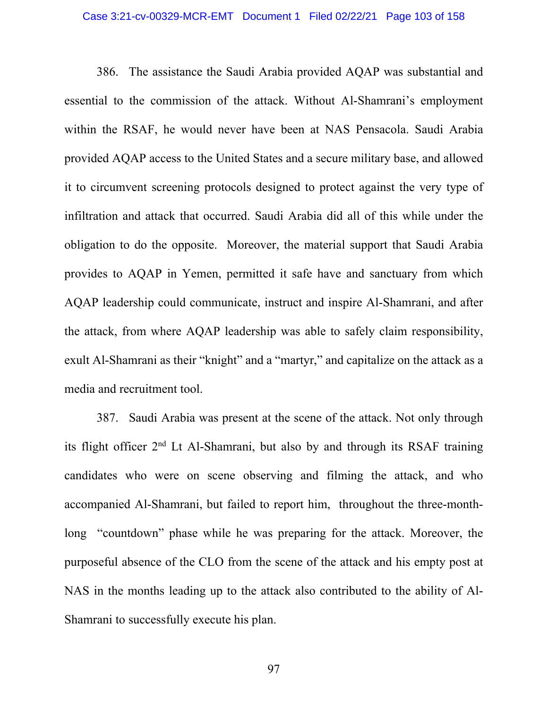#### Case 3:21-cv-00329-MCR-EMT Document 1 Filed 02/22/21 Page 103 of 158

386. The assistance the Saudi Arabia provided AQAP was substantial and essential to the commission of the attack. Without Al-Shamrani's employment within the RSAF, he would never have been at NAS Pensacola. Saudi Arabia provided AQAP access to the United States and a secure military base, and allowed it to circumvent screening protocols designed to protect against the very type of infiltration and attack that occurred. Saudi Arabia did all of this while under the obligation to do the opposite. Moreover, the material support that Saudi Arabia provides to AQAP in Yemen, permitted it safe have and sanctuary from which AQAP leadership could communicate, instruct and inspire Al-Shamrani, and after the attack, from where AQAP leadership was able to safely claim responsibility, exult Al-Shamrani as their "knight" and a "martyr," and capitalize on the attack as a media and recruitment tool.

387. Saudi Arabia was present at the scene of the attack. Not only through its flight officer  $2<sup>nd</sup>$  Lt Al-Shamrani, but also by and through its RSAF training candidates who were on scene observing and filming the attack, and who accompanied Al-Shamrani, but failed to report him, throughout the three-monthlong "countdown" phase while he was preparing for the attack. Moreover, the purposeful absence of the CLO from the scene of the attack and his empty post at NAS in the months leading up to the attack also contributed to the ability of Al-Shamrani to successfully execute his plan.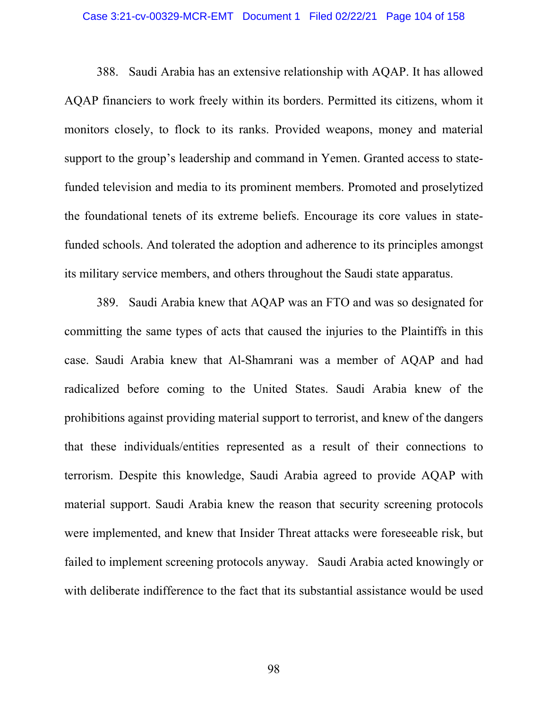#### Case 3:21-cv-00329-MCR-EMT Document 1 Filed 02/22/21 Page 104 of 158

388. Saudi Arabia has an extensive relationship with AQAP. It has allowed AQAP financiers to work freely within its borders. Permitted its citizens, whom it monitors closely, to flock to its ranks. Provided weapons, money and material support to the group's leadership and command in Yemen. Granted access to statefunded television and media to its prominent members. Promoted and proselytized the foundational tenets of its extreme beliefs. Encourage its core values in statefunded schools. And tolerated the adoption and adherence to its principles amongst its military service members, and others throughout the Saudi state apparatus.

389. Saudi Arabia knew that AQAP was an FTO and was so designated for committing the same types of acts that caused the injuries to the Plaintiffs in this case. Saudi Arabia knew that Al-Shamrani was a member of AQAP and had radicalized before coming to the United States. Saudi Arabia knew of the prohibitions against providing material support to terrorist, and knew of the dangers that these individuals/entities represented as a result of their connections to terrorism. Despite this knowledge, Saudi Arabia agreed to provide AQAP with material support. Saudi Arabia knew the reason that security screening protocols were implemented, and knew that Insider Threat attacks were foreseeable risk, but failed to implement screening protocols anyway. Saudi Arabia acted knowingly or with deliberate indifference to the fact that its substantial assistance would be used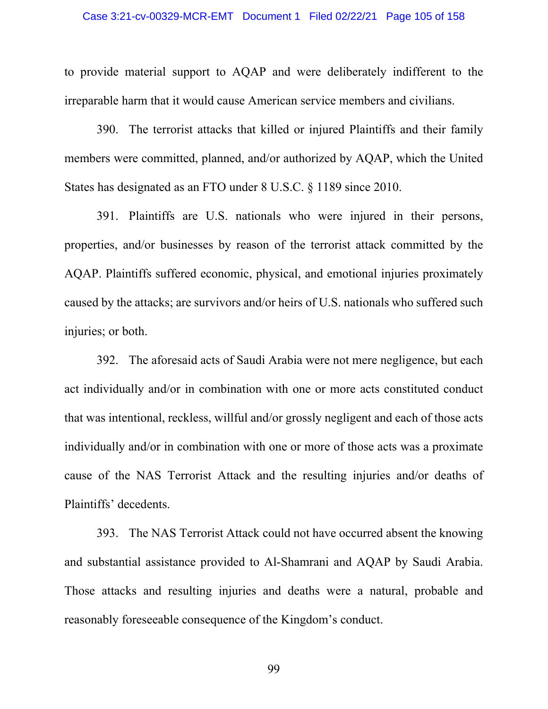to provide material support to AQAP and were deliberately indifferent to the irreparable harm that it would cause American service members and civilians.

390. The terrorist attacks that killed or injured Plaintiffs and their family members were committed, planned, and/or authorized by AQAP, which the United States has designated as an FTO under 8 U.S.C. § 1189 since 2010.

391. Plaintiffs are U.S. nationals who were injured in their persons, properties, and/or businesses by reason of the terrorist attack committed by the AQAP. Plaintiffs suffered economic, physical, and emotional injuries proximately caused by the attacks; are survivors and/or heirs of U.S. nationals who suffered such injuries; or both.

392. The aforesaid acts of Saudi Arabia were not mere negligence, but each act individually and/or in combination with one or more acts constituted conduct that was intentional, reckless, willful and/or grossly negligent and each of those acts individually and/or in combination with one or more of those acts was a proximate cause of the NAS Terrorist Attack and the resulting injuries and/or deaths of Plaintiffs' decedents.

393. The NAS Terrorist Attack could not have occurred absent the knowing and substantial assistance provided to Al-Shamrani and AQAP by Saudi Arabia. Those attacks and resulting injuries and deaths were a natural, probable and reasonably foreseeable consequence of the Kingdom's conduct.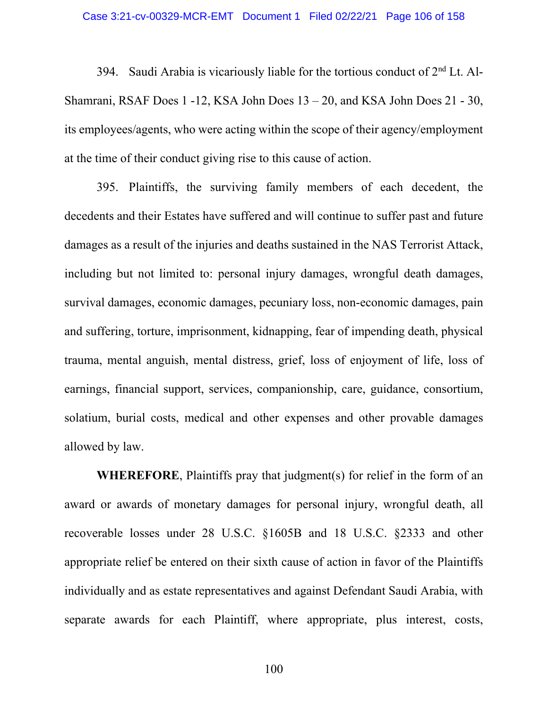394. Saudi Arabia is vicariously liable for the tortious conduct of  $2<sup>nd</sup>$  Lt. Al-Shamrani, RSAF Does 1 -12, KSA John Does 13 – 20, and KSA John Does 21 - 30, its employees/agents, who were acting within the scope of their agency/employment at the time of their conduct giving rise to this cause of action.

395. Plaintiffs, the surviving family members of each decedent, the decedents and their Estates have suffered and will continue to suffer past and future damages as a result of the injuries and deaths sustained in the NAS Terrorist Attack, including but not limited to: personal injury damages, wrongful death damages, survival damages, economic damages, pecuniary loss, non-economic damages, pain and suffering, torture, imprisonment, kidnapping, fear of impending death, physical trauma, mental anguish, mental distress, grief, loss of enjoyment of life, loss of earnings, financial support, services, companionship, care, guidance, consortium, solatium, burial costs, medical and other expenses and other provable damages allowed by law.

**WHEREFORE**, Plaintiffs pray that judgment(s) for relief in the form of an award or awards of monetary damages for personal injury, wrongful death, all recoverable losses under 28 U.S.C. §1605B and 18 U.S.C. §2333 and other appropriate relief be entered on their sixth cause of action in favor of the Plaintiffs individually and as estate representatives and against Defendant Saudi Arabia, with separate awards for each Plaintiff, where appropriate, plus interest, costs,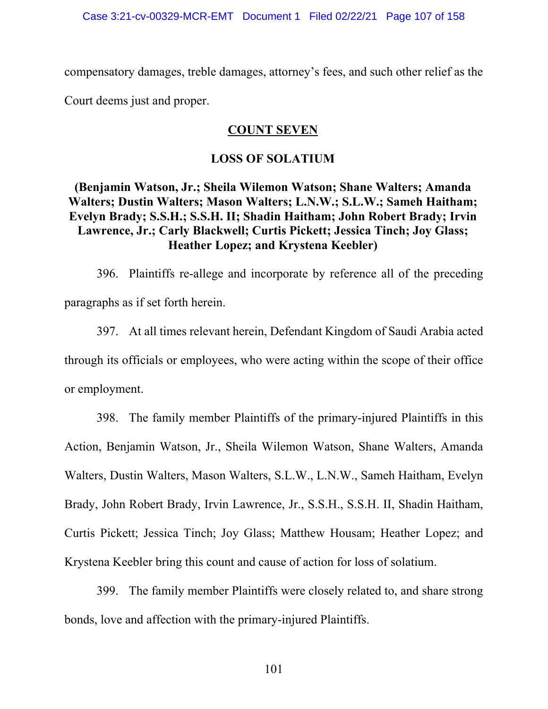compensatory damages, treble damages, attorney's fees, and such other relief as the Court deems just and proper.

# **COUNT SEVEN**

### **LOSS OF SOLATIUM**

**(Benjamin Watson, Jr.; Sheila Wilemon Watson; Shane Walters; Amanda Walters; Dustin Walters; Mason Walters; L.N.W.; S.L.W.; Sameh Haitham; Evelyn Brady; S.S.H.; S.S.H. II; Shadin Haitham; John Robert Brady; Irvin Lawrence, Jr.; Carly Blackwell; Curtis Pickett; Jessica Tinch; Joy Glass; Heather Lopez; and Krystena Keebler)** 

396. Plaintiffs re-allege and incorporate by reference all of the preceding paragraphs as if set forth herein.

397. At all times relevant herein, Defendant Kingdom of Saudi Arabia acted through its officials or employees, who were acting within the scope of their office or employment.

398. The family member Plaintiffs of the primary-injured Plaintiffs in this Action, Benjamin Watson, Jr., Sheila Wilemon Watson, Shane Walters, Amanda Walters, Dustin Walters, Mason Walters, S.L.W., L.N.W., Sameh Haitham, Evelyn Brady, John Robert Brady, Irvin Lawrence, Jr., S.S.H., S.S.H. II, Shadin Haitham, Curtis Pickett; Jessica Tinch; Joy Glass; Matthew Housam; Heather Lopez; and Krystena Keebler bring this count and cause of action for loss of solatium.

399. The family member Plaintiffs were closely related to, and share strong bonds, love and affection with the primary-injured Plaintiffs.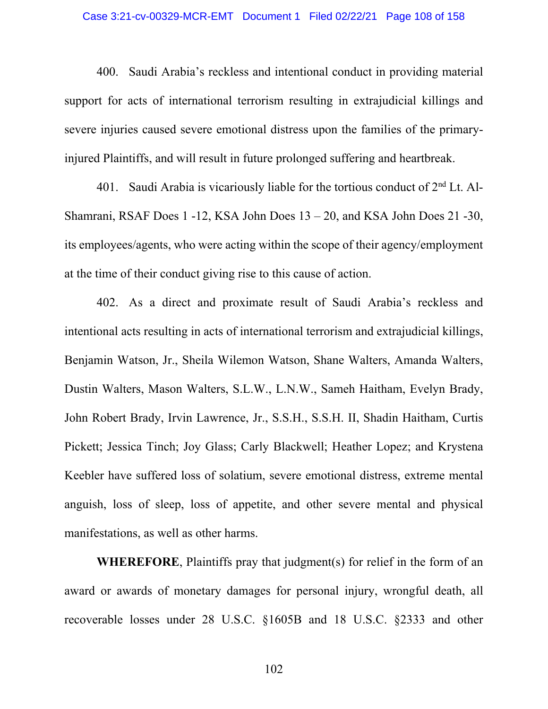#### Case 3:21-cv-00329-MCR-EMT Document 1 Filed 02/22/21 Page 108 of 158

400. Saudi Arabia's reckless and intentional conduct in providing material support for acts of international terrorism resulting in extrajudicial killings and severe injuries caused severe emotional distress upon the families of the primaryinjured Plaintiffs, and will result in future prolonged suffering and heartbreak.

401. Saudi Arabia is vicariously liable for the tortious conduct of  $2<sup>nd</sup>$  Lt. Al-Shamrani, RSAF Does 1 -12, KSA John Does 13 – 20, and KSA John Does 21 -30, its employees/agents, who were acting within the scope of their agency/employment at the time of their conduct giving rise to this cause of action.

402. As a direct and proximate result of Saudi Arabia's reckless and intentional acts resulting in acts of international terrorism and extrajudicial killings, Benjamin Watson, Jr., Sheila Wilemon Watson, Shane Walters, Amanda Walters, Dustin Walters, Mason Walters, S.L.W., L.N.W., Sameh Haitham, Evelyn Brady, John Robert Brady, Irvin Lawrence, Jr., S.S.H., S.S.H. II, Shadin Haitham, Curtis Pickett; Jessica Tinch; Joy Glass; Carly Blackwell; Heather Lopez; and Krystena Keebler have suffered loss of solatium, severe emotional distress, extreme mental anguish, loss of sleep, loss of appetite, and other severe mental and physical manifestations, as well as other harms.

**WHEREFORE**, Plaintiffs pray that judgment(s) for relief in the form of an award or awards of monetary damages for personal injury, wrongful death, all recoverable losses under 28 U.S.C. §1605B and 18 U.S.C. §2333 and other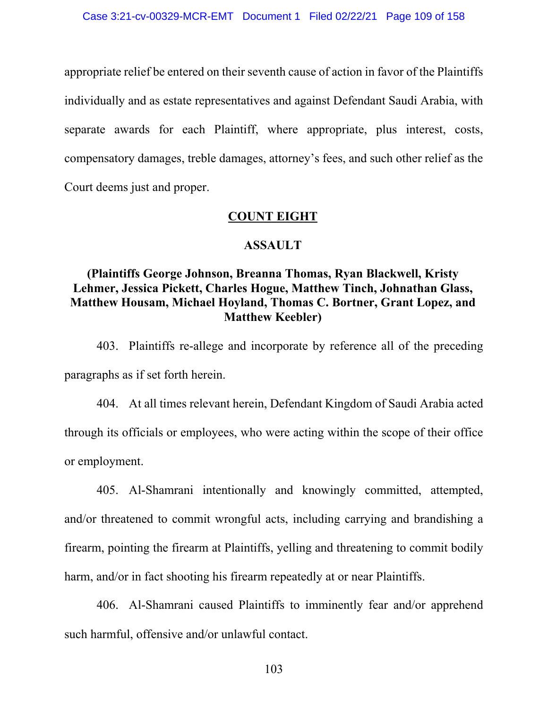appropriate relief be entered on their seventh cause of action in favor of the Plaintiffs individually and as estate representatives and against Defendant Saudi Arabia, with separate awards for each Plaintiff, where appropriate, plus interest, costs, compensatory damages, treble damages, attorney's fees, and such other relief as the Court deems just and proper.

# **COUNT EIGHT**

### **ASSAULT**

# **(Plaintiffs George Johnson, Breanna Thomas, Ryan Blackwell, Kristy Lehmer, Jessica Pickett, Charles Hogue, Matthew Tinch, Johnathan Glass, Matthew Housam, Michael Hoyland, Thomas C. Bortner, Grant Lopez, and Matthew Keebler)**

403. Plaintiffs re-allege and incorporate by reference all of the preceding paragraphs as if set forth herein.

404. At all times relevant herein, Defendant Kingdom of Saudi Arabia acted through its officials or employees, who were acting within the scope of their office or employment.

405. Al-Shamrani intentionally and knowingly committed, attempted, and/or threatened to commit wrongful acts, including carrying and brandishing a firearm, pointing the firearm at Plaintiffs, yelling and threatening to commit bodily harm, and/or in fact shooting his firearm repeatedly at or near Plaintiffs.

406. Al-Shamrani caused Plaintiffs to imminently fear and/or apprehend such harmful, offensive and/or unlawful contact.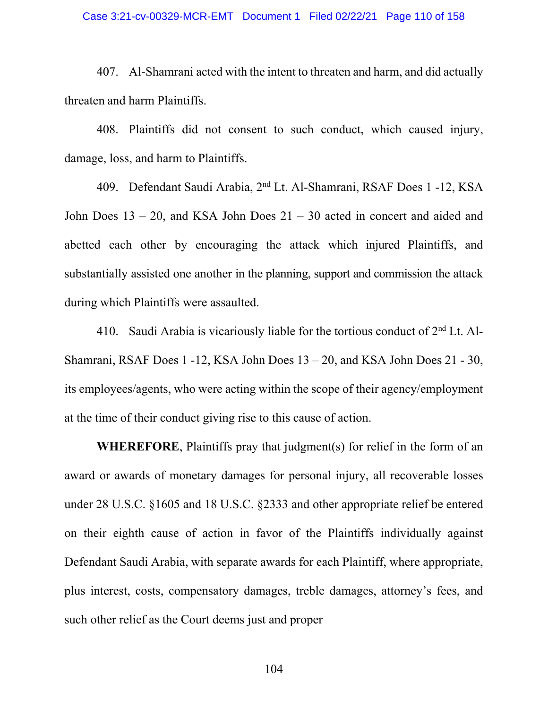### Case 3:21-cv-00329-MCR-EMT Document 1 Filed 02/22/21 Page 110 of 158

407. Al-Shamrani acted with the intent to threaten and harm, and did actually threaten and harm Plaintiffs.

408. Plaintiffs did not consent to such conduct, which caused injury, damage, loss, and harm to Plaintiffs.

409. Defendant Saudi Arabia, 2nd Lt. Al-Shamrani, RSAF Does 1 -12, KSA John Does 13 – 20, and KSA John Does 21 – 30 acted in concert and aided and abetted each other by encouraging the attack which injured Plaintiffs, and substantially assisted one another in the planning, support and commission the attack during which Plaintiffs were assaulted.

410. Saudi Arabia is vicariously liable for the tortious conduct of  $2<sup>nd</sup>$  Lt. Al-Shamrani, RSAF Does 1 -12, KSA John Does 13 – 20, and KSA John Does 21 - 30, its employees/agents, who were acting within the scope of their agency/employment at the time of their conduct giving rise to this cause of action.

**WHEREFORE**, Plaintiffs pray that judgment(s) for relief in the form of an award or awards of monetary damages for personal injury, all recoverable losses under 28 U.S.C. §1605 and 18 U.S.C. §2333 and other appropriate relief be entered on their eighth cause of action in favor of the Plaintiffs individually against Defendant Saudi Arabia, with separate awards for each Plaintiff, where appropriate, plus interest, costs, compensatory damages, treble damages, attorney's fees, and such other relief as the Court deems just and proper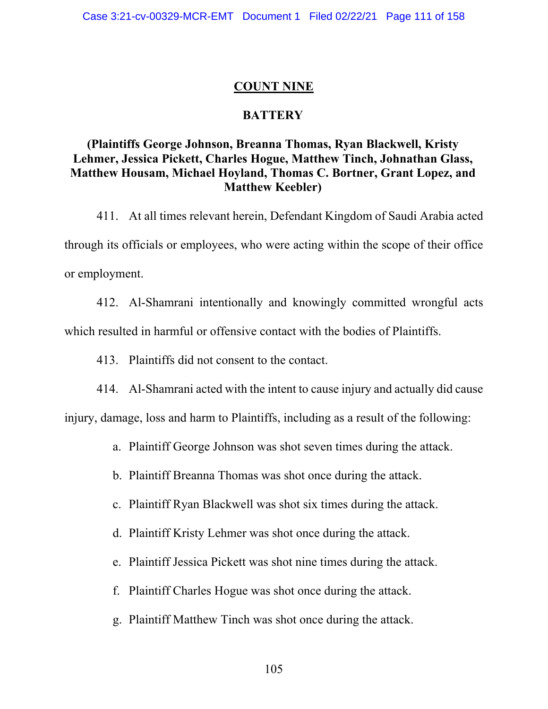### **COUNT NINE**

### **BATTERY**

# **(Plaintiffs George Johnson, Breanna Thomas, Ryan Blackwell, Kristy Lehmer, Jessica Pickett, Charles Hogue, Matthew Tinch, Johnathan Glass, Matthew Housam, Michael Hoyland, Thomas C. Bortner, Grant Lopez, and Matthew Keebler)**

411. At all times relevant herein, Defendant Kingdom of Saudi Arabia acted through its officials or employees, who were acting within the scope of their office or employment.

412. Al-Shamrani intentionally and knowingly committed wrongful acts which resulted in harmful or offensive contact with the bodies of Plaintiffs.

413. Plaintiffs did not consent to the contact.

414. Al-Shamrani acted with the intent to cause injury and actually did cause injury, damage, loss and harm to Plaintiffs, including as a result of the following:

- a. Plaintiff George Johnson was shot seven times during the attack.
- b. Plaintiff Breanna Thomas was shot once during the attack.
- c. Plaintiff Ryan Blackwell was shot six times during the attack.
- d. Plaintiff Kristy Lehmer was shot once during the attack.
- e. Plaintiff Jessica Pickett was shot nine times during the attack.
- f. Plaintiff Charles Hogue was shot once during the attack.
- g. Plaintiff Matthew Tinch was shot once during the attack.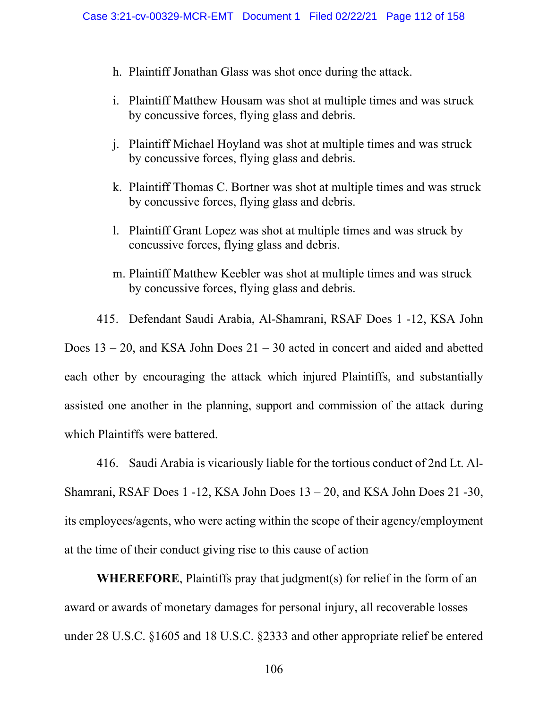- h. Plaintiff Jonathan Glass was shot once during the attack.
- i. Plaintiff Matthew Housam was shot at multiple times and was struck by concussive forces, flying glass and debris.
- j. Plaintiff Michael Hoyland was shot at multiple times and was struck by concussive forces, flying glass and debris.
- k. Plaintiff Thomas C. Bortner was shot at multiple times and was struck by concussive forces, flying glass and debris.
- l. Plaintiff Grant Lopez was shot at multiple times and was struck by concussive forces, flying glass and debris.
- m. Plaintiff Matthew Keebler was shot at multiple times and was struck by concussive forces, flying glass and debris.

415. Defendant Saudi Arabia, Al-Shamrani, RSAF Does 1 -12, KSA John

Does  $13 - 20$ , and KSA John Does  $21 - 30$  acted in concert and aided and abetted each other by encouraging the attack which injured Plaintiffs, and substantially assisted one another in the planning, support and commission of the attack during which Plaintiffs were battered.

416. Saudi Arabia is vicariously liable for the tortious conduct of 2nd Lt. Al-Shamrani, RSAF Does 1 -12, KSA John Does 13 – 20, and KSA John Does 21 -30, its employees/agents, who were acting within the scope of their agency/employment at the time of their conduct giving rise to this cause of action

**WHEREFORE**, Plaintiffs pray that judgment(s) for relief in the form of an award or awards of monetary damages for personal injury, all recoverable losses under 28 U.S.C. §1605 and 18 U.S.C. §2333 and other appropriate relief be entered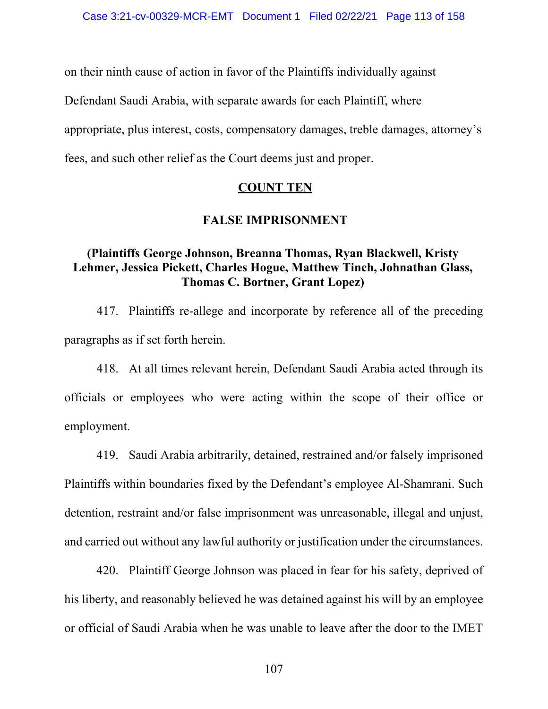on their ninth cause of action in favor of the Plaintiffs individually against

Defendant Saudi Arabia, with separate awards for each Plaintiff, where

appropriate, plus interest, costs, compensatory damages, treble damages, attorney's

fees, and such other relief as the Court deems just and proper.

# **COUNT TEN**

# **FALSE IMPRISONMENT**

# **(Plaintiffs George Johnson, Breanna Thomas, Ryan Blackwell, Kristy Lehmer, Jessica Pickett, Charles Hogue, Matthew Tinch, Johnathan Glass, Thomas C. Bortner, Grant Lopez)**

417. Plaintiffs re-allege and incorporate by reference all of the preceding paragraphs as if set forth herein.

418. At all times relevant herein, Defendant Saudi Arabia acted through its officials or employees who were acting within the scope of their office or employment.

419. Saudi Arabia arbitrarily, detained, restrained and/or falsely imprisoned Plaintiffs within boundaries fixed by the Defendant's employee Al-Shamrani. Such detention, restraint and/or false imprisonment was unreasonable, illegal and unjust, and carried out without any lawful authority or justification under the circumstances.

420. Plaintiff George Johnson was placed in fear for his safety, deprived of his liberty, and reasonably believed he was detained against his will by an employee or official of Saudi Arabia when he was unable to leave after the door to the IMET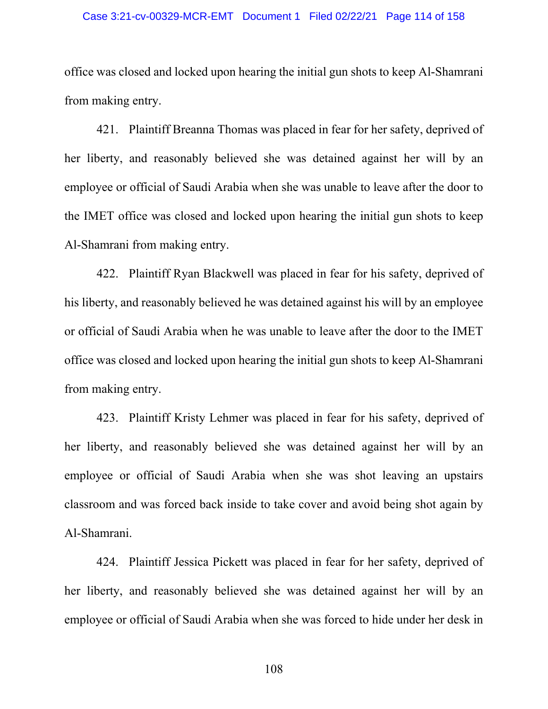### Case 3:21-cv-00329-MCR-EMT Document 1 Filed 02/22/21 Page 114 of 158

office was closed and locked upon hearing the initial gun shots to keep Al-Shamrani from making entry.

421. Plaintiff Breanna Thomas was placed in fear for her safety, deprived of her liberty, and reasonably believed she was detained against her will by an employee or official of Saudi Arabia when she was unable to leave after the door to the IMET office was closed and locked upon hearing the initial gun shots to keep Al-Shamrani from making entry.

422. Plaintiff Ryan Blackwell was placed in fear for his safety, deprived of his liberty, and reasonably believed he was detained against his will by an employee or official of Saudi Arabia when he was unable to leave after the door to the IMET office was closed and locked upon hearing the initial gun shots to keep Al-Shamrani from making entry.

423. Plaintiff Kristy Lehmer was placed in fear for his safety, deprived of her liberty, and reasonably believed she was detained against her will by an employee or official of Saudi Arabia when she was shot leaving an upstairs classroom and was forced back inside to take cover and avoid being shot again by Al-Shamrani.

424. Plaintiff Jessica Pickett was placed in fear for her safety, deprived of her liberty, and reasonably believed she was detained against her will by an employee or official of Saudi Arabia when she was forced to hide under her desk in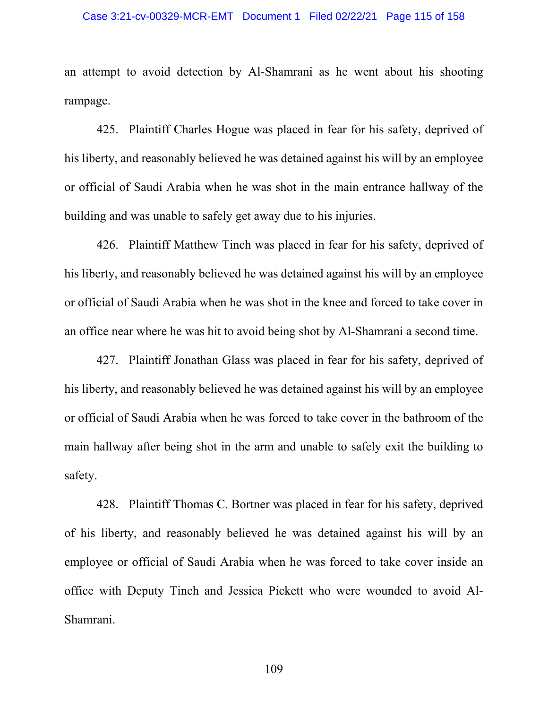#### Case 3:21-cv-00329-MCR-EMT Document 1 Filed 02/22/21 Page 115 of 158

an attempt to avoid detection by Al-Shamrani as he went about his shooting rampage.

425. Plaintiff Charles Hogue was placed in fear for his safety, deprived of his liberty, and reasonably believed he was detained against his will by an employee or official of Saudi Arabia when he was shot in the main entrance hallway of the building and was unable to safely get away due to his injuries.

426. Plaintiff Matthew Tinch was placed in fear for his safety, deprived of his liberty, and reasonably believed he was detained against his will by an employee or official of Saudi Arabia when he was shot in the knee and forced to take cover in an office near where he was hit to avoid being shot by Al-Shamrani a second time.

427. Plaintiff Jonathan Glass was placed in fear for his safety, deprived of his liberty, and reasonably believed he was detained against his will by an employee or official of Saudi Arabia when he was forced to take cover in the bathroom of the main hallway after being shot in the arm and unable to safely exit the building to safety.

428. Plaintiff Thomas C. Bortner was placed in fear for his safety, deprived of his liberty, and reasonably believed he was detained against his will by an employee or official of Saudi Arabia when he was forced to take cover inside an office with Deputy Tinch and Jessica Pickett who were wounded to avoid Al-Shamrani.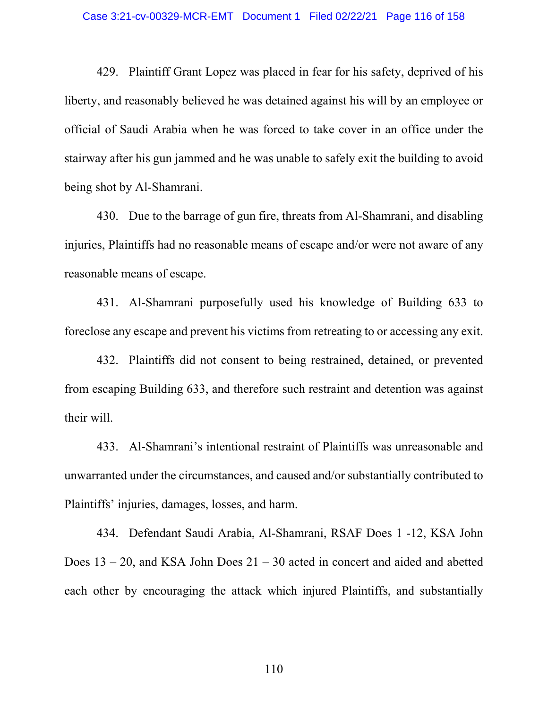429. Plaintiff Grant Lopez was placed in fear for his safety, deprived of his liberty, and reasonably believed he was detained against his will by an employee or official of Saudi Arabia when he was forced to take cover in an office under the stairway after his gun jammed and he was unable to safely exit the building to avoid being shot by Al-Shamrani.

430. Due to the barrage of gun fire, threats from Al-Shamrani, and disabling injuries, Plaintiffs had no reasonable means of escape and/or were not aware of any reasonable means of escape.

431. Al-Shamrani purposefully used his knowledge of Building 633 to foreclose any escape and prevent his victims from retreating to or accessing any exit.

432. Plaintiffs did not consent to being restrained, detained, or prevented from escaping Building 633, and therefore such restraint and detention was against their will.

433. Al-Shamrani's intentional restraint of Plaintiffs was unreasonable and unwarranted under the circumstances, and caused and/or substantially contributed to Plaintiffs' injuries, damages, losses, and harm.

434. Defendant Saudi Arabia, Al-Shamrani, RSAF Does 1 -12, KSA John Does  $13 - 20$ , and KSA John Does  $21 - 30$  acted in concert and aided and abetted each other by encouraging the attack which injured Plaintiffs, and substantially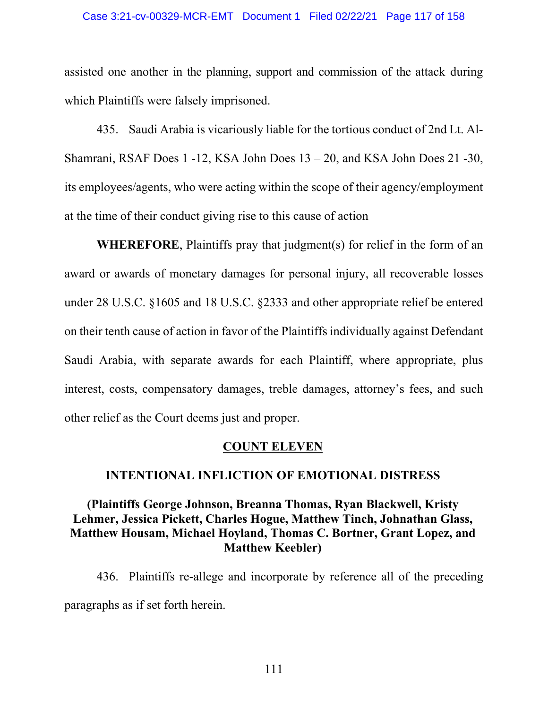#### Case 3:21-cv-00329-MCR-EMT Document 1 Filed 02/22/21 Page 117 of 158

assisted one another in the planning, support and commission of the attack during which Plaintiffs were falsely imprisoned.

435. Saudi Arabia is vicariously liable for the tortious conduct of 2nd Lt. Al-Shamrani, RSAF Does 1 -12, KSA John Does 13 – 20, and KSA John Does 21 -30, its employees/agents, who were acting within the scope of their agency/employment at the time of their conduct giving rise to this cause of action

**WHEREFORE**, Plaintiffs pray that judgment(s) for relief in the form of an award or awards of monetary damages for personal injury, all recoverable losses under 28 U.S.C. §1605 and 18 U.S.C. §2333 and other appropriate relief be entered on their tenth cause of action in favor of the Plaintiffs individually against Defendant Saudi Arabia, with separate awards for each Plaintiff, where appropriate, plus interest, costs, compensatory damages, treble damages, attorney's fees, and such other relief as the Court deems just and proper.

## **COUNT ELEVEN**

## **INTENTIONAL INFLICTION OF EMOTIONAL DISTRESS**

# **(Plaintiffs George Johnson, Breanna Thomas, Ryan Blackwell, Kristy Lehmer, Jessica Pickett, Charles Hogue, Matthew Tinch, Johnathan Glass, Matthew Housam, Michael Hoyland, Thomas C. Bortner, Grant Lopez, and Matthew Keebler)**

436. Plaintiffs re-allege and incorporate by reference all of the preceding paragraphs as if set forth herein.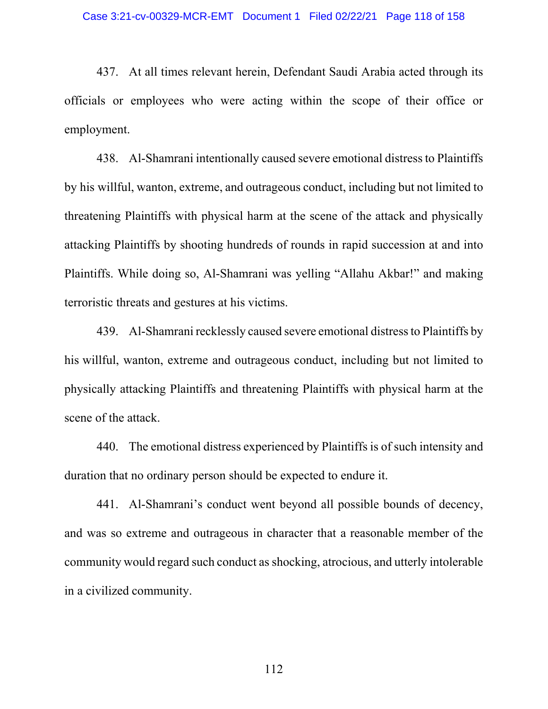437. At all times relevant herein, Defendant Saudi Arabia acted through its officials or employees who were acting within the scope of their office or employment.

438. Al-Shamrani intentionally caused severe emotional distress to Plaintiffs by his willful, wanton, extreme, and outrageous conduct, including but not limited to threatening Plaintiffs with physical harm at the scene of the attack and physically attacking Plaintiffs by shooting hundreds of rounds in rapid succession at and into Plaintiffs. While doing so, Al-Shamrani was yelling "Allahu Akbar!" and making terroristic threats and gestures at his victims.

439. Al-Shamrani recklessly caused severe emotional distress to Plaintiffs by his willful, wanton, extreme and outrageous conduct, including but not limited to physically attacking Plaintiffs and threatening Plaintiffs with physical harm at the scene of the attack.

440. The emotional distress experienced by Plaintiffs is of such intensity and duration that no ordinary person should be expected to endure it.

441. Al-Shamrani's conduct went beyond all possible bounds of decency, and was so extreme and outrageous in character that a reasonable member of the community would regard such conduct as shocking, atrocious, and utterly intolerable in a civilized community.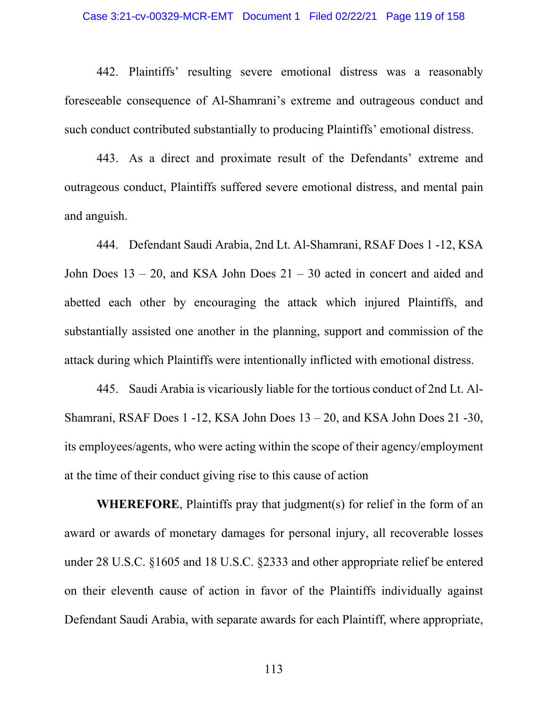### Case 3:21-cv-00329-MCR-EMT Document 1 Filed 02/22/21 Page 119 of 158

442. Plaintiffs' resulting severe emotional distress was a reasonably foreseeable consequence of Al-Shamrani's extreme and outrageous conduct and such conduct contributed substantially to producing Plaintiffs' emotional distress.

443. As a direct and proximate result of the Defendants' extreme and outrageous conduct, Plaintiffs suffered severe emotional distress, and mental pain and anguish.

444. Defendant Saudi Arabia, 2nd Lt. Al-Shamrani, RSAF Does 1 -12, KSA John Does  $13 - 20$ , and KSA John Does  $21 - 30$  acted in concert and aided and abetted each other by encouraging the attack which injured Plaintiffs, and substantially assisted one another in the planning, support and commission of the attack during which Plaintiffs were intentionally inflicted with emotional distress.

445. Saudi Arabia is vicariously liable for the tortious conduct of 2nd Lt. Al-Shamrani, RSAF Does 1 -12, KSA John Does 13 – 20, and KSA John Does 21 -30, its employees/agents, who were acting within the scope of their agency/employment at the time of their conduct giving rise to this cause of action

**WHEREFORE**, Plaintiffs pray that judgment(s) for relief in the form of an award or awards of monetary damages for personal injury, all recoverable losses under 28 U.S.C. §1605 and 18 U.S.C. §2333 and other appropriate relief be entered on their eleventh cause of action in favor of the Plaintiffs individually against Defendant Saudi Arabia, with separate awards for each Plaintiff, where appropriate,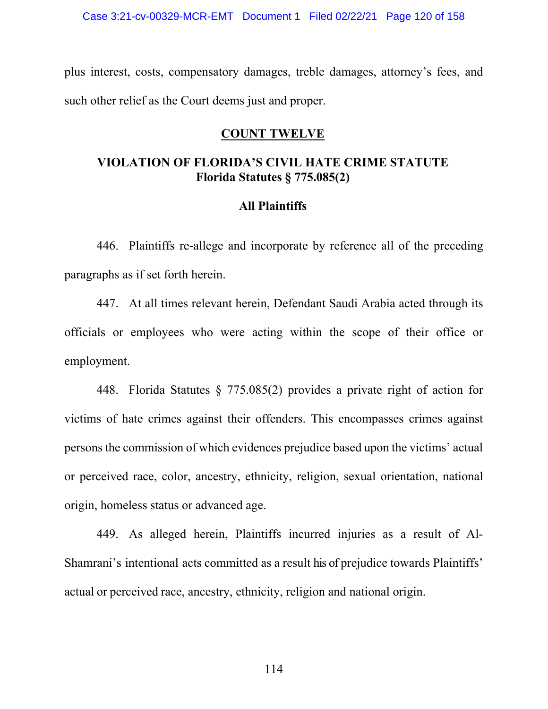plus interest, costs, compensatory damages, treble damages, attorney's fees, and such other relief as the Court deems just and proper.

# **COUNT TWELVE**

# **VIOLATION OF FLORIDA'S CIVIL HATE CRIME STATUTE Florida Statutes § 775.085(2)**

# **All Plaintiffs**

446. Plaintiffs re-allege and incorporate by reference all of the preceding paragraphs as if set forth herein.

447. At all times relevant herein, Defendant Saudi Arabia acted through its officials or employees who were acting within the scope of their office or employment.

448. Florida Statutes § 775.085(2) provides a private right of action for victims of hate crimes against their offenders. This encompasses crimes against persons the commission of which evidences prejudice based upon the victims' actual or perceived race, color, ancestry, ethnicity, religion, sexual orientation, national origin, homeless status or advanced age.

449. As alleged herein, Plaintiffs incurred injuries as a result of Al-Shamrani's intentional acts committed as a result his of prejudice towards Plaintiffs' actual or perceived race, ancestry, ethnicity, religion and national origin.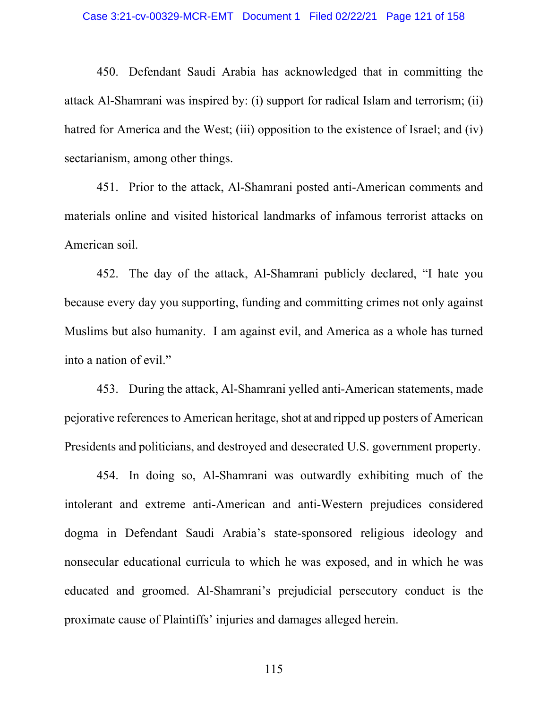### Case 3:21-cv-00329-MCR-EMT Document 1 Filed 02/22/21 Page 121 of 158

450. Defendant Saudi Arabia has acknowledged that in committing the attack Al-Shamrani was inspired by: (i) support for radical Islam and terrorism; (ii) hatred for America and the West; (iii) opposition to the existence of Israel; and (iv) sectarianism, among other things.

451. Prior to the attack, Al-Shamrani posted anti-American comments and materials online and visited historical landmarks of infamous terrorist attacks on American soil.

452. The day of the attack, Al-Shamrani publicly declared, "I hate you because every day you supporting, funding and committing crimes not only against Muslims but also humanity. I am against evil, and America as a whole has turned into a nation of evil."

453. During the attack, Al-Shamrani yelled anti-American statements, made pejorative references to American heritage, shot at and ripped up posters of American Presidents and politicians, and destroyed and desecrated U.S. government property.

454. In doing so, Al-Shamrani was outwardly exhibiting much of the intolerant and extreme anti-American and anti-Western prejudices considered dogma in Defendant Saudi Arabia's state-sponsored religious ideology and nonsecular educational curricula to which he was exposed, and in which he was educated and groomed. Al-Shamrani's prejudicial persecutory conduct is the proximate cause of Plaintiffs' injuries and damages alleged herein.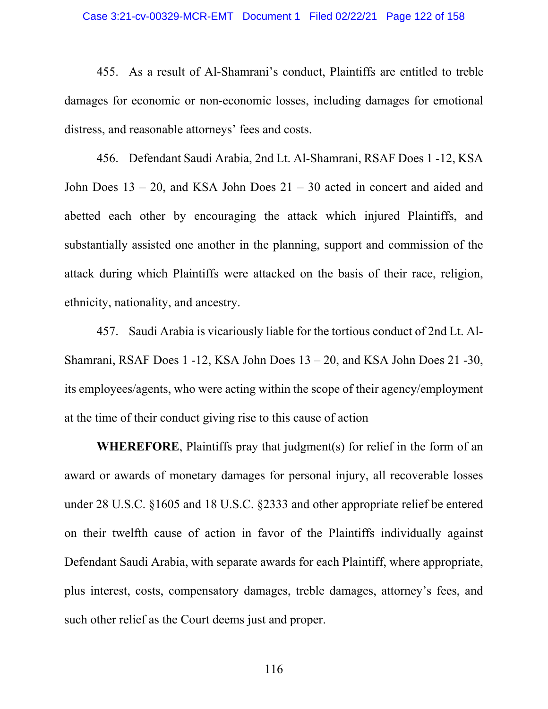455. As a result of Al-Shamrani's conduct, Plaintiffs are entitled to treble damages for economic or non-economic losses, including damages for emotional distress, and reasonable attorneys' fees and costs.

456. Defendant Saudi Arabia, 2nd Lt. Al-Shamrani, RSAF Does 1 -12, KSA John Does 13 – 20, and KSA John Does 21 – 30 acted in concert and aided and abetted each other by encouraging the attack which injured Plaintiffs, and substantially assisted one another in the planning, support and commission of the attack during which Plaintiffs were attacked on the basis of their race, religion, ethnicity, nationality, and ancestry.

457. Saudi Arabia is vicariously liable for the tortious conduct of 2nd Lt. Al-Shamrani, RSAF Does 1 -12, KSA John Does 13 – 20, and KSA John Does 21 -30, its employees/agents, who were acting within the scope of their agency/employment at the time of their conduct giving rise to this cause of action

**WHEREFORE**, Plaintiffs pray that judgment(s) for relief in the form of an award or awards of monetary damages for personal injury, all recoverable losses under 28 U.S.C. §1605 and 18 U.S.C. §2333 and other appropriate relief be entered on their twelfth cause of action in favor of the Plaintiffs individually against Defendant Saudi Arabia, with separate awards for each Plaintiff, where appropriate, plus interest, costs, compensatory damages, treble damages, attorney's fees, and such other relief as the Court deems just and proper.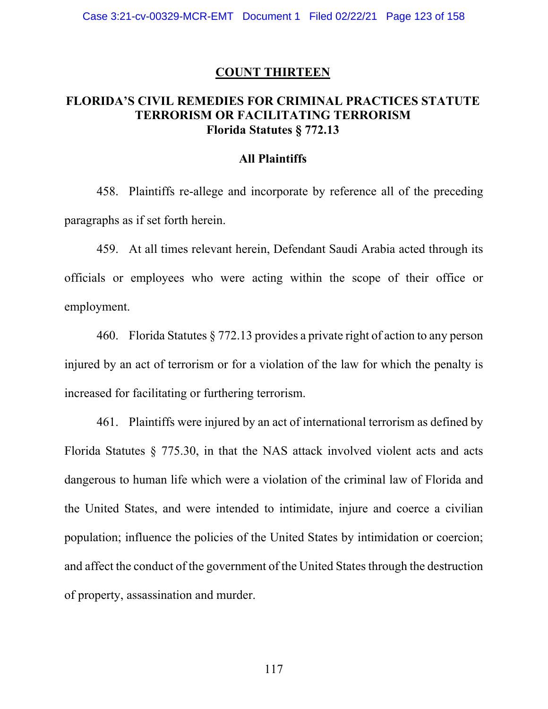### **COUNT THIRTEEN**

# **FLORIDA'S CIVIL REMEDIES FOR CRIMINAL PRACTICES STATUTE TERRORISM OR FACILITATING TERRORISM Florida Statutes § 772.13**

## **All Plaintiffs**

458. Plaintiffs re-allege and incorporate by reference all of the preceding paragraphs as if set forth herein.

459. At all times relevant herein, Defendant Saudi Arabia acted through its officials or employees who were acting within the scope of their office or employment.

460. Florida Statutes § 772.13 provides a private right of action to any person injured by an act of terrorism or for a violation of the law for which the penalty is increased for facilitating or furthering terrorism.

461. Plaintiffs were injured by an act of international terrorism as defined by Florida Statutes § 775.30, in that the NAS attack involved violent acts and acts dangerous to human life which were a violation of the criminal law of Florida and the United States, and were intended to intimidate, injure and coerce a civilian population; influence the policies of the United States by intimidation or coercion; and affect the conduct of the government of the United States through the destruction of property, assassination and murder.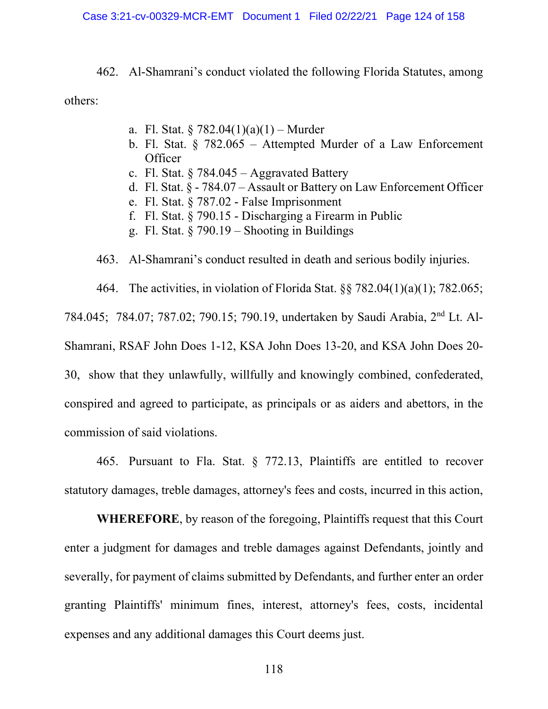462. Al-Shamrani's conduct violated the following Florida Statutes, among others:

- a. Fl. Stat. § 782.04(1)(a)(1) Murder
- b. Fl. Stat. § 782.065 Attempted Murder of a Law Enforcement **Officer**
- c. Fl. Stat.  $§$  784.045 Aggravated Battery
- d. Fl. Stat. § 784.07 Assault or Battery on Law Enforcement Officer
- e. Fl. Stat. § 787.02 False Imprisonment
- f. Fl. Stat. § 790.15 Discharging a Firearm in Public
- g. Fl. Stat.  $\S$  790.19 Shooting in Buildings

463. Al-Shamrani's conduct resulted in death and serious bodily injuries.

464. The activities, in violation of Florida Stat. §§ 782.04(1)(a)(1); 782.065; 784.045; 784.07; 787.02; 790.15; 790.19, undertaken by Saudi Arabia, 2nd Lt. Al-Shamrani, RSAF John Does 1-12, KSA John Does 13-20, and KSA John Does 20- 30, show that they unlawfully, willfully and knowingly combined, confederated, conspired and agreed to participate, as principals or as aiders and abettors, in the commission of said violations.

465. Pursuant to Fla. Stat. § 772.13, Plaintiffs are entitled to recover statutory damages, treble damages, attorney's fees and costs, incurred in this action,

**WHEREFORE**, by reason of the foregoing, Plaintiffs request that this Court enter a judgment for damages and treble damages against Defendants, jointly and severally, for payment of claims submitted by Defendants, and further enter an order granting Plaintiffs' minimum fines, interest, attorney's fees, costs, incidental expenses and any additional damages this Court deems just.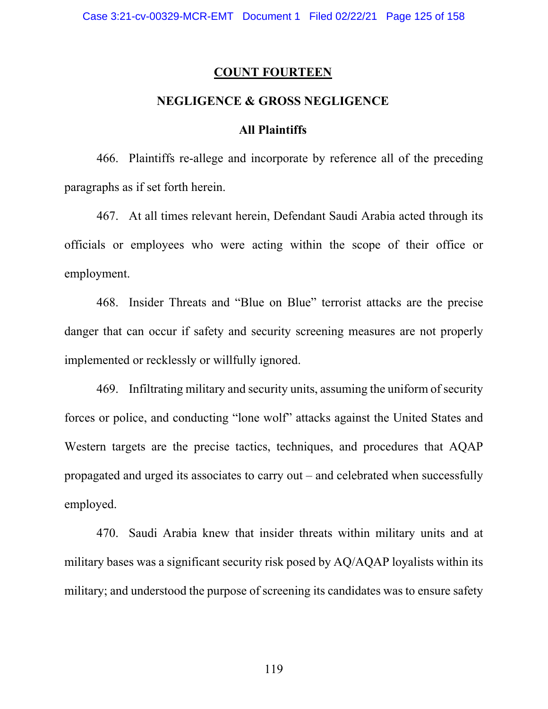#### **COUNT FOURTEEN**

## **NEGLIGENCE & GROSS NEGLIGENCE**

### **All Plaintiffs**

466. Plaintiffs re-allege and incorporate by reference all of the preceding paragraphs as if set forth herein.

467. At all times relevant herein, Defendant Saudi Arabia acted through its officials or employees who were acting within the scope of their office or employment.

468. Insider Threats and "Blue on Blue" terrorist attacks are the precise danger that can occur if safety and security screening measures are not properly implemented or recklessly or willfully ignored.

469. Infiltrating military and security units, assuming the uniform of security forces or police, and conducting "lone wolf" attacks against the United States and Western targets are the precise tactics, techniques, and procedures that AQAP propagated and urged its associates to carry out – and celebrated when successfully employed.

470. Saudi Arabia knew that insider threats within military units and at military bases was a significant security risk posed by AQ/AQAP loyalists within its military; and understood the purpose of screening its candidates was to ensure safety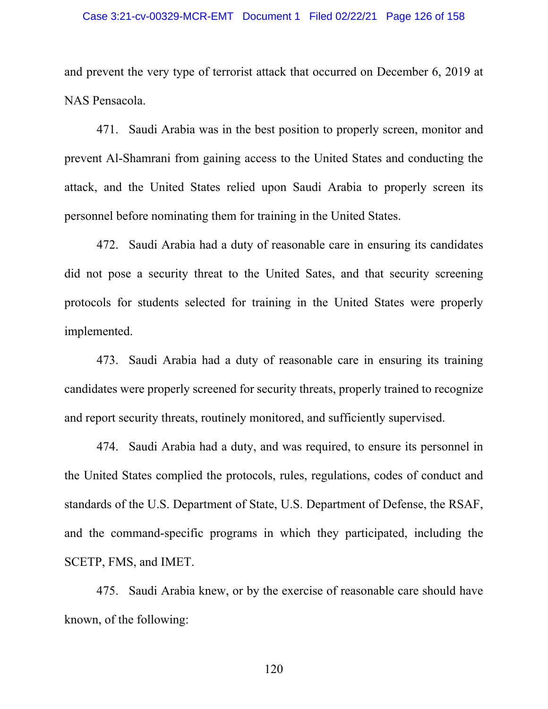#### Case 3:21-cv-00329-MCR-EMT Document 1 Filed 02/22/21 Page 126 of 158

and prevent the very type of terrorist attack that occurred on December 6, 2019 at NAS Pensacola.

471. Saudi Arabia was in the best position to properly screen, monitor and prevent Al-Shamrani from gaining access to the United States and conducting the attack, and the United States relied upon Saudi Arabia to properly screen its personnel before nominating them for training in the United States.

472. Saudi Arabia had a duty of reasonable care in ensuring its candidates did not pose a security threat to the United Sates, and that security screening protocols for students selected for training in the United States were properly implemented.

473. Saudi Arabia had a duty of reasonable care in ensuring its training candidates were properly screened for security threats, properly trained to recognize and report security threats, routinely monitored, and sufficiently supervised.

474. Saudi Arabia had a duty, and was required, to ensure its personnel in the United States complied the protocols, rules, regulations, codes of conduct and standards of the U.S. Department of State, U.S. Department of Defense, the RSAF, and the command-specific programs in which they participated, including the SCETP, FMS, and IMET.

475. Saudi Arabia knew, or by the exercise of reasonable care should have known, of the following: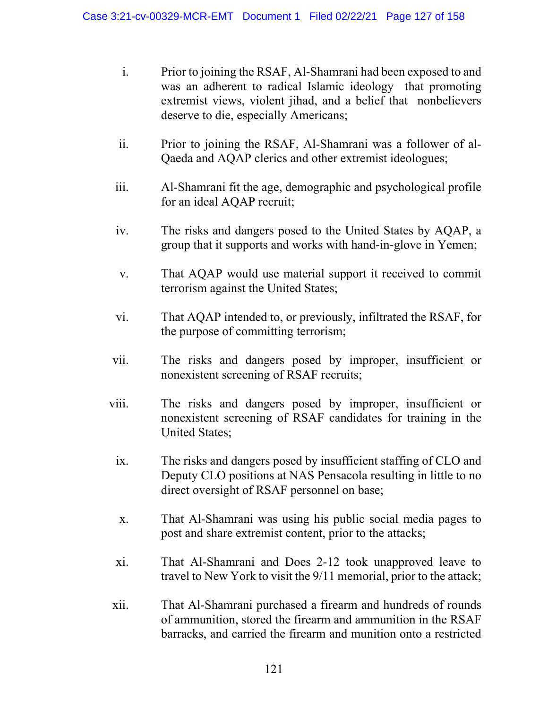- i. Prior to joining the RSAF, Al-Shamrani had been exposed to and was an adherent to radical Islamic ideology that promoting extremist views, violent jihad, and a belief that nonbelievers deserve to die, especially Americans;
- ii. Prior to joining the RSAF, Al-Shamrani was a follower of al-Qaeda and AQAP clerics and other extremist ideologues;
- iii. Al-Shamrani fit the age, demographic and psychological profile for an ideal AQAP recruit;
- iv. The risks and dangers posed to the United States by AQAP, a group that it supports and works with hand-in-glove in Yemen;
- v. That AQAP would use material support it received to commit terrorism against the United States;
- vi. That AQAP intended to, or previously, infiltrated the RSAF, for the purpose of committing terrorism;
- vii. The risks and dangers posed by improper, insufficient or nonexistent screening of RSAF recruits;
- viii. The risks and dangers posed by improper, insufficient or nonexistent screening of RSAF candidates for training in the United States;
- ix. The risks and dangers posed by insufficient staffing of CLO and Deputy CLO positions at NAS Pensacola resulting in little to no direct oversight of RSAF personnel on base;
- x. That Al-Shamrani was using his public social media pages to post and share extremist content, prior to the attacks;
- xi. That Al-Shamrani and Does 2-12 took unapproved leave to travel to New York to visit the 9/11 memorial, prior to the attack;
- xii. That Al-Shamrani purchased a firearm and hundreds of rounds of ammunition, stored the firearm and ammunition in the RSAF barracks, and carried the firearm and munition onto a restricted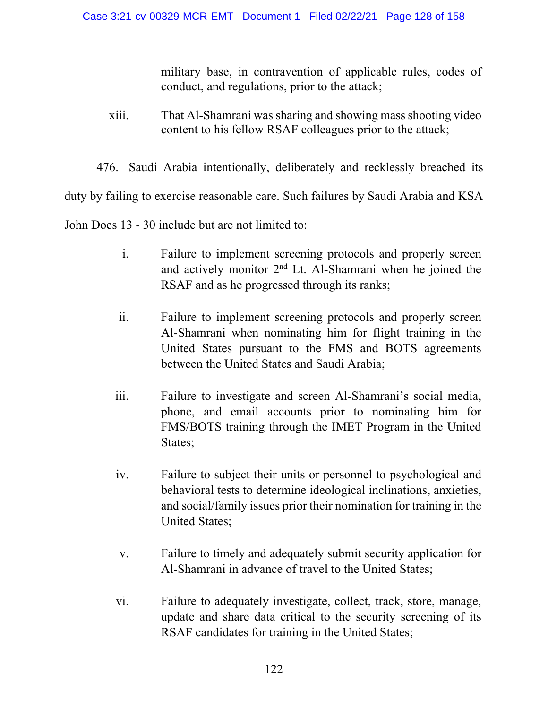military base, in contravention of applicable rules, codes of conduct, and regulations, prior to the attack;

- xiii. That Al-Shamrani was sharing and showing mass shooting video content to his fellow RSAF colleagues prior to the attack;
- 476. Saudi Arabia intentionally, deliberately and recklessly breached its

duty by failing to exercise reasonable care. Such failures by Saudi Arabia and KSA

John Does 13 - 30 include but are not limited to:

- i. Failure to implement screening protocols and properly screen and actively monitor  $2<sup>nd</sup>$  Lt. Al-Shamrani when he joined the RSAF and as he progressed through its ranks;
- ii. Failure to implement screening protocols and properly screen Al-Shamrani when nominating him for flight training in the United States pursuant to the FMS and BOTS agreements between the United States and Saudi Arabia;
- iii. Failure to investigate and screen Al-Shamrani's social media, phone, and email accounts prior to nominating him for FMS/BOTS training through the IMET Program in the United States;
- iv. Failure to subject their units or personnel to psychological and behavioral tests to determine ideological inclinations, anxieties, and social/family issues prior their nomination for training in the United States;
- v. Failure to timely and adequately submit security application for Al-Shamrani in advance of travel to the United States;
- vi. Failure to adequately investigate, collect, track, store, manage, update and share data critical to the security screening of its RSAF candidates for training in the United States;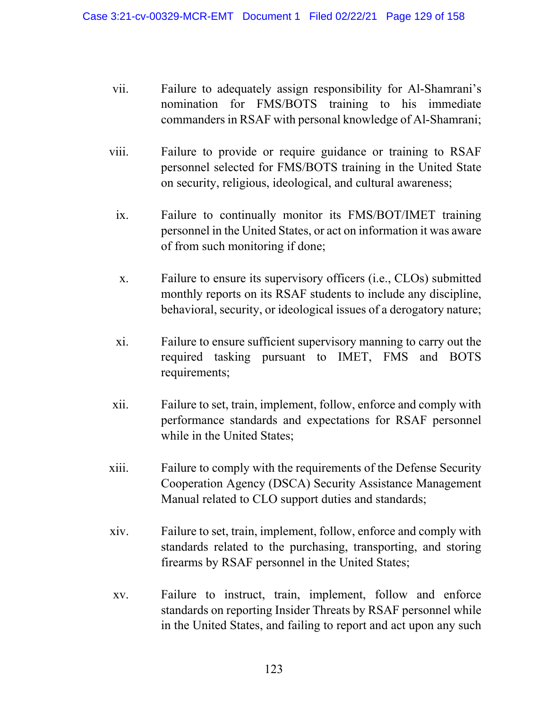- vii. Failure to adequately assign responsibility for Al-Shamrani's nomination for FMS/BOTS training to his immediate commanders in RSAF with personal knowledge of Al-Shamrani;
- viii. Failure to provide or require guidance or training to RSAF personnel selected for FMS/BOTS training in the United State on security, religious, ideological, and cultural awareness;
	- ix. Failure to continually monitor its FMS/BOT/IMET training personnel in the United States, or act on information it was aware of from such monitoring if done;
	- x. Failure to ensure its supervisory officers (i.e., CLOs) submitted monthly reports on its RSAF students to include any discipline, behavioral, security, or ideological issues of a derogatory nature;
	- xi. Failure to ensure sufficient supervisory manning to carry out the required tasking pursuant to IMET, FMS and BOTS requirements;
- xii. Failure to set, train, implement, follow, enforce and comply with performance standards and expectations for RSAF personnel while in the United States;
- xiii. Failure to comply with the requirements of the Defense Security Cooperation Agency (DSCA) Security Assistance Management Manual related to CLO support duties and standards;
- xiv. Failure to set, train, implement, follow, enforce and comply with standards related to the purchasing, transporting, and storing firearms by RSAF personnel in the United States;
- xv. Failure to instruct, train, implement, follow and enforce standards on reporting Insider Threats by RSAF personnel while in the United States, and failing to report and act upon any such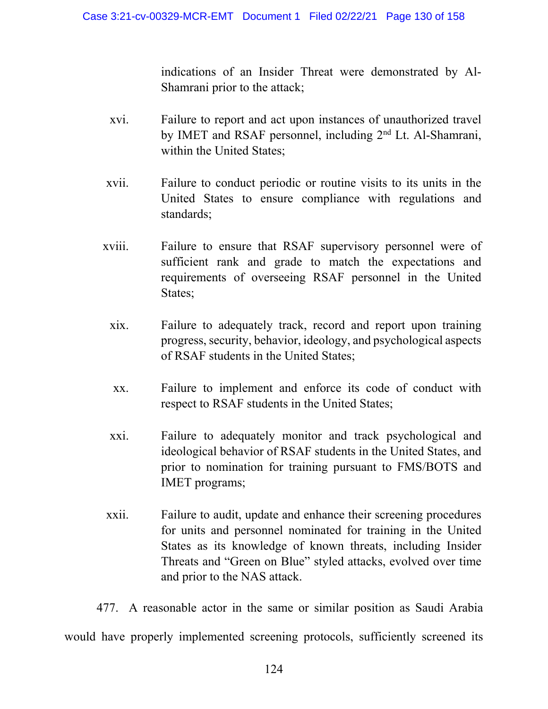indications of an Insider Threat were demonstrated by Al-Shamrani prior to the attack;

- xvi. Failure to report and act upon instances of unauthorized travel by IMET and RSAF personnel, including 2nd Lt. Al-Shamrani, within the United States;
- xvii. Failure to conduct periodic or routine visits to its units in the United States to ensure compliance with regulations and standards;
- xviii. Failure to ensure that RSAF supervisory personnel were of sufficient rank and grade to match the expectations and requirements of overseeing RSAF personnel in the United States;
	- xix. Failure to adequately track, record and report upon training progress, security, behavior, ideology, and psychological aspects of RSAF students in the United States;
	- xx. Failure to implement and enforce its code of conduct with respect to RSAF students in the United States;
	- xxi. Failure to adequately monitor and track psychological and ideological behavior of RSAF students in the United States, and prior to nomination for training pursuant to FMS/BOTS and IMET programs;
- xxii. Failure to audit, update and enhance their screening procedures for units and personnel nominated for training in the United States as its knowledge of known threats, including Insider Threats and "Green on Blue" styled attacks, evolved over time and prior to the NAS attack.

477. A reasonable actor in the same or similar position as Saudi Arabia would have properly implemented screening protocols, sufficiently screened its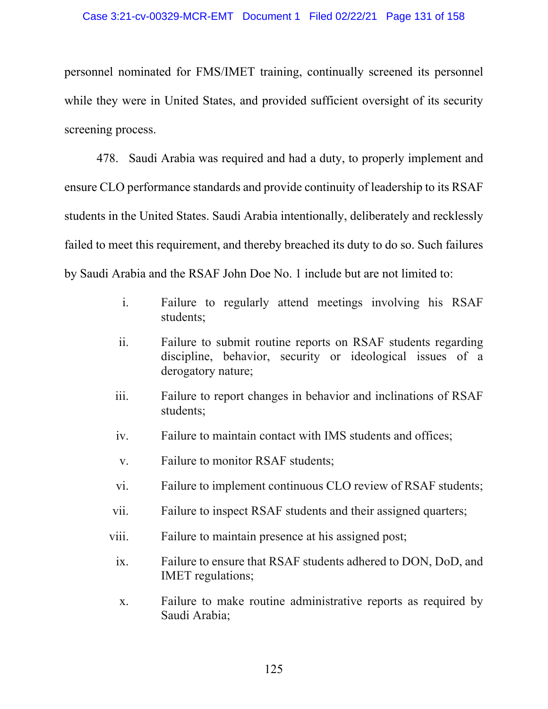personnel nominated for FMS/IMET training, continually screened its personnel while they were in United States, and provided sufficient oversight of its security screening process.

478. Saudi Arabia was required and had a duty, to properly implement and ensure CLO performance standards and provide continuity of leadership to its RSAF students in the United States. Saudi Arabia intentionally, deliberately and recklessly failed to meet this requirement, and thereby breached its duty to do so. Such failures by Saudi Arabia and the RSAF John Doe No. 1 include but are not limited to:

- i. Failure to regularly attend meetings involving his RSAF students;
- ii. Failure to submit routine reports on RSAF students regarding discipline, behavior, security or ideological issues of a derogatory nature;
- iii. Failure to report changes in behavior and inclinations of RSAF students;
- iv. Failure to maintain contact with IMS students and offices;
- v. Failure to monitor RSAF students;
- vi. Failure to implement continuous CLO review of RSAF students;
- vii. Failure to inspect RSAF students and their assigned quarters;
- viii. Failure to maintain presence at his assigned post;
- ix. Failure to ensure that RSAF students adhered to DON, DoD, and IMET regulations;
- x. Failure to make routine administrative reports as required by Saudi Arabia;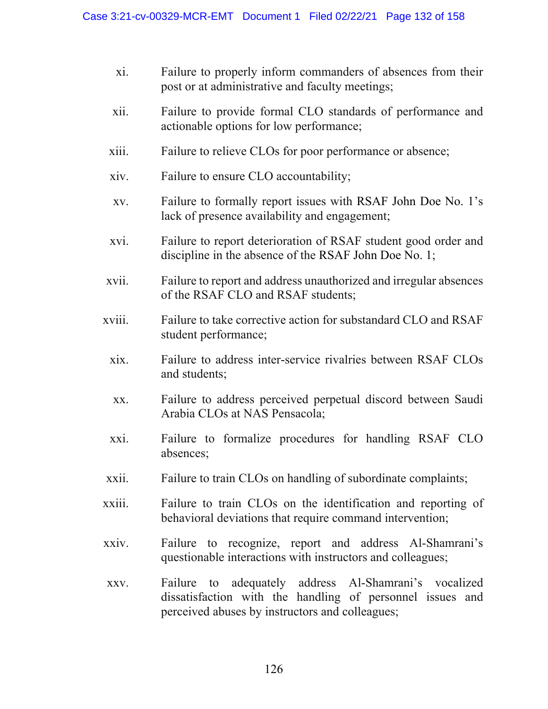- xi. Failure to properly inform commanders of absences from their post or at administrative and faculty meetings;
- xii. Failure to provide formal CLO standards of performance and actionable options for low performance;
- xiii. Failure to relieve CLOs for poor performance or absence;
- xiv. Failure to ensure CLO accountability;
- xv. Failure to formally report issues with RSAF John Doe No. 1's lack of presence availability and engagement;
- xvi. Failure to report deterioration of RSAF student good order and discipline in the absence of the RSAF John Doe No. 1;
- xvii. Failure to report and address unauthorized and irregular absences of the RSAF CLO and RSAF students;
- xviii. Failure to take corrective action for substandard CLO and RSAF student performance;
	- xix. Failure to address inter-service rivalries between RSAF CLOs and students;
	- xx. Failure to address perceived perpetual discord between Saudi Arabia CLOs at NAS Pensacola;
	- xxi. Failure to formalize procedures for handling RSAF CLO absences;
- xxii. Failure to train CLOs on handling of subordinate complaints;
- xxiii. Failure to train CLOs on the identification and reporting of behavioral deviations that require command intervention;
- xxiv. Failure to recognize, report and address Al-Shamrani's questionable interactions with instructors and colleagues;
- xxv. Failure to adequately address Al-Shamrani's vocalized dissatisfaction with the handling of personnel issues and perceived abuses by instructors and colleagues;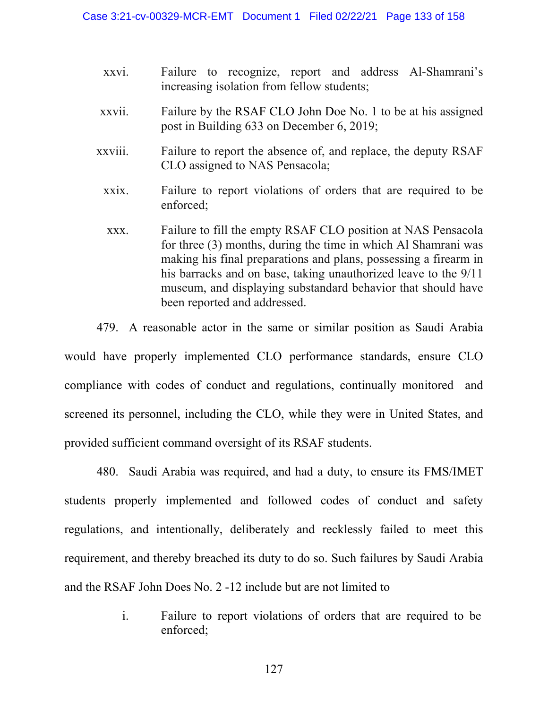- xxvi. Failure to recognize, report and address Al-Shamrani's increasing isolation from fellow students;
- xxvii. Failure by the RSAF CLO John Doe No. 1 to be at his assigned post in Building 633 on December 6, 2019;
- xxviii. Failure to report the absence of, and replace, the deputy RSAF CLO assigned to NAS Pensacola;
	- xxix. Failure to report violations of orders that are required to be enforced;
	- xxx. Failure to fill the empty RSAF CLO position at NAS Pensacola for three (3) months, during the time in which Al Shamrani was making his final preparations and plans, possessing a firearm in his barracks and on base, taking unauthorized leave to the 9/11 museum, and displaying substandard behavior that should have been reported and addressed.

479. A reasonable actor in the same or similar position as Saudi Arabia

would have properly implemented CLO performance standards, ensure CLO compliance with codes of conduct and regulations, continually monitored and screened its personnel, including the CLO, while they were in United States, and provided sufficient command oversight of its RSAF students.

480. Saudi Arabia was required, and had a duty, to ensure its FMS/IMET students properly implemented and followed codes of conduct and safety regulations, and intentionally, deliberately and recklessly failed to meet this requirement, and thereby breached its duty to do so. Such failures by Saudi Arabia and the RSAF John Does No. 2 -12 include but are not limited to

> i. Failure to report violations of orders that are required to be enforced;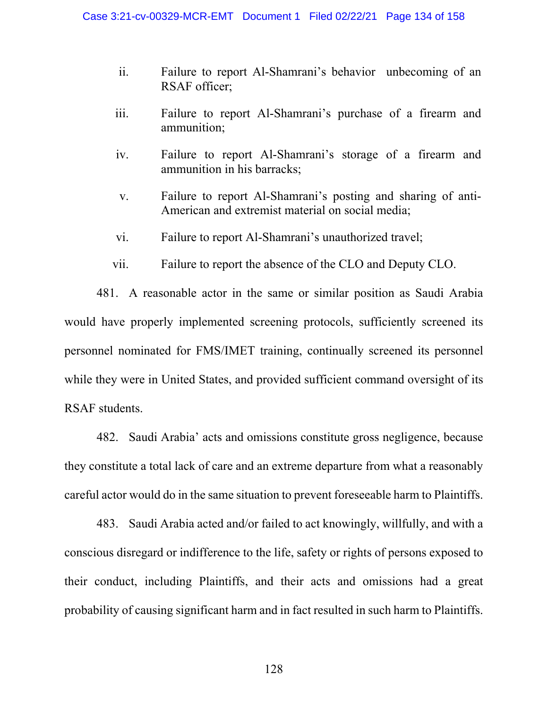- ii. Failure to report Al-Shamrani's behavior unbecoming of an RSAF officer;
- iii. Failure to report Al-Shamrani's purchase of a firearm and ammunition;
- iv. Failure to report Al-Shamrani's storage of a firearm and ammunition in his barracks;
- v. Failure to report Al-Shamrani's posting and sharing of anti-American and extremist material on social media;
- vi. Failure to report Al-Shamrani's unauthorized travel;
- vii. Failure to report the absence of the CLO and Deputy CLO.

481. A reasonable actor in the same or similar position as Saudi Arabia would have properly implemented screening protocols, sufficiently screened its personnel nominated for FMS/IMET training, continually screened its personnel while they were in United States, and provided sufficient command oversight of its RSAF students.

482. Saudi Arabia' acts and omissions constitute gross negligence, because they constitute a total lack of care and an extreme departure from what a reasonably careful actor would do in the same situation to prevent foreseeable harm to Plaintiffs.

483. Saudi Arabia acted and/or failed to act knowingly, willfully, and with a conscious disregard or indifference to the life, safety or rights of persons exposed to their conduct, including Plaintiffs, and their acts and omissions had a great probability of causing significant harm and in fact resulted in such harm to Plaintiffs.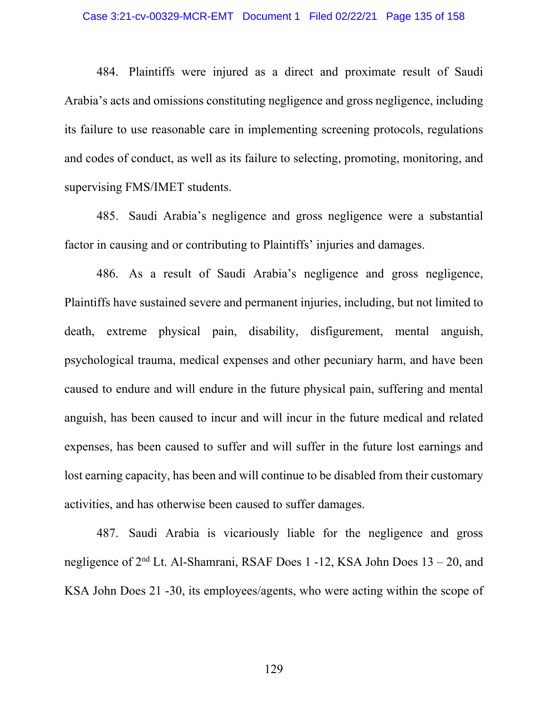### Case 3:21-cv-00329-MCR-EMT Document 1 Filed 02/22/21 Page 135 of 158

484. Plaintiffs were injured as a direct and proximate result of Saudi Arabia's acts and omissions constituting negligence and gross negligence, including its failure to use reasonable care in implementing screening protocols, regulations and codes of conduct, as well as its failure to selecting, promoting, monitoring, and supervising FMS/IMET students.

485. Saudi Arabia's negligence and gross negligence were a substantial factor in causing and or contributing to Plaintiffs' injuries and damages.

486. As a result of Saudi Arabia's negligence and gross negligence, Plaintiffs have sustained severe and permanent injuries, including, but not limited to death, extreme physical pain, disability, disfigurement, mental anguish, psychological trauma, medical expenses and other pecuniary harm, and have been caused to endure and will endure in the future physical pain, suffering and mental anguish, has been caused to incur and will incur in the future medical and related expenses, has been caused to suffer and will suffer in the future lost earnings and lost earning capacity, has been and will continue to be disabled from their customary activities, and has otherwise been caused to suffer damages.

487. Saudi Arabia is vicariously liable for the negligence and gross negligence of  $2<sup>nd</sup>$  Lt. Al-Shamrani, RSAF Does 1 -12, KSA John Does  $13 - 20$ , and KSA John Does 21 -30, its employees/agents, who were acting within the scope of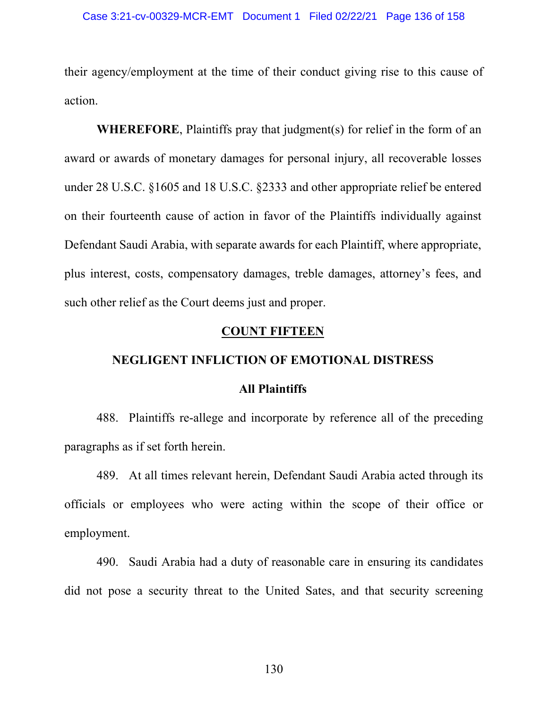their agency/employment at the time of their conduct giving rise to this cause of action.

**WHEREFORE**, Plaintiffs pray that judgment(s) for relief in the form of an award or awards of monetary damages for personal injury, all recoverable losses under 28 U.S.C. §1605 and 18 U.S.C. §2333 and other appropriate relief be entered on their fourteenth cause of action in favor of the Plaintiffs individually against Defendant Saudi Arabia, with separate awards for each Plaintiff, where appropriate, plus interest, costs, compensatory damages, treble damages, attorney's fees, and such other relief as the Court deems just and proper.

# **COUNT FIFTEEN**

## **NEGLIGENT INFLICTION OF EMOTIONAL DISTRESS**

### **All Plaintiffs**

488. Plaintiffs re-allege and incorporate by reference all of the preceding paragraphs as if set forth herein.

489. At all times relevant herein, Defendant Saudi Arabia acted through its officials or employees who were acting within the scope of their office or employment.

490. Saudi Arabia had a duty of reasonable care in ensuring its candidates did not pose a security threat to the United Sates, and that security screening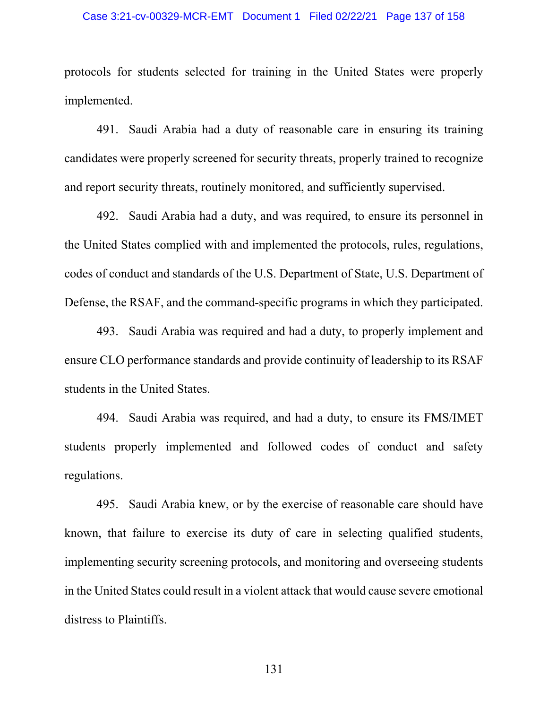### Case 3:21-cv-00329-MCR-EMT Document 1 Filed 02/22/21 Page 137 of 158

protocols for students selected for training in the United States were properly implemented.

491. Saudi Arabia had a duty of reasonable care in ensuring its training candidates were properly screened for security threats, properly trained to recognize and report security threats, routinely monitored, and sufficiently supervised.

492. Saudi Arabia had a duty, and was required, to ensure its personnel in the United States complied with and implemented the protocols, rules, regulations, codes of conduct and standards of the U.S. Department of State, U.S. Department of Defense, the RSAF, and the command-specific programs in which they participated.

493. Saudi Arabia was required and had a duty, to properly implement and ensure CLO performance standards and provide continuity of leadership to its RSAF students in the United States.

494. Saudi Arabia was required, and had a duty, to ensure its FMS/IMET students properly implemented and followed codes of conduct and safety regulations.

495. Saudi Arabia knew, or by the exercise of reasonable care should have known, that failure to exercise its duty of care in selecting qualified students, implementing security screening protocols, and monitoring and overseeing students in the United States could result in a violent attack that would cause severe emotional distress to Plaintiffs.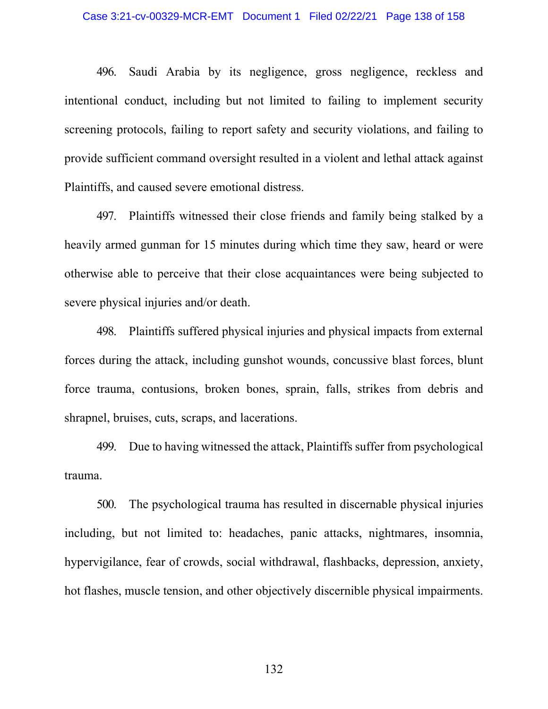496. Saudi Arabia by its negligence, gross negligence, reckless and intentional conduct, including but not limited to failing to implement security screening protocols, failing to report safety and security violations, and failing to provide sufficient command oversight resulted in a violent and lethal attack against Plaintiffs, and caused severe emotional distress.

497. Plaintiffs witnessed their close friends and family being stalked by a heavily armed gunman for 15 minutes during which time they saw, heard or were otherwise able to perceive that their close acquaintances were being subjected to severe physical injuries and/or death.

498. Plaintiffs suffered physical injuries and physical impacts from external forces during the attack, including gunshot wounds, concussive blast forces, blunt force trauma, contusions, broken bones, sprain, falls, strikes from debris and shrapnel, bruises, cuts, scraps, and lacerations.

499. Due to having witnessed the attack, Plaintiffs suffer from psychological trauma.

500. The psychological trauma has resulted in discernable physical injuries including, but not limited to: headaches, panic attacks, nightmares, insomnia, hypervigilance, fear of crowds, social withdrawal, flashbacks, depression, anxiety, hot flashes, muscle tension, and other objectively discernible physical impairments.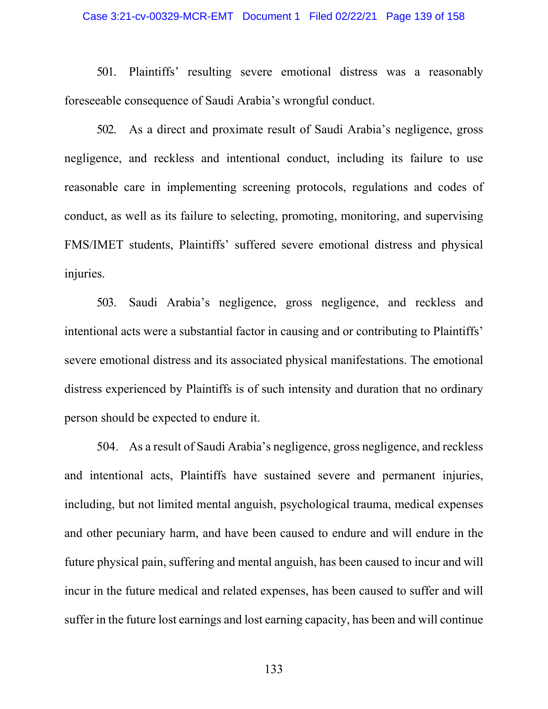### Case 3:21-cv-00329-MCR-EMT Document 1 Filed 02/22/21 Page 139 of 158

501. Plaintiffs' resulting severe emotional distress was a reasonably foreseeable consequence of Saudi Arabia's wrongful conduct.

502. As a direct and proximate result of Saudi Arabia's negligence, gross negligence, and reckless and intentional conduct, including its failure to use reasonable care in implementing screening protocols, regulations and codes of conduct, as well as its failure to selecting, promoting, monitoring, and supervising FMS/IMET students, Plaintiffs' suffered severe emotional distress and physical injuries.

503. Saudi Arabia's negligence, gross negligence, and reckless and intentional acts were a substantial factor in causing and or contributing to Plaintiffs' severe emotional distress and its associated physical manifestations. The emotional distress experienced by Plaintiffs is of such intensity and duration that no ordinary person should be expected to endure it.

504. As a result of Saudi Arabia's negligence, gross negligence, and reckless and intentional acts, Plaintiffs have sustained severe and permanent injuries, including, but not limited mental anguish, psychological trauma, medical expenses and other pecuniary harm, and have been caused to endure and will endure in the future physical pain, suffering and mental anguish, has been caused to incur and will incur in the future medical and related expenses, has been caused to suffer and will suffer in the future lost earnings and lost earning capacity, has been and will continue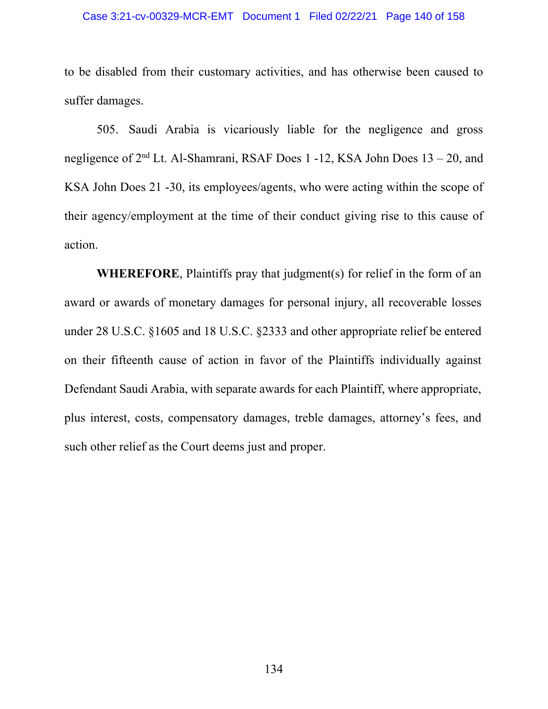### Case 3:21-cv-00329-MCR-EMT Document 1 Filed 02/22/21 Page 140 of 158

to be disabled from their customary activities, and has otherwise been caused to suffer damages.

505. Saudi Arabia is vicariously liable for the negligence and gross negligence of 2nd Lt. Al-Shamrani, RSAF Does 1 -12, KSA John Does 13 – 20, and KSA John Does 21 -30, its employees/agents, who were acting within the scope of their agency/employment at the time of their conduct giving rise to this cause of action.

**WHEREFORE**, Plaintiffs pray that judgment(s) for relief in the form of an award or awards of monetary damages for personal injury, all recoverable losses under 28 U.S.C. §1605 and 18 U.S.C. §2333 and other appropriate relief be entered on their fifteenth cause of action in favor of the Plaintiffs individually against Defendant Saudi Arabia, with separate awards for each Plaintiff, where appropriate, plus interest, costs, compensatory damages, treble damages, attorney's fees, and such other relief as the Court deems just and proper.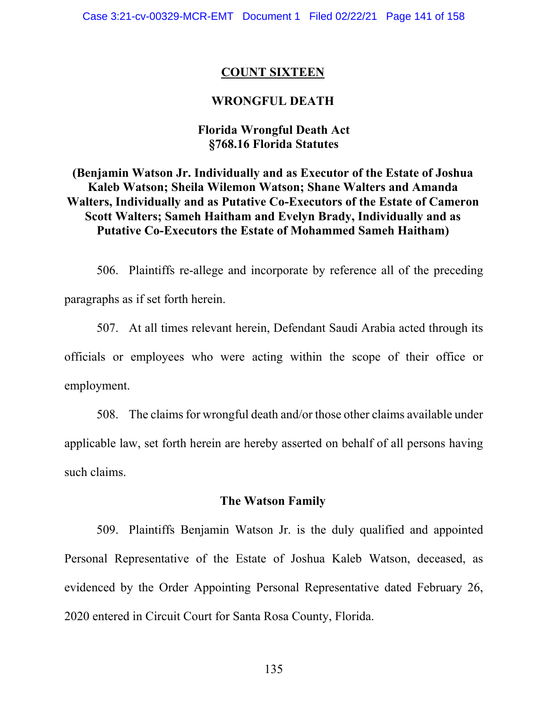### **COUNT SIXTEEN**

# **WRONGFUL DEATH**

# **Florida Wrongful Death Act §768.16 Florida Statutes**

**(Benjamin Watson Jr. Individually and as Executor of the Estate of Joshua Kaleb Watson; Sheila Wilemon Watson; Shane Walters and Amanda Walters, Individually and as Putative Co-Executors of the Estate of Cameron Scott Walters; Sameh Haitham and Evelyn Brady, Individually and as Putative Co-Executors the Estate of Mohammed Sameh Haitham)** 

506. Plaintiffs re-allege and incorporate by reference all of the preceding paragraphs as if set forth herein.

507. At all times relevant herein, Defendant Saudi Arabia acted through its officials or employees who were acting within the scope of their office or employment.

508. The claims for wrongful death and/or those other claims available under applicable law, set forth herein are hereby asserted on behalf of all persons having such claims.

### **The Watson Family**

509. Plaintiffs Benjamin Watson Jr. is the duly qualified and appointed Personal Representative of the Estate of Joshua Kaleb Watson, deceased, as evidenced by the Order Appointing Personal Representative dated February 26, 2020 entered in Circuit Court for Santa Rosa County, Florida.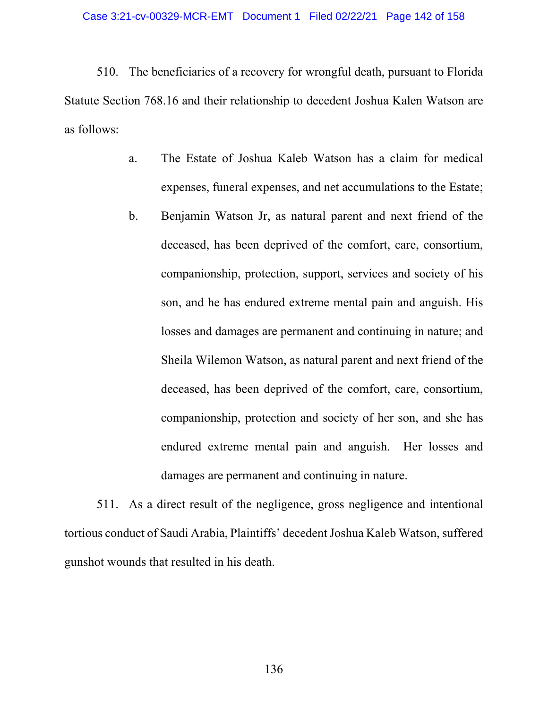510. The beneficiaries of a recovery for wrongful death, pursuant to Florida Statute Section 768.16 and their relationship to decedent Joshua Kalen Watson are as follows:

- a. The Estate of Joshua Kaleb Watson has a claim for medical expenses, funeral expenses, and net accumulations to the Estate;
- b. Benjamin Watson Jr, as natural parent and next friend of the deceased, has been deprived of the comfort, care, consortium, companionship, protection, support, services and society of his son, and he has endured extreme mental pain and anguish. His losses and damages are permanent and continuing in nature; and Sheila Wilemon Watson, as natural parent and next friend of the deceased, has been deprived of the comfort, care, consortium, companionship, protection and society of her son, and she has endured extreme mental pain and anguish. Her losses and damages are permanent and continuing in nature.

511. As a direct result of the negligence, gross negligence and intentional tortious conduct of Saudi Arabia, Plaintiffs' decedent Joshua Kaleb Watson, suffered gunshot wounds that resulted in his death.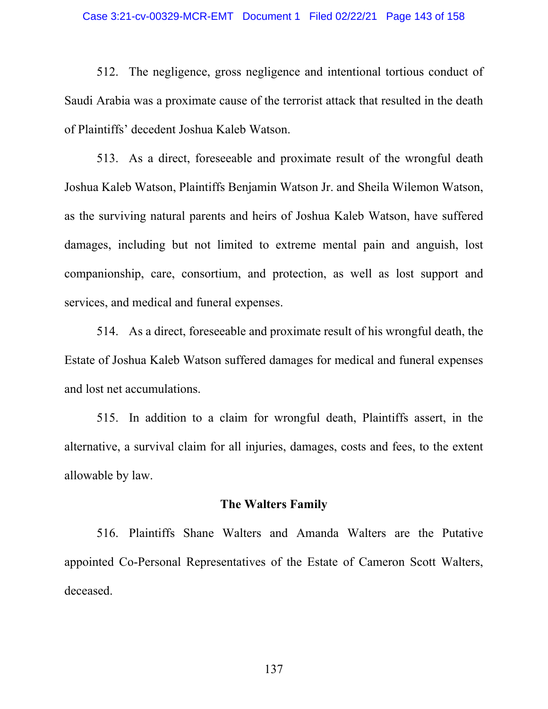### Case 3:21-cv-00329-MCR-EMT Document 1 Filed 02/22/21 Page 143 of 158

512. The negligence, gross negligence and intentional tortious conduct of Saudi Arabia was a proximate cause of the terrorist attack that resulted in the death of Plaintiffs' decedent Joshua Kaleb Watson.

513. As a direct, foreseeable and proximate result of the wrongful death Joshua Kaleb Watson, Plaintiffs Benjamin Watson Jr. and Sheila Wilemon Watson, as the surviving natural parents and heirs of Joshua Kaleb Watson, have suffered damages, including but not limited to extreme mental pain and anguish, lost companionship, care, consortium, and protection, as well as lost support and services, and medical and funeral expenses.

514. As a direct, foreseeable and proximate result of his wrongful death, the Estate of Joshua Kaleb Watson suffered damages for medical and funeral expenses and lost net accumulations.

515. In addition to a claim for wrongful death, Plaintiffs assert, in the alternative, a survival claim for all injuries, damages, costs and fees, to the extent allowable by law.

# **The Walters Family**

516. Plaintiffs Shane Walters and Amanda Walters are the Putative appointed Co-Personal Representatives of the Estate of Cameron Scott Walters, deceased.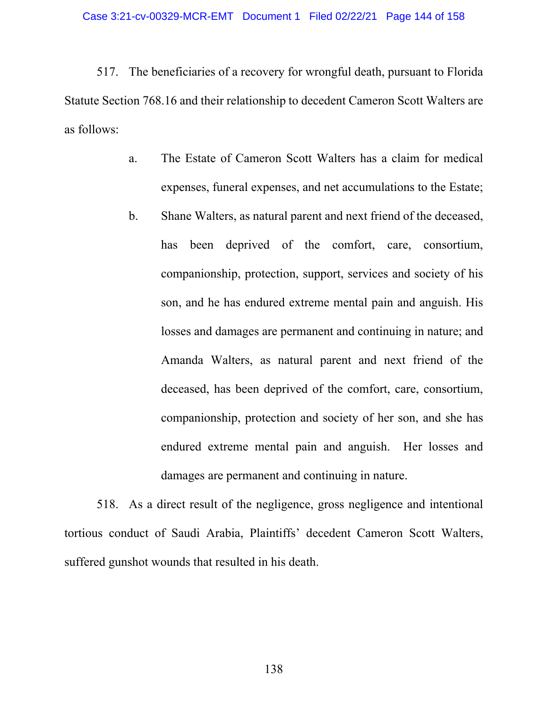517. The beneficiaries of a recovery for wrongful death, pursuant to Florida Statute Section 768.16 and their relationship to decedent Cameron Scott Walters are as follows:

- a. The Estate of Cameron Scott Walters has a claim for medical expenses, funeral expenses, and net accumulations to the Estate;
- b. Shane Walters, as natural parent and next friend of the deceased, has been deprived of the comfort, care, consortium, companionship, protection, support, services and society of his son, and he has endured extreme mental pain and anguish. His losses and damages are permanent and continuing in nature; and Amanda Walters, as natural parent and next friend of the deceased, has been deprived of the comfort, care, consortium, companionship, protection and society of her son, and she has endured extreme mental pain and anguish. Her losses and damages are permanent and continuing in nature.

518. As a direct result of the negligence, gross negligence and intentional tortious conduct of Saudi Arabia, Plaintiffs' decedent Cameron Scott Walters, suffered gunshot wounds that resulted in his death.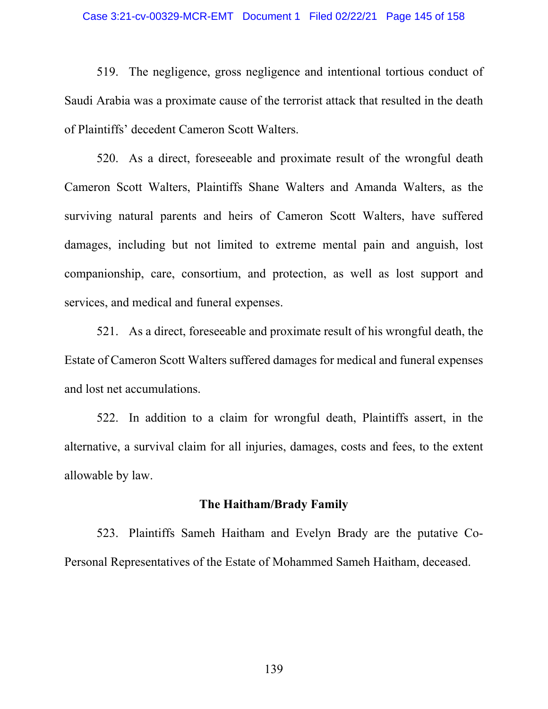#### Case 3:21-cv-00329-MCR-EMT Document 1 Filed 02/22/21 Page 145 of 158

519. The negligence, gross negligence and intentional tortious conduct of Saudi Arabia was a proximate cause of the terrorist attack that resulted in the death of Plaintiffs' decedent Cameron Scott Walters.

520. As a direct, foreseeable and proximate result of the wrongful death Cameron Scott Walters, Plaintiffs Shane Walters and Amanda Walters, as the surviving natural parents and heirs of Cameron Scott Walters, have suffered damages, including but not limited to extreme mental pain and anguish, lost companionship, care, consortium, and protection, as well as lost support and services, and medical and funeral expenses.

521. As a direct, foreseeable and proximate result of his wrongful death, the Estate of Cameron Scott Walters suffered damages for medical and funeral expenses and lost net accumulations.

522. In addition to a claim for wrongful death, Plaintiffs assert, in the alternative, a survival claim for all injuries, damages, costs and fees, to the extent allowable by law.

### **The Haitham/Brady Family**

523. Plaintiffs Sameh Haitham and Evelyn Brady are the putative Co-Personal Representatives of the Estate of Mohammed Sameh Haitham, deceased.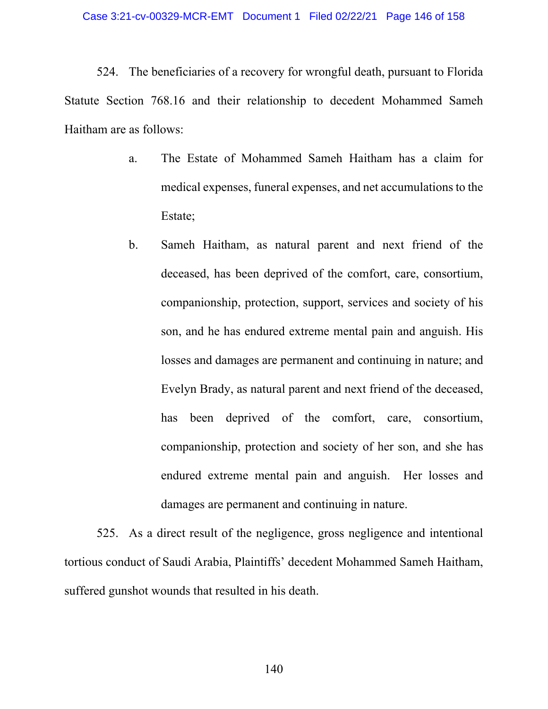524. The beneficiaries of a recovery for wrongful death, pursuant to Florida Statute Section 768.16 and their relationship to decedent Mohammed Sameh Haitham are as follows:

- a. The Estate of Mohammed Sameh Haitham has a claim for medical expenses, funeral expenses, and net accumulations to the Estate;
- b. Sameh Haitham, as natural parent and next friend of the deceased, has been deprived of the comfort, care, consortium, companionship, protection, support, services and society of his son, and he has endured extreme mental pain and anguish. His losses and damages are permanent and continuing in nature; and Evelyn Brady, as natural parent and next friend of the deceased, has been deprived of the comfort, care, consortium, companionship, protection and society of her son, and she has endured extreme mental pain and anguish. Her losses and damages are permanent and continuing in nature.

525. As a direct result of the negligence, gross negligence and intentional tortious conduct of Saudi Arabia, Plaintiffs' decedent Mohammed Sameh Haitham, suffered gunshot wounds that resulted in his death.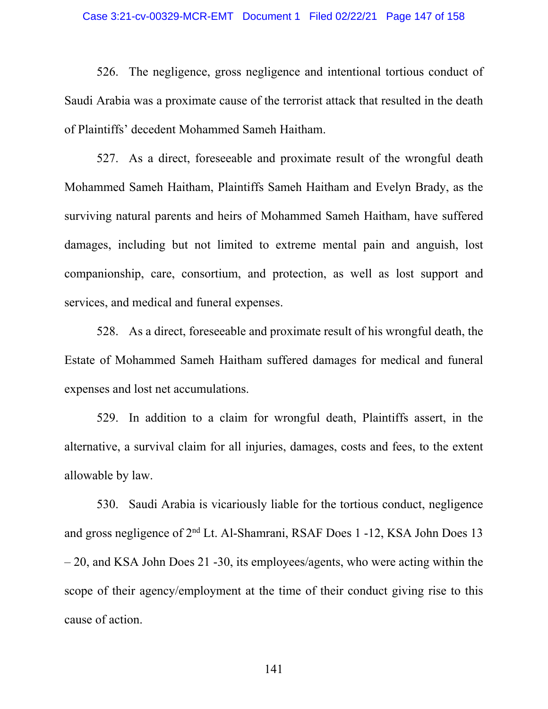#### Case 3:21-cv-00329-MCR-EMT Document 1 Filed 02/22/21 Page 147 of 158

526. The negligence, gross negligence and intentional tortious conduct of Saudi Arabia was a proximate cause of the terrorist attack that resulted in the death of Plaintiffs' decedent Mohammed Sameh Haitham.

527. As a direct, foreseeable and proximate result of the wrongful death Mohammed Sameh Haitham, Plaintiffs Sameh Haitham and Evelyn Brady, as the surviving natural parents and heirs of Mohammed Sameh Haitham, have suffered damages, including but not limited to extreme mental pain and anguish, lost companionship, care, consortium, and protection, as well as lost support and services, and medical and funeral expenses.

528. As a direct, foreseeable and proximate result of his wrongful death, the Estate of Mohammed Sameh Haitham suffered damages for medical and funeral expenses and lost net accumulations.

529. In addition to a claim for wrongful death, Plaintiffs assert, in the alternative, a survival claim for all injuries, damages, costs and fees, to the extent allowable by law.

530. Saudi Arabia is vicariously liable for the tortious conduct, negligence and gross negligence of 2nd Lt. Al-Shamrani, RSAF Does 1 -12, KSA John Does 13 – 20, and KSA John Does 21 -30, its employees/agents, who were acting within the scope of their agency/employment at the time of their conduct giving rise to this cause of action.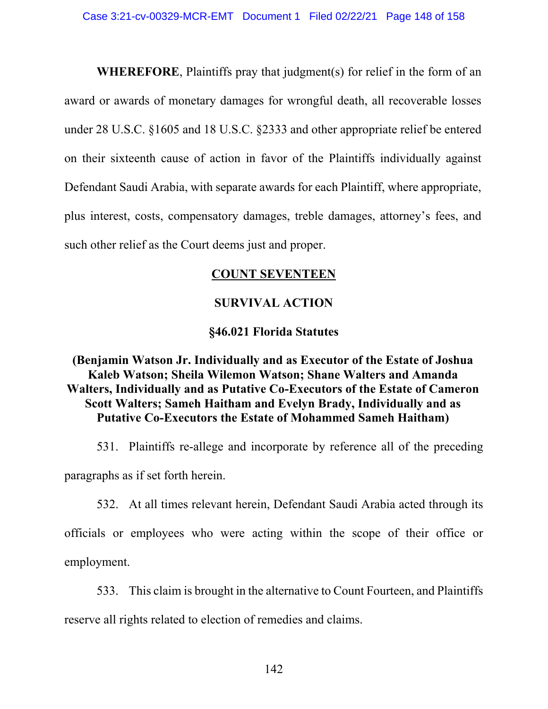**WHEREFORE**, Plaintiffs pray that judgment(s) for relief in the form of an award or awards of monetary damages for wrongful death, all recoverable losses under 28 U.S.C. §1605 and 18 U.S.C. §2333 and other appropriate relief be entered on their sixteenth cause of action in favor of the Plaintiffs individually against Defendant Saudi Arabia, with separate awards for each Plaintiff, where appropriate, plus interest, costs, compensatory damages, treble damages, attorney's fees, and such other relief as the Court deems just and proper.

## **COUNT SEVENTEEN**

# **SURVIVAL ACTION**

# **§46.021 Florida Statutes**

# **(Benjamin Watson Jr. Individually and as Executor of the Estate of Joshua Kaleb Watson; Sheila Wilemon Watson; Shane Walters and Amanda Walters, Individually and as Putative Co-Executors of the Estate of Cameron Scott Walters; Sameh Haitham and Evelyn Brady, Individually and as Putative Co-Executors the Estate of Mohammed Sameh Haitham)**

531. Plaintiffs re-allege and incorporate by reference all of the preceding paragraphs as if set forth herein.

532. At all times relevant herein, Defendant Saudi Arabia acted through its

officials or employees who were acting within the scope of their office or employment.

533. This claim is brought in the alternative to Count Fourteen, and Plaintiffs reserve all rights related to election of remedies and claims.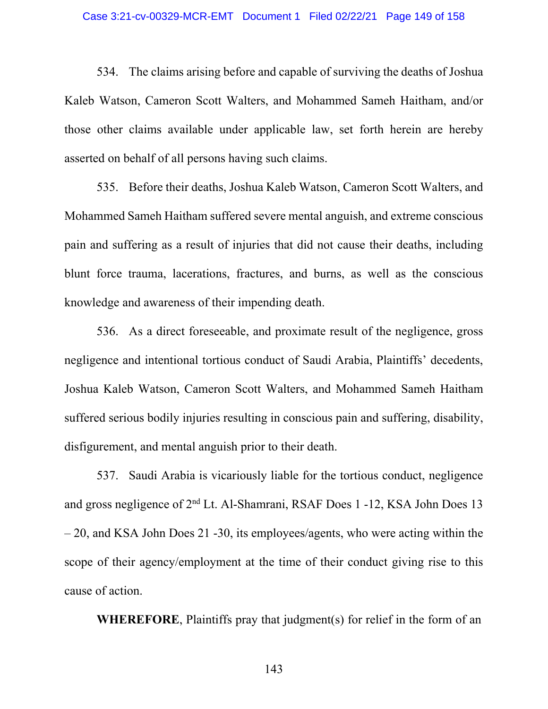#### Case 3:21-cv-00329-MCR-EMT Document 1 Filed 02/22/21 Page 149 of 158

534. The claims arising before and capable of surviving the deaths of Joshua Kaleb Watson, Cameron Scott Walters, and Mohammed Sameh Haitham, and/or those other claims available under applicable law, set forth herein are hereby asserted on behalf of all persons having such claims.

535. Before their deaths, Joshua Kaleb Watson, Cameron Scott Walters, and Mohammed Sameh Haitham suffered severe mental anguish, and extreme conscious pain and suffering as a result of injuries that did not cause their deaths, including blunt force trauma, lacerations, fractures, and burns, as well as the conscious knowledge and awareness of their impending death.

536. As a direct foreseeable, and proximate result of the negligence, gross negligence and intentional tortious conduct of Saudi Arabia, Plaintiffs' decedents, Joshua Kaleb Watson, Cameron Scott Walters, and Mohammed Sameh Haitham suffered serious bodily injuries resulting in conscious pain and suffering, disability, disfigurement, and mental anguish prior to their death.

537. Saudi Arabia is vicariously liable for the tortious conduct, negligence and gross negligence of 2nd Lt. Al-Shamrani, RSAF Does 1 -12, KSA John Does 13 – 20, and KSA John Does 21 -30, its employees/agents, who were acting within the scope of their agency/employment at the time of their conduct giving rise to this cause of action.

**WHEREFORE**, Plaintiffs pray that judgment(s) for relief in the form of an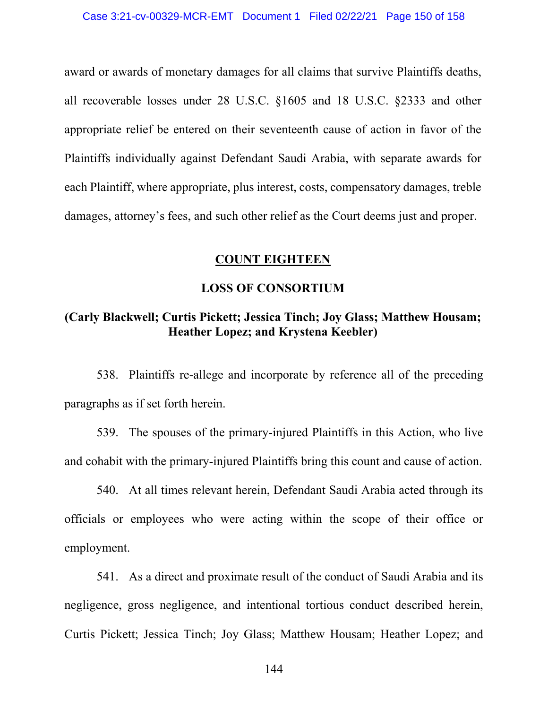award or awards of monetary damages for all claims that survive Plaintiffs deaths, all recoverable losses under 28 U.S.C. §1605 and 18 U.S.C. §2333 and other appropriate relief be entered on their seventeenth cause of action in favor of the Plaintiffs individually against Defendant Saudi Arabia, with separate awards for each Plaintiff, where appropriate, plus interest, costs, compensatory damages, treble damages, attorney's fees, and such other relief as the Court deems just and proper.

### **COUNT EIGHTEEN**

## **LOSS OF CONSORTIUM**

# **(Carly Blackwell; Curtis Pickett; Jessica Tinch; Joy Glass; Matthew Housam; Heather Lopez; and Krystena Keebler)**

538. Plaintiffs re-allege and incorporate by reference all of the preceding paragraphs as if set forth herein.

539. The spouses of the primary-injured Plaintiffs in this Action, who live and cohabit with the primary-injured Plaintiffs bring this count and cause of action.

540. At all times relevant herein, Defendant Saudi Arabia acted through its officials or employees who were acting within the scope of their office or employment.

541. As a direct and proximate result of the conduct of Saudi Arabia and its negligence, gross negligence, and intentional tortious conduct described herein, Curtis Pickett; Jessica Tinch; Joy Glass; Matthew Housam; Heather Lopez; and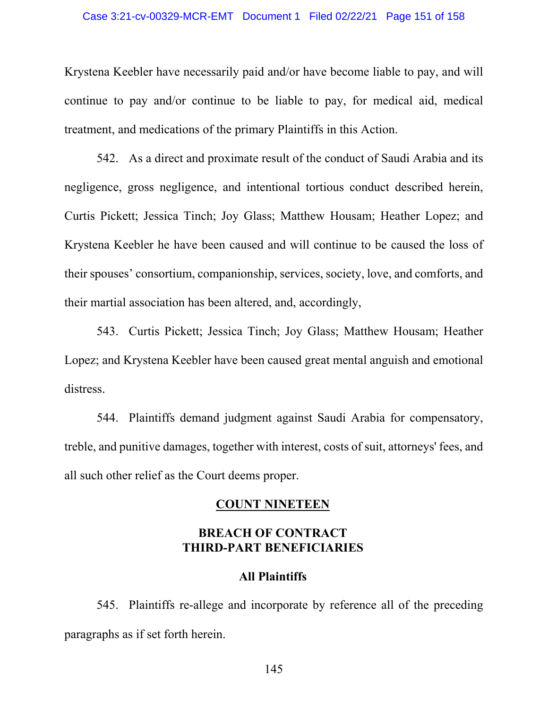#### Case 3:21-cv-00329-MCR-EMT Document 1 Filed 02/22/21 Page 151 of 158

Krystena Keebler have necessarily paid and/or have become liable to pay, and will continue to pay and/or continue to be liable to pay, for medical aid, medical treatment, and medications of the primary Plaintiffs in this Action.

542. As a direct and proximate result of the conduct of Saudi Arabia and its negligence, gross negligence, and intentional tortious conduct described herein, Curtis Pickett; Jessica Tinch; Joy Glass; Matthew Housam; Heather Lopez; and Krystena Keebler he have been caused and will continue to be caused the loss of their spouses' consortium, companionship, services, society, love, and comforts, and their martial association has been altered, and, accordingly,

543. Curtis Pickett; Jessica Tinch; Joy Glass; Matthew Housam; Heather Lopez; and Krystena Keebler have been caused great mental anguish and emotional distress.

544. Plaintiffs demand judgment against Saudi Arabia for compensatory, treble, and punitive damages, together with interest, costs of suit, attorneys' fees, and all such other relief as the Court deems proper.

## **COUNT NINETEEN**

## **BREACH OF CONTRACT THIRD-PART BENEFICIARIES**

## **All Plaintiffs**

545. Plaintiffs re-allege and incorporate by reference all of the preceding paragraphs as if set forth herein.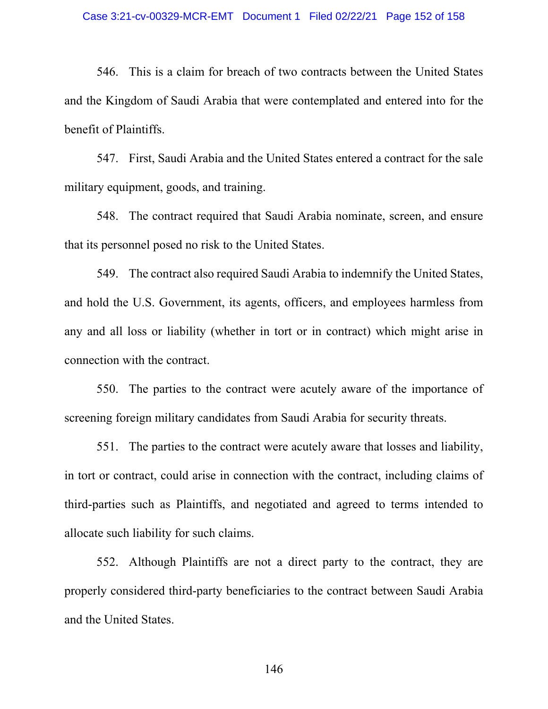546. This is a claim for breach of two contracts between the United States and the Kingdom of Saudi Arabia that were contemplated and entered into for the benefit of Plaintiffs.

547. First, Saudi Arabia and the United States entered a contract for the sale military equipment, goods, and training.

548. The contract required that Saudi Arabia nominate, screen, and ensure that its personnel posed no risk to the United States.

549. The contract also required Saudi Arabia to indemnify the United States, and hold the U.S. Government, its agents, officers, and employees harmless from any and all loss or liability (whether in tort or in contract) which might arise in connection with the contract.

550. The parties to the contract were acutely aware of the importance of screening foreign military candidates from Saudi Arabia for security threats.

551. The parties to the contract were acutely aware that losses and liability, in tort or contract, could arise in connection with the contract, including claims of third-parties such as Plaintiffs, and negotiated and agreed to terms intended to allocate such liability for such claims.

552. Although Plaintiffs are not a direct party to the contract, they are properly considered third-party beneficiaries to the contract between Saudi Arabia and the United States.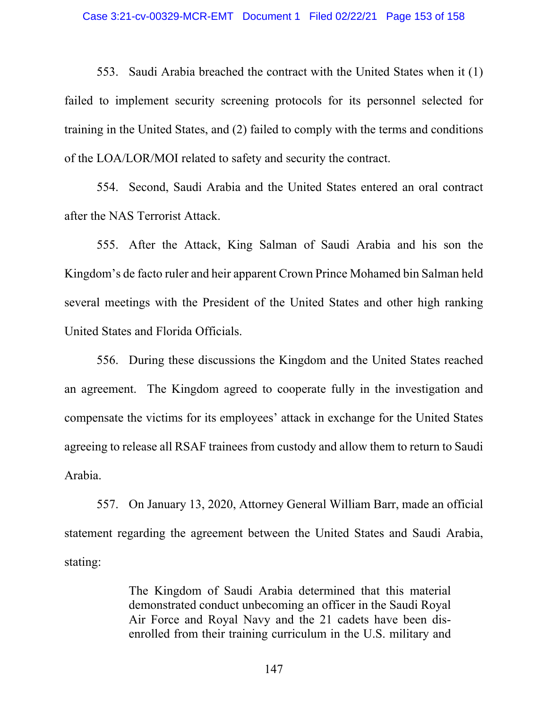553. Saudi Arabia breached the contract with the United States when it (1) failed to implement security screening protocols for its personnel selected for training in the United States, and (2) failed to comply with the terms and conditions of the LOA/LOR/MOI related to safety and security the contract.

554. Second, Saudi Arabia and the United States entered an oral contract after the NAS Terrorist Attack.

555. After the Attack, King Salman of Saudi Arabia and his son the Kingdom's de facto ruler and heir apparent Crown Prince Mohamed bin Salman held several meetings with the President of the United States and other high ranking United States and Florida Officials.

556. During these discussions the Kingdom and the United States reached an agreement. The Kingdom agreed to cooperate fully in the investigation and compensate the victims for its employees' attack in exchange for the United States agreeing to release all RSAF trainees from custody and allow them to return to Saudi Arabia.

557. On January 13, 2020, Attorney General William Barr, made an official statement regarding the agreement between the United States and Saudi Arabia, stating:

> The Kingdom of Saudi Arabia determined that this material demonstrated conduct unbecoming an officer in the Saudi Royal Air Force and Royal Navy and the 21 cadets have been disenrolled from their training curriculum in the U.S. military and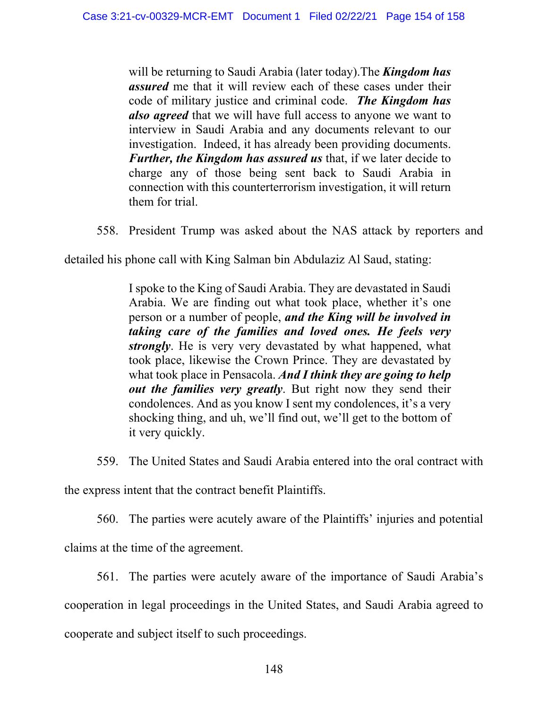will be returning to Saudi Arabia (later today).The *Kingdom has assured* me that it will review each of these cases under their code of military justice and criminal code. *The Kingdom has also agreed* that we will have full access to anyone we want to interview in Saudi Arabia and any documents relevant to our investigation. Indeed, it has already been providing documents. *Further, the Kingdom has assured us* that, if we later decide to charge any of those being sent back to Saudi Arabia in connection with this counterterrorism investigation, it will return them for trial.

558. President Trump was asked about the NAS attack by reporters and

detailed his phone call with King Salman bin Abdulaziz Al Saud, stating:

I spoke to the King of Saudi Arabia. They are devastated in Saudi Arabia. We are finding out what took place, whether it's one person or a number of people, *and the King will be involved in taking care of the families and loved ones. He feels very strongly*. He is very very devastated by what happened, what took place, likewise the Crown Prince. They are devastated by what took place in Pensacola. *And I think they are going to help out the families very greatly*. But right now they send their condolences. And as you know I sent my condolences, it's a very shocking thing, and uh, we'll find out, we'll get to the bottom of it very quickly.

559. The United States and Saudi Arabia entered into the oral contract with

the express intent that the contract benefit Plaintiffs.

560. The parties were acutely aware of the Plaintiffs' injuries and potential

claims at the time of the agreement.

561. The parties were acutely aware of the importance of Saudi Arabia's

cooperation in legal proceedings in the United States, and Saudi Arabia agreed to

cooperate and subject itself to such proceedings.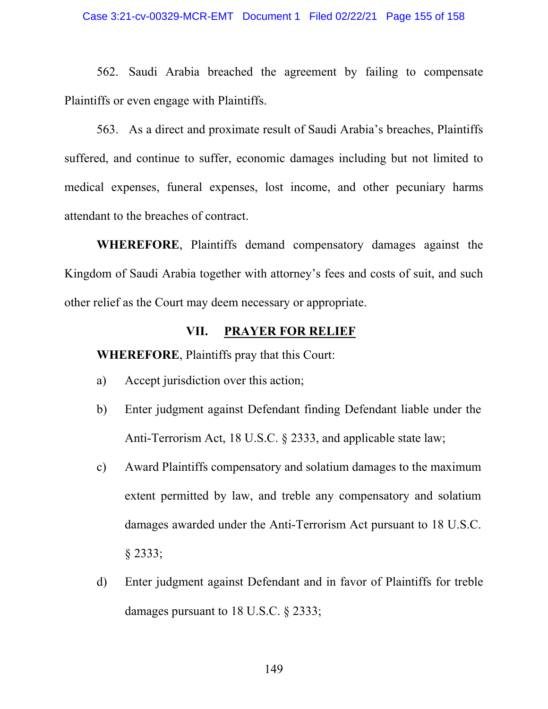#### Case 3:21-cv-00329-MCR-EMT Document 1 Filed 02/22/21 Page 155 of 158

562. Saudi Arabia breached the agreement by failing to compensate Plaintiffs or even engage with Plaintiffs.

563. As a direct and proximate result of Saudi Arabia's breaches, Plaintiffs suffered, and continue to suffer, economic damages including but not limited to medical expenses, funeral expenses, lost income, and other pecuniary harms attendant to the breaches of contract.

**WHEREFORE**, Plaintiffs demand compensatory damages against the Kingdom of Saudi Arabia together with attorney's fees and costs of suit, and such other relief as the Court may deem necessary or appropriate.

## **VII. PRAYER FOR RELIEF**

**WHEREFORE**, Plaintiffs pray that this Court:

- a) Accept jurisdiction over this action;
- b) Enter judgment against Defendant finding Defendant liable under the Anti-Terrorism Act, 18 U.S.C. § 2333, and applicable state law;
- c) Award Plaintiffs compensatory and solatium damages to the maximum extent permitted by law, and treble any compensatory and solatium damages awarded under the Anti-Terrorism Act pursuant to 18 U.S.C. § 2333;
- d) Enter judgment against Defendant and in favor of Plaintiffs for treble damages pursuant to 18 U.S.C. § 2333;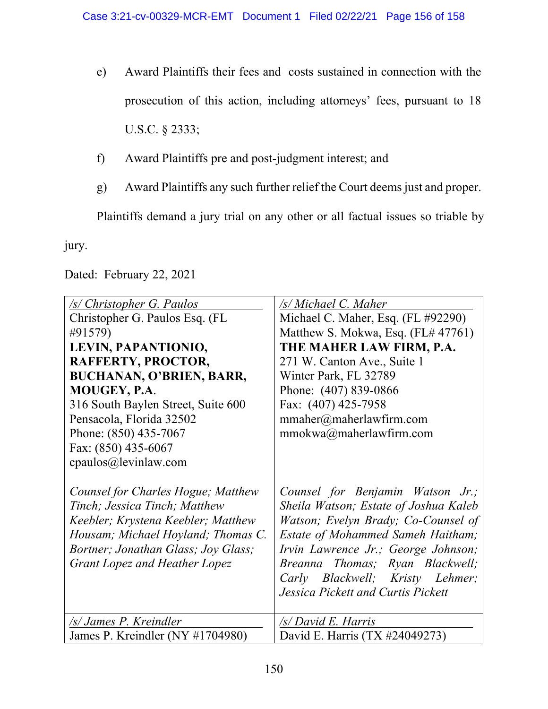- e) Award Plaintiffs their fees and costs sustained in connection with the prosecution of this action, including attorneys' fees, pursuant to 18 U.S.C. § 2333;
- f) Award Plaintiffs pre and post-judgment interest; and
- g) Award Plaintiffs any such further relief the Court deems just and proper.

Plaintiffs demand a jury trial on any other or all factual issues so triable by

jury.

Dated: February 22, 2021

| <u>/s/ Christopher G. Paulos</u>    | /s/ Michael C. Maher                     |
|-------------------------------------|------------------------------------------|
| Christopher G. Paulos Esq. (FL      | Michael C. Maher, Esq. (FL #92290)       |
| #91579)                             | Matthew S. Mokwa, Esq. (FL# 47761)       |
| LEVIN, PAPANTIONIO,                 | THE MAHER LAW FIRM, P.A.                 |
| RAFFERTY, PROCTOR,                  | 271 W. Canton Ave., Suite 1              |
| <b>BUCHANAN, O'BRIEN, BARR,</b>     | Winter Park, FL 32789                    |
| <b>MOUGEY, P.A.</b>                 | Phone: (407) 839-0866                    |
| 316 South Baylen Street, Suite 600  | Fax: (407) 425-7958                      |
| Pensacola, Florida 32502            | mmaher@maherlawfirm.com                  |
| Phone: (850) 435-7067               | mmokwa@maherlawfirm.com                  |
| Fax: (850) 435-6067                 |                                          |
| cpaulos@levinlaw.com                |                                          |
|                                     |                                          |
| Counsel for Charles Hogue; Matthew  | Counsel for Benjamin Watson Jr.;         |
| Tinch; Jessica Tinch; Matthew       | Sheila Watson; Estate of Joshua Kaleb    |
| Keebler; Krystena Keebler; Matthew  | Watson; Evelyn Brady; Co-Counsel of      |
| Housam; Michael Hoyland; Thomas C.  | <b>Estate of Mohammed Sameh Haitham;</b> |
| Bortner; Jonathan Glass; Joy Glass; | Irvin Lawrence Jr.; George Johnson;      |
| Grant Lopez and Heather Lopez       | Breanna Thomas; Ryan Blackwell;          |
|                                     | Carly Blackwell; Kristy Lehmer;          |
|                                     | Jessica Pickett and Curtis Pickett       |
|                                     |                                          |
| /s/ James P. Kreindler              | /s/ David E. Harris                      |
| James P. Kreindler (NY #1704980)    | David E. Harris (TX #24049273)           |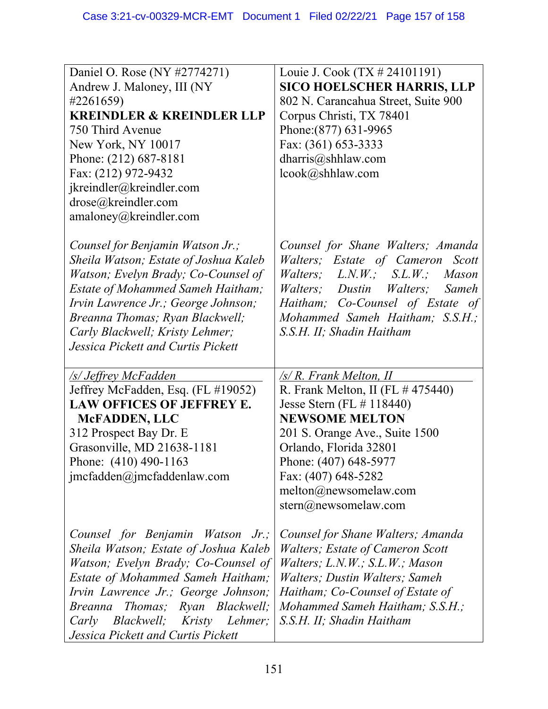| Daniel O. Rose (NY #2774271)<br>Andrew J. Maloney, III (NY<br>#2261659)<br><b>KREINDLER &amp; KREINDLER LLP</b><br>750 Third Avenue<br>New York, NY 10017<br>Phone: (212) 687-8181<br>Fax: (212) 972-9432<br>jkreindler@kreindler.com<br>drose@kreindler.com<br>amaloney@kreindler.com                          | Louie J. Cook (TX # 24101191)<br><b>SICO HOELSCHER HARRIS, LLP</b><br>802 N. Carancahua Street, Suite 900<br>Corpus Christi, TX 78401<br>Phone: (877) 631-9965<br>Fax: (361) 653-3333<br>dharris@shhlaw.com<br>lcook@shhlaw.com                                                                           |
|-----------------------------------------------------------------------------------------------------------------------------------------------------------------------------------------------------------------------------------------------------------------------------------------------------------------|-----------------------------------------------------------------------------------------------------------------------------------------------------------------------------------------------------------------------------------------------------------------------------------------------------------|
| Counsel for Benjamin Watson Jr.;<br>Sheila Watson; Estate of Joshua Kaleb<br>Watson; Evelyn Brady; Co-Counsel of<br><b>Estate of Mohammed Sameh Haitham;</b><br>Irvin Lawrence Jr.; George Johnson;<br>Breanna Thomas; Ryan Blackwell;<br>Carly Blackwell; Kristy Lehmer;<br>Jessica Pickett and Curtis Pickett | Counsel for Shane Walters; Amanda<br>Walters; Estate of Cameron Scott<br><i>Walters</i> ; $L.N.W.; S.L.W.;$<br><i>Mason</i><br><i>Walters</i> ; Dustin Walters;<br>Sameh<br>Haitham; Co-Counsel of Estate of<br>Mohammed Sameh Haitham; S.S.H.;<br>S.S.H. II; Shadin Haitham                              |
| <u>/s/ Jeffrey McFadden</u><br>Jeffrey McFadden, Esq. (FL #19052)<br>LAW OFFICES OF JEFFREY E.<br><b>McFADDEN, LLC</b><br>312 Prospect Bay Dr. E<br>Grasonville, MD 21638-1181<br>Phone: (410) 490-1163<br>jmcfadden@jmcfaddenlaw.com                                                                           | $\sqrt{s/R}$ . Frank Melton, II<br>R. Frank Melton, II (FL $\#$ 475440)<br>Jesse Stern (FL $\#$ 118440)<br><b>NEWSOME MELTON</b><br>201 S. Orange Ave., Suite 1500<br>Orlando, Florida 32801<br>Phone: (407) 648-5977<br>Fax: (407) 648-5282<br>melton@newsomelaw.com<br>$\text{stern}(a)$ newsomelaw.com |
| Counsel for Benjamin Watson Jr.;<br>Sheila Watson; Estate of Joshua Kaleb<br>Watson; Evelyn Brady; Co-Counsel of<br>Estate of Mohammed Sameh Haitham;<br>Irvin Lawrence Jr.; George Johnson;<br>Breanna<br>Thomas; Ryan Blackwell;<br>Blackwell; Kristy Lehmer;<br>Carly<br>Jessica Pickett and Curtis Pickett  | Counsel for Shane Walters; Amanda<br><i>Walters; Estate of Cameron Scott</i><br>Walters; L.N.W.; S.L.W.; Mason<br>Walters; Dustin Walters; Sameh<br>Haitham; Co-Counsel of Estate of<br>Mohammed Sameh Haitham; S.S.H.;<br>S.S.H. II; Shadin Haitham                                                      |